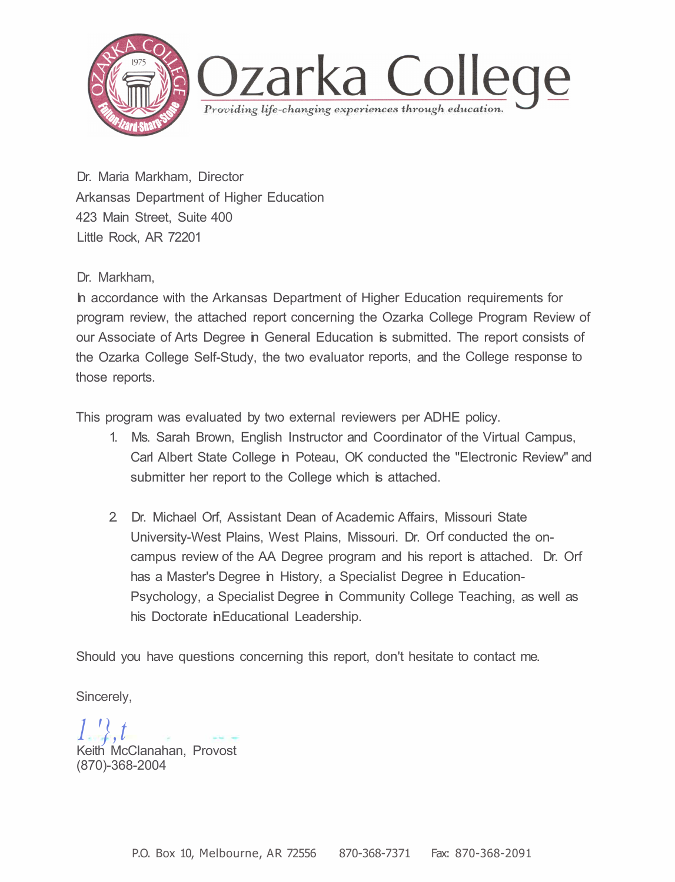

Dr. Maria Markham, Director Arkansas Department of Higher Education 423 Main Street, Suite 400 Little Rock, AR 72201

Dr. Markham,

In accordance with the Arkansas Department of Higher Education requirements for program review, the attached report concerning the Ozarka College Program Review of our Associate of Arts Degree in General Education is submitted. The report consists of the Ozarka College Self-Study, the two evaluator reports, and the College response to those reports.

This program was evaluated by two external reviewers per ADHE policy.

- 1. Ms. Sarah Brown, English Instructor and Coordinator of the Virtual Campus, Carl Albert State College in Poteau, OK conducted the "Electronic Review" and submitter her report to the College which is attached.
- 2. Dr. Michael Orf, Assistant Dean of Academic Affairs, Missouri State University-West Plains, West Plains, Missouri. Dr. Orf conducted the oncampus review of the AA Degree program and his report is attached. Dr. Orf has a Master's Degree in History, a Specialist Degree in Education-Psychology, a Specialist Degree in Community College Teaching, as well as his Doctorate in Educational Leadership.

Should you have questions concerning this report, don't hesitate to contact me.

Sincerely,

*1 '},t*  Keith McClanahan, Provost (870)-368-2004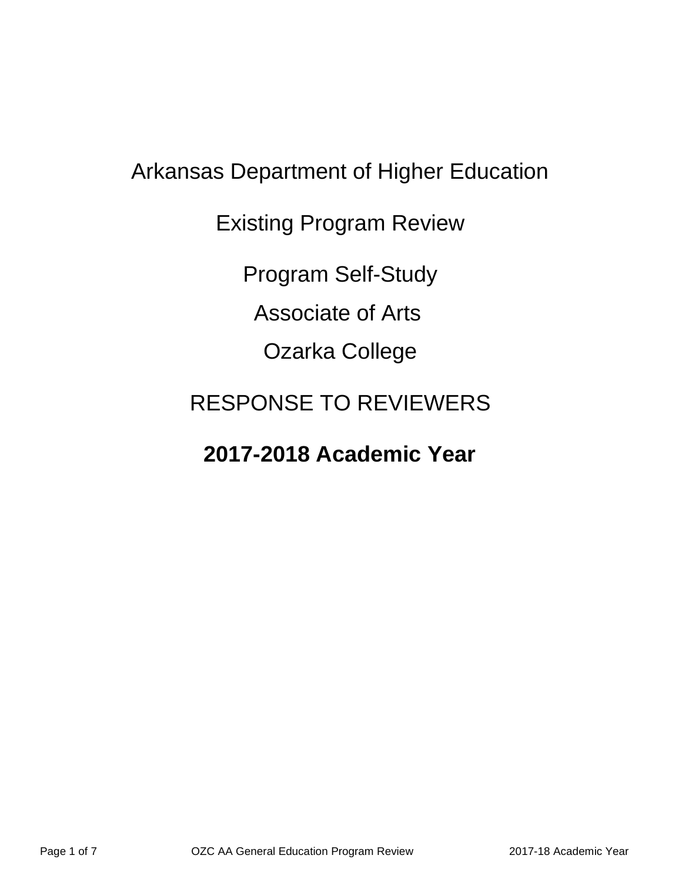# Arkansas Department of Higher Education Existing Program Review Program Self-Study Associate of Arts Ozarka College RESPONSE TO REVIEWERS

## **2017-2018 Academic Year**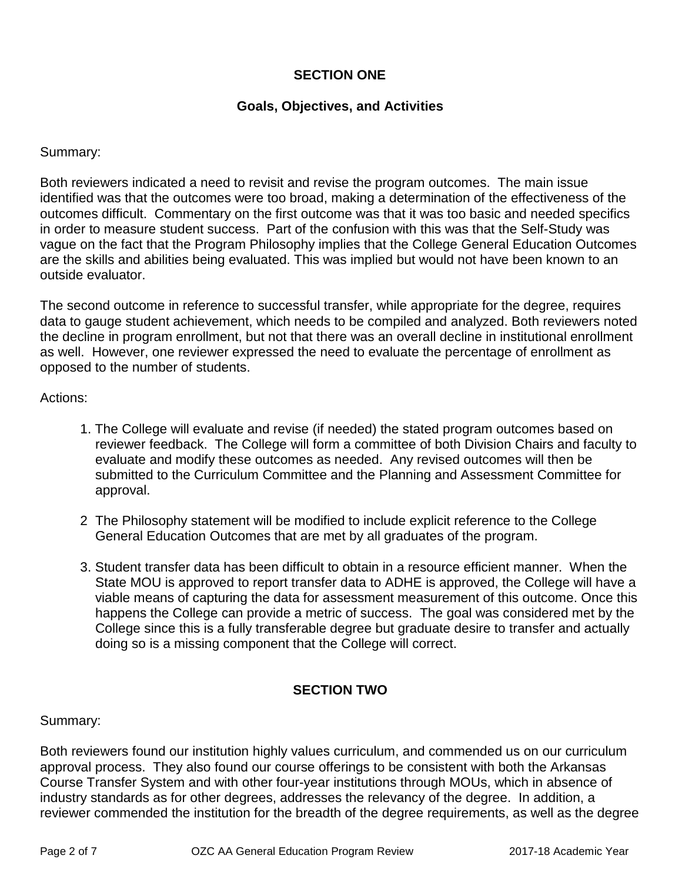### **SECTION ONE**

### **Goals, Objectives, and Activities**

### Summary:

Both reviewers indicated a need to revisit and revise the program outcomes. The main issue identified was that the outcomes were too broad, making a determination of the effectiveness of the outcomes difficult. Commentary on the first outcome was that it was too basic and needed specifics in order to measure student success. Part of the confusion with this was that the Self-Study was vague on the fact that the Program Philosophy implies that the College General Education Outcomes are the skills and abilities being evaluated. This was implied but would not have been known to an outside evaluator.

The second outcome in reference to successful transfer, while appropriate for the degree, requires data to gauge student achievement, which needs to be compiled and analyzed. Both reviewers noted the decline in program enrollment, but not that there was an overall decline in institutional enrollment as well. However, one reviewer expressed the need to evaluate the percentage of enrollment as opposed to the number of students.

### Actions:

- 1. The College will evaluate and revise (if needed) the stated program outcomes based on reviewer feedback. The College will form a committee of both Division Chairs and faculty to evaluate and modify these outcomes as needed. Any revised outcomes will then be submitted to the Curriculum Committee and the Planning and Assessment Committee for approval.
- 2 The Philosophy statement will be modified to include explicit reference to the College General Education Outcomes that are met by all graduates of the program.
- 3. Student transfer data has been difficult to obtain in a resource efficient manner. When the State MOU is approved to report transfer data to ADHE is approved, the College will have a viable means of capturing the data for assessment measurement of this outcome. Once this happens the College can provide a metric of success. The goal was considered met by the College since this is a fully transferable degree but graduate desire to transfer and actually doing so is a missing component that the College will correct.

### **SECTION TWO**

Summary:

Both reviewers found our institution highly values curriculum, and commended us on our curriculum approval process. They also found our course offerings to be consistent with both the Arkansas Course Transfer System and with other four-year institutions through MOUs, which in absence of industry standards as for other degrees, addresses the relevancy of the degree. In addition, a reviewer commended the institution for the breadth of the degree requirements, as well as the degree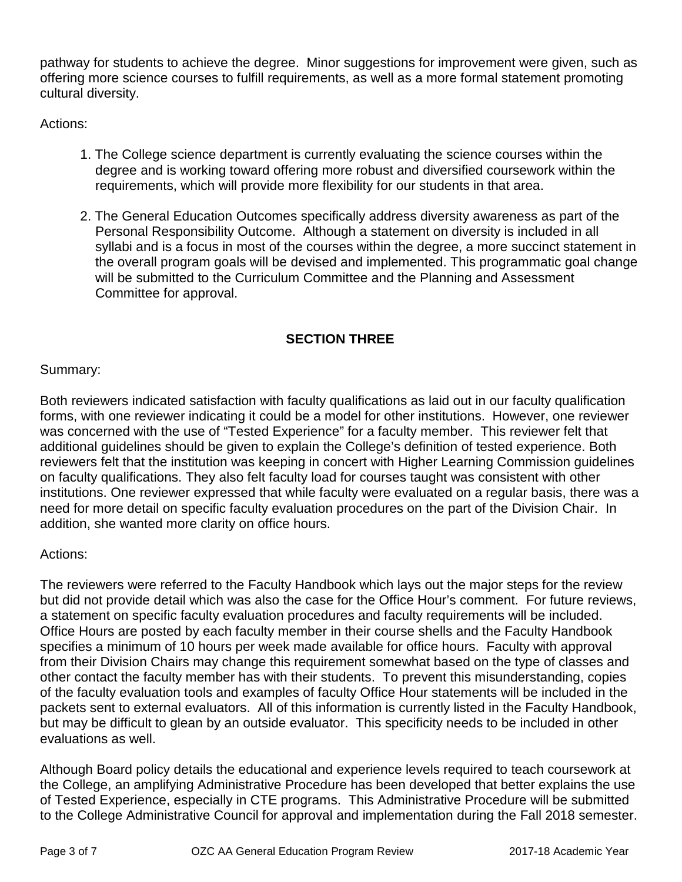pathway for students to achieve the degree. Minor suggestions for improvement were given, such as offering more science courses to fulfill requirements, as well as a more formal statement promoting cultural diversity.

Actions:

- 1. The College science department is currently evaluating the science courses within the degree and is working toward offering more robust and diversified coursework within the requirements, which will provide more flexibility for our students in that area.
- 2. The General Education Outcomes specifically address diversity awareness as part of the Personal Responsibility Outcome. Although a statement on diversity is included in all syllabi and is a focus in most of the courses within the degree, a more succinct statement in the overall program goals will be devised and implemented. This programmatic goal change will be submitted to the Curriculum Committee and the Planning and Assessment Committee for approval.

### **SECTION THREE**

### Summary:

Both reviewers indicated satisfaction with faculty qualifications as laid out in our faculty qualification forms, with one reviewer indicating it could be a model for other institutions. However, one reviewer was concerned with the use of "Tested Experience" for a faculty member. This reviewer felt that additional guidelines should be given to explain the College's definition of tested experience. Both reviewers felt that the institution was keeping in concert with Higher Learning Commission guidelines on faculty qualifications. They also felt faculty load for courses taught was consistent with other institutions. One reviewer expressed that while faculty were evaluated on a regular basis, there was a need for more detail on specific faculty evaluation procedures on the part of the Division Chair. In addition, she wanted more clarity on office hours.

### Actions:

The reviewers were referred to the Faculty Handbook which lays out the major steps for the review but did not provide detail which was also the case for the Office Hour's comment. For future reviews, a statement on specific faculty evaluation procedures and faculty requirements will be included. Office Hours are posted by each faculty member in their course shells and the Faculty Handbook specifies a minimum of 10 hours per week made available for office hours. Faculty with approval from their Division Chairs may change this requirement somewhat based on the type of classes and other contact the faculty member has with their students. To prevent this misunderstanding, copies of the faculty evaluation tools and examples of faculty Office Hour statements will be included in the packets sent to external evaluators. All of this information is currently listed in the Faculty Handbook, but may be difficult to glean by an outside evaluator. This specificity needs to be included in other evaluations as well.

Although Board policy details the educational and experience levels required to teach coursework at the College, an amplifying Administrative Procedure has been developed that better explains the use of Tested Experience, especially in CTE programs. This Administrative Procedure will be submitted to the College Administrative Council for approval and implementation during the Fall 2018 semester.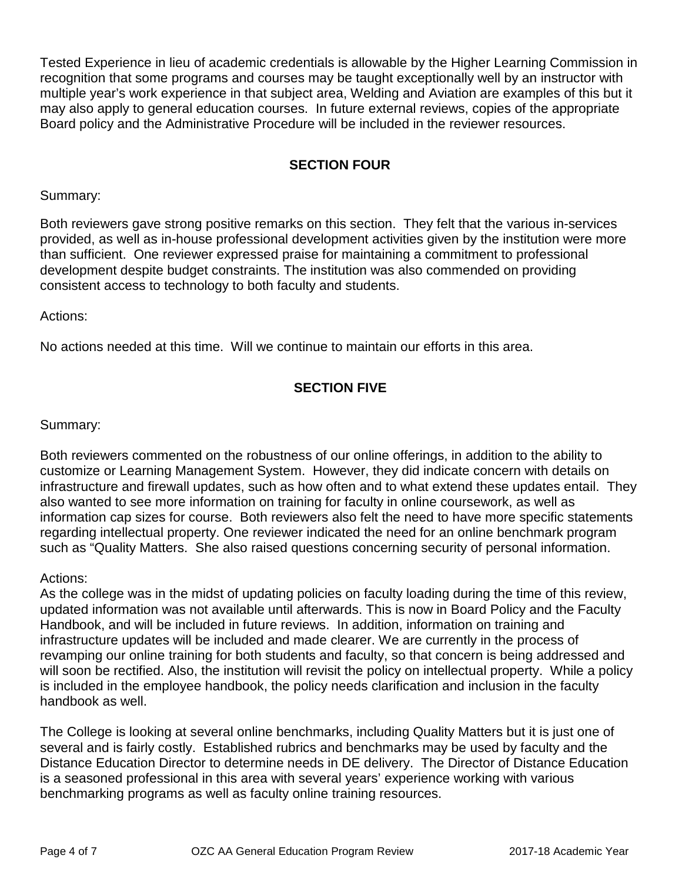Tested Experience in lieu of academic credentials is allowable by the Higher Learning Commission in recognition that some programs and courses may be taught exceptionally well by an instructor with multiple year's work experience in that subject area, Welding and Aviation are examples of this but it may also apply to general education courses. In future external reviews, copies of the appropriate Board policy and the Administrative Procedure will be included in the reviewer resources.

### **SECTION FOUR**

Summary:

Both reviewers gave strong positive remarks on this section. They felt that the various in-services provided, as well as in-house professional development activities given by the institution were more than sufficient. One reviewer expressed praise for maintaining a commitment to professional development despite budget constraints. The institution was also commended on providing consistent access to technology to both faculty and students.

Actions:

No actions needed at this time. Will we continue to maintain our efforts in this area.

### **SECTION FIVE**

Summary:

Both reviewers commented on the robustness of our online offerings, in addition to the ability to customize or Learning Management System. However, they did indicate concern with details on infrastructure and firewall updates, such as how often and to what extend these updates entail. They also wanted to see more information on training for faculty in online coursework, as well as information cap sizes for course. Both reviewers also felt the need to have more specific statements regarding intellectual property. One reviewer indicated the need for an online benchmark program such as "Quality Matters. She also raised questions concerning security of personal information.

Actions:

As the college was in the midst of updating policies on faculty loading during the time of this review, updated information was not available until afterwards. This is now in Board Policy and the Faculty Handbook, and will be included in future reviews. In addition, information on training and infrastructure updates will be included and made clearer. We are currently in the process of revamping our online training for both students and faculty, so that concern is being addressed and will soon be rectified. Also, the institution will revisit the policy on intellectual property. While a policy is included in the employee handbook, the policy needs clarification and inclusion in the faculty handbook as well.

The College is looking at several online benchmarks, including Quality Matters but it is just one of several and is fairly costly. Established rubrics and benchmarks may be used by faculty and the Distance Education Director to determine needs in DE delivery. The Director of Distance Education is a seasoned professional in this area with several years' experience working with various benchmarking programs as well as faculty online training resources.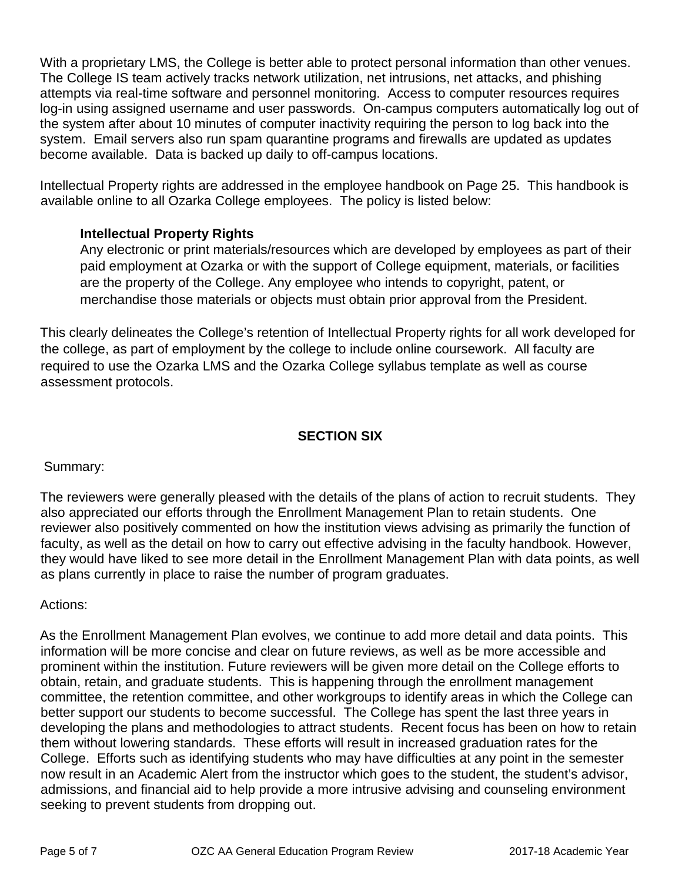With a proprietary LMS, the College is better able to protect personal information than other venues. The College IS team actively tracks network utilization, net intrusions, net attacks, and phishing attempts via real-time software and personnel monitoring. Access to computer resources requires log-in using assigned username and user passwords. On-campus computers automatically log out of the system after about 10 minutes of computer inactivity requiring the person to log back into the system. Email servers also run spam quarantine programs and firewalls are updated as updates become available. Data is backed up daily to off-campus locations.

Intellectual Property rights are addressed in the employee handbook on Page 25. This handbook is available online to all Ozarka College employees. The policy is listed below:

### **Intellectual Property Rights**

Any electronic or print materials/resources which are developed by employees as part of their paid employment at Ozarka or with the support of College equipment, materials, or facilities are the property of the College. Any employee who intends to copyright, patent, or merchandise those materials or objects must obtain prior approval from the President.

This clearly delineates the College's retention of Intellectual Property rights for all work developed for the college, as part of employment by the college to include online coursework. All faculty are required to use the Ozarka LMS and the Ozarka College syllabus template as well as course assessment protocols.

### **SECTION SIX**

Summary:

The reviewers were generally pleased with the details of the plans of action to recruit students. They also appreciated our efforts through the Enrollment Management Plan to retain students. One reviewer also positively commented on how the institution views advising as primarily the function of faculty, as well as the detail on how to carry out effective advising in the faculty handbook. However, they would have liked to see more detail in the Enrollment Management Plan with data points, as well as plans currently in place to raise the number of program graduates.

Actions:

As the Enrollment Management Plan evolves, we continue to add more detail and data points. This information will be more concise and clear on future reviews, as well as be more accessible and prominent within the institution. Future reviewers will be given more detail on the College efforts to obtain, retain, and graduate students. This is happening through the enrollment management committee, the retention committee, and other workgroups to identify areas in which the College can better support our students to become successful. The College has spent the last three years in developing the plans and methodologies to attract students. Recent focus has been on how to retain them without lowering standards. These efforts will result in increased graduation rates for the College. Efforts such as identifying students who may have difficulties at any point in the semester now result in an Academic Alert from the instructor which goes to the student, the student's advisor, admissions, and financial aid to help provide a more intrusive advising and counseling environment seeking to prevent students from dropping out.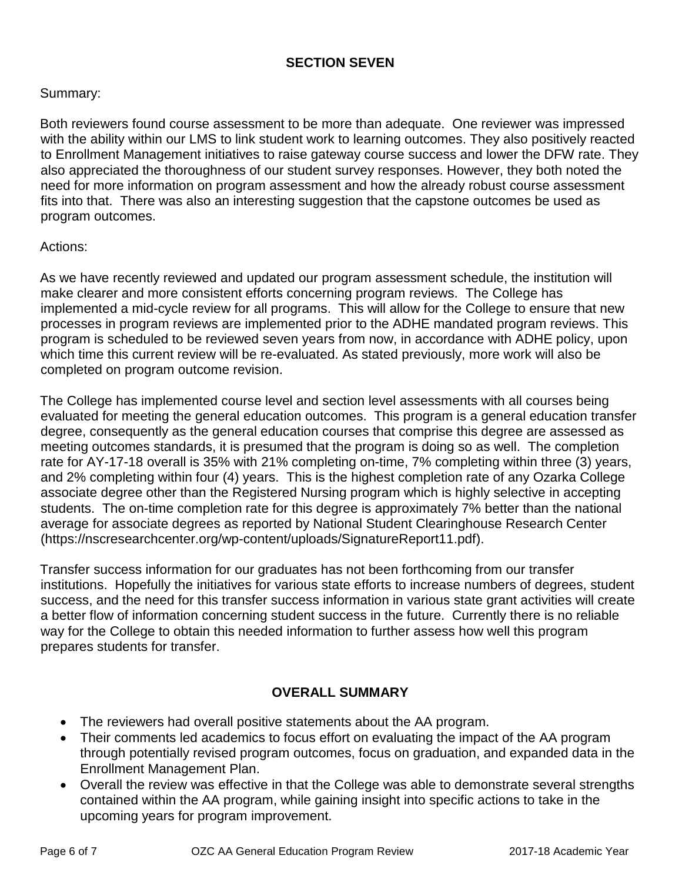### **SECTION SEVEN**

### Summary:

Both reviewers found course assessment to be more than adequate. One reviewer was impressed with the ability within our LMS to link student work to learning outcomes. They also positively reacted to Enrollment Management initiatives to raise gateway course success and lower the DFW rate. They also appreciated the thoroughness of our student survey responses. However, they both noted the need for more information on program assessment and how the already robust course assessment fits into that. There was also an interesting suggestion that the capstone outcomes be used as program outcomes.

### Actions:

As we have recently reviewed and updated our program assessment schedule, the institution will make clearer and more consistent efforts concerning program reviews. The College has implemented a mid-cycle review for all programs. This will allow for the College to ensure that new processes in program reviews are implemented prior to the ADHE mandated program reviews. This program is scheduled to be reviewed seven years from now, in accordance with ADHE policy, upon which time this current review will be re-evaluated. As stated previously, more work will also be completed on program outcome revision.

The College has implemented course level and section level assessments with all courses being evaluated for meeting the general education outcomes. This program is a general education transfer degree, consequently as the general education courses that comprise this degree are assessed as meeting outcomes standards, it is presumed that the program is doing so as well. The completion rate for AY-17-18 overall is 35% with 21% completing on-time, 7% completing within three (3) years, and 2% completing within four (4) years. This is the highest completion rate of any Ozarka College associate degree other than the Registered Nursing program which is highly selective in accepting students. The on-time completion rate for this degree is approximately 7% better than the national average for associate degrees as reported by National Student Clearinghouse Research Center (https://nscresearchcenter.org/wp-content/uploads/SignatureReport11.pdf).

Transfer success information for our graduates has not been forthcoming from our transfer institutions. Hopefully the initiatives for various state efforts to increase numbers of degrees, student success, and the need for this transfer success information in various state grant activities will create a better flow of information concerning student success in the future. Currently there is no reliable way for the College to obtain this needed information to further assess how well this program prepares students for transfer.

### **OVERALL SUMMARY**

- The reviewers had overall positive statements about the AA program.
- Their comments led academics to focus effort on evaluating the impact of the AA program through potentially revised program outcomes, focus on graduation, and expanded data in the Enrollment Management Plan.
- Overall the review was effective in that the College was able to demonstrate several strengths contained within the AA program, while gaining insight into specific actions to take in the upcoming years for program improvement.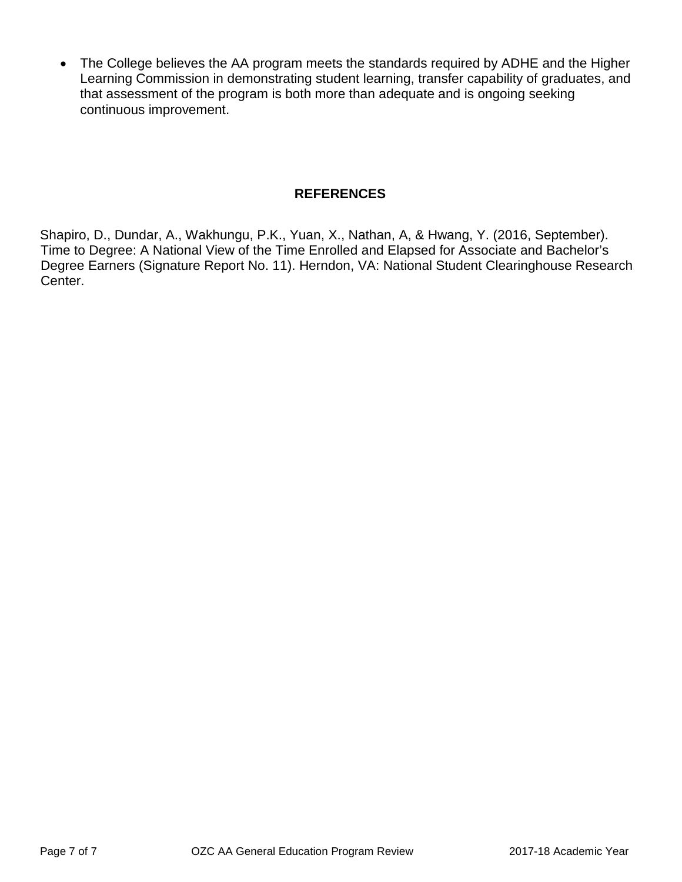• The College believes the AA program meets the standards required by ADHE and the Higher Learning Commission in demonstrating student learning, transfer capability of graduates, and that assessment of the program is both more than adequate and is ongoing seeking continuous improvement.

### **REFERENCES**

Shapiro, D., Dundar, A., Wakhungu, P.K., Yuan, X., Nathan, A, & Hwang, Y. (2016, September). Time to Degree: A National View of the Time Enrolled and Elapsed for Associate and Bachelor's Degree Earners (Signature Report No. 11). Herndon, VA: National Student Clearinghouse Research Center.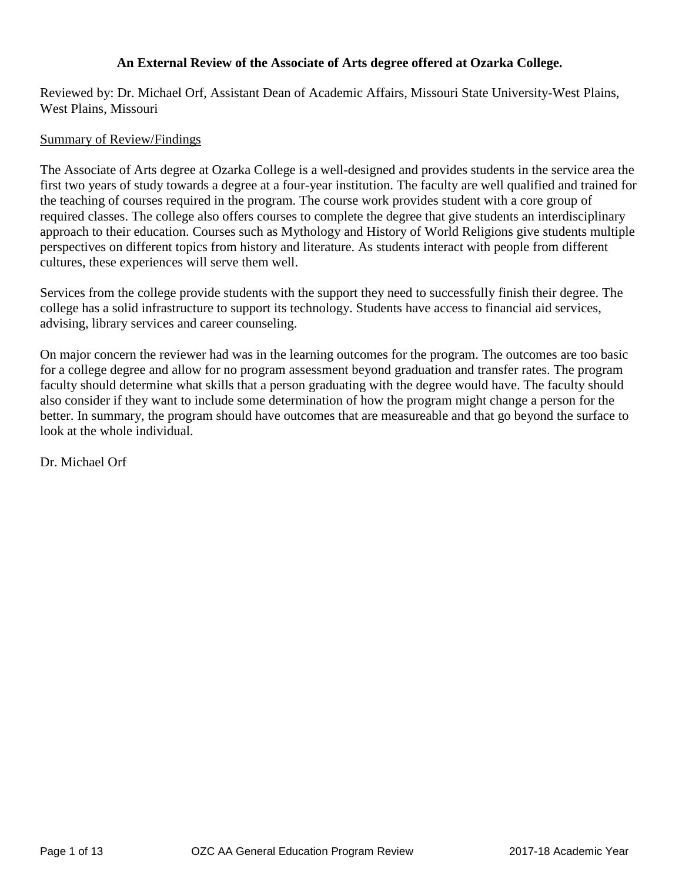### **An External Review of the Associate of Arts degree offered at Ozarka College.**

Reviewed by: Dr. Michael Orf, Assistant Dean of Academic Affairs, Missouri State University-West Plains, West Plains, Missouri

### Summary of Review/Findings

The Associate of Arts degree at Ozarka College is a well-designed and provides students in the service area the first two years of study towards a degree at a four-year institution. The faculty are well qualified and trained for the teaching of courses required in the program. The course work provides student with a core group of required classes. The college also offers courses to complete the degree that give students an interdisciplinary approach to their education. Courses such as Mythology and History of World Religions give students multiple perspectives on different topics from history and literature. As students interact with people from different cultures, these experiences will serve them well.

Services from the college provide students with the support they need to successfully finish their degree. The college has a solid infrastructure to support its technology. Students have access to financial aid services, advising, library services and career counseling.

On major concern the reviewer had was in the learning outcomes for the program. The outcomes are too basic for a college degree and allow for no program assessment beyond graduation and transfer rates. The program faculty should determine what skills that a person graduating with the degree would have. The faculty should also consider if they want to include some determination of how the program might change a person for the better. In summary, the program should have outcomes that are measureable and that go beyond the surface to look at the whole individual.

Dr. Michael Orf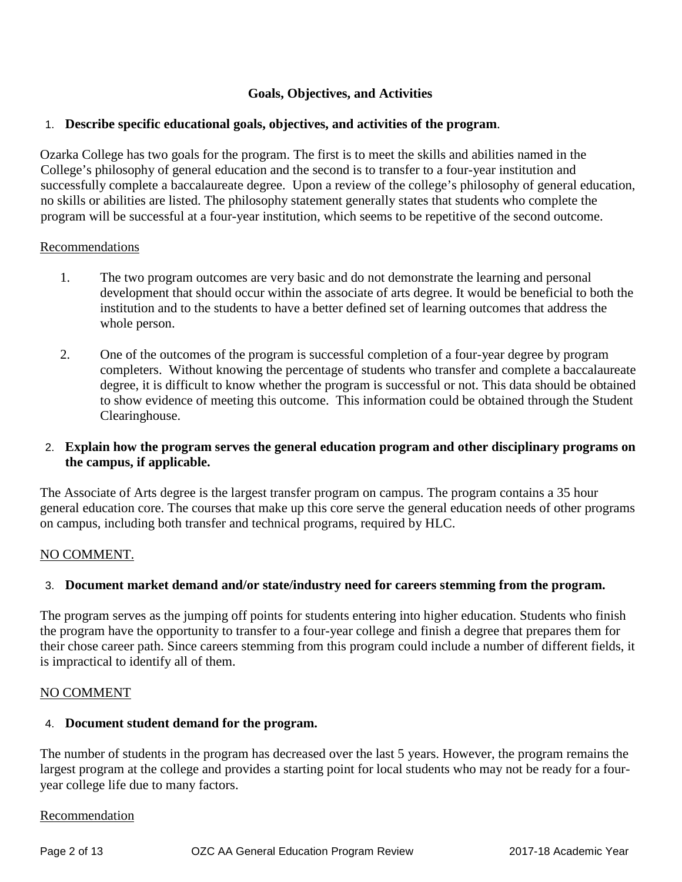### **Goals, Objectives, and Activities**

### 1. **Describe specific educational goals, objectives, and activities of the program**.

Ozarka College has two goals for the program. The first is to meet the skills and abilities named in the College's philosophy of general education and the second is to transfer to a four-year institution and successfully complete a baccalaureate degree. Upon a review of the college's philosophy of general education, no skills or abilities are listed. The philosophy statement generally states that students who complete the program will be successful at a four-year institution, which seems to be repetitive of the second outcome.

### Recommendations

- 1. The two program outcomes are very basic and do not demonstrate the learning and personal development that should occur within the associate of arts degree. It would be beneficial to both the institution and to the students to have a better defined set of learning outcomes that address the whole person.
- 2. One of the outcomes of the program is successful completion of a four-year degree by program completers. Without knowing the percentage of students who transfer and complete a baccalaureate degree, it is difficult to know whether the program is successful or not. This data should be obtained to show evidence of meeting this outcome. This information could be obtained through the Student Clearinghouse.

### 2. **Explain how the program serves the general education program and other disciplinary programs on the campus, if applicable.**

The Associate of Arts degree is the largest transfer program on campus. The program contains a 35 hour general education core. The courses that make up this core serve the general education needs of other programs on campus, including both transfer and technical programs, required by HLC.

### NO COMMENT.

### 3. **Document market demand and/or state/industry need for careers stemming from the program.**

The program serves as the jumping off points for students entering into higher education. Students who finish the program have the opportunity to transfer to a four-year college and finish a degree that prepares them for their chose career path. Since careers stemming from this program could include a number of different fields, it is impractical to identify all of them.

### NO COMMENT

### 4. **Document student demand for the program.**

The number of students in the program has decreased over the last 5 years. However, the program remains the largest program at the college and provides a starting point for local students who may not be ready for a fouryear college life due to many factors.

#### Recommendation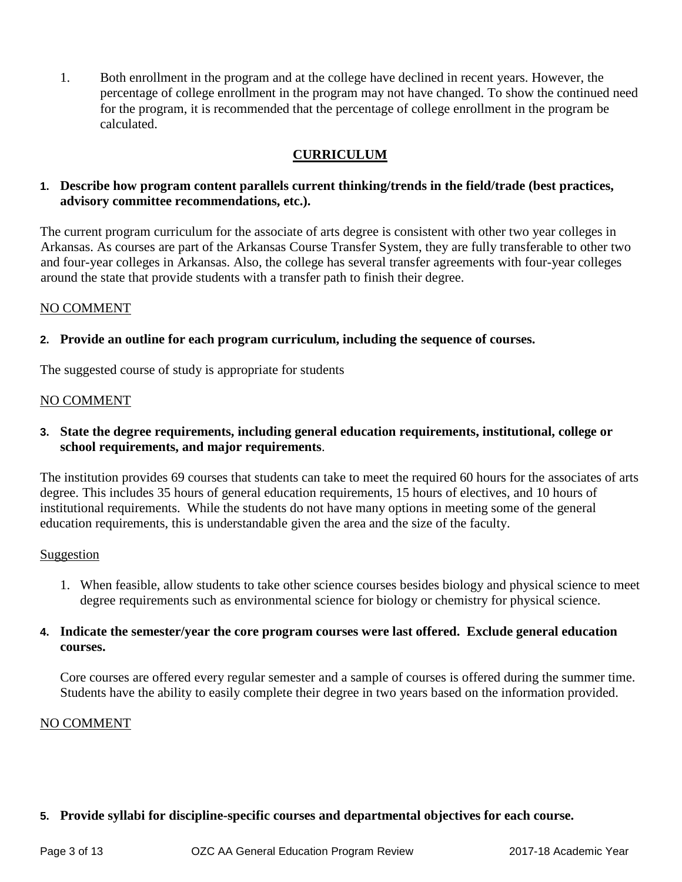1. Both enrollment in the program and at the college have declined in recent years. However, the percentage of college enrollment in the program may not have changed. To show the continued need for the program, it is recommended that the percentage of college enrollment in the program be calculated.

### **CURRICULUM**

### **1. Describe how program content parallels current thinking/trends in the field/trade (best practices, advisory committee recommendations, etc.).**

The current program curriculum for the associate of arts degree is consistent with other two year colleges in Arkansas. As courses are part of the Arkansas Course Transfer System, they are fully transferable to other two and four-year colleges in Arkansas. Also, the college has several transfer agreements with four-year colleges around the state that provide students with a transfer path to finish their degree.

### NO COMMENT

### **2. Provide an outline for each program curriculum, including the sequence of courses.**

The suggested course of study is appropriate for students

### NO COMMENT

**3. State the degree requirements, including general education requirements, institutional, college or school requirements, and major requirements**.

The institution provides 69 courses that students can take to meet the required 60 hours for the associates of arts degree. This includes 35 hours of general education requirements, 15 hours of electives, and 10 hours of institutional requirements. While the students do not have many options in meeting some of the general education requirements, this is understandable given the area and the size of the faculty.

### Suggestion

- 1. When feasible, allow students to take other science courses besides biology and physical science to meet degree requirements such as environmental science for biology or chemistry for physical science.
- **4. Indicate the semester/year the core program courses were last offered. Exclude general education courses.**

Core courses are offered every regular semester and a sample of courses is offered during the summer time. Students have the ability to easily complete their degree in two years based on the information provided.

### NO COMMENT

### **5. Provide syllabi for discipline-specific courses and departmental objectives for each course.**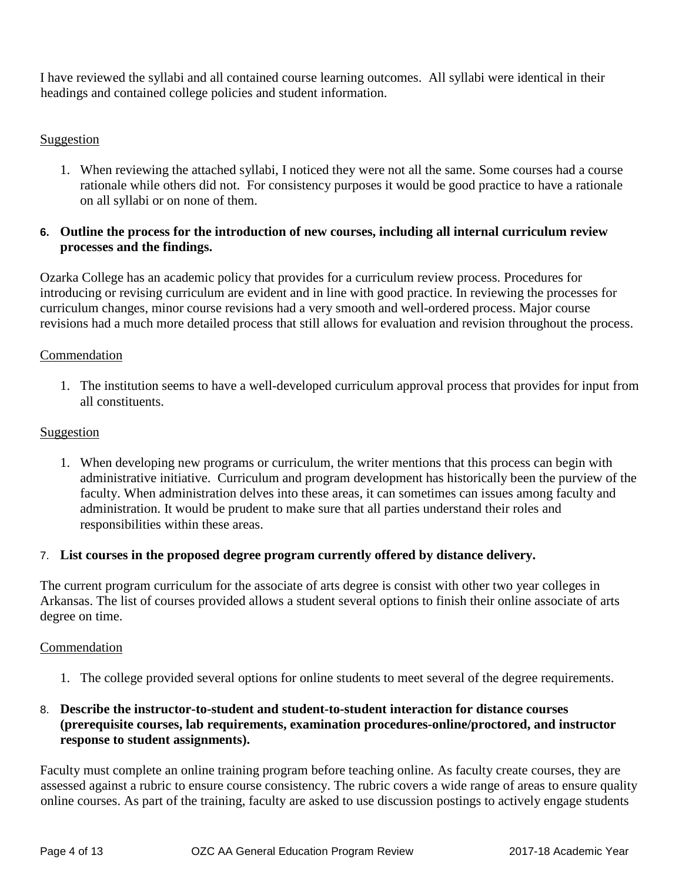I have reviewed the syllabi and all contained course learning outcomes. All syllabi were identical in their headings and contained college policies and student information.

### Suggestion

1. When reviewing the attached syllabi, I noticed they were not all the same. Some courses had a course rationale while others did not. For consistency purposes it would be good practice to have a rationale on all syllabi or on none of them.

### **6. Outline the process for the introduction of new courses, including all internal curriculum review processes and the findings.**

Ozarka College has an academic policy that provides for a curriculum review process. Procedures for introducing or revising curriculum are evident and in line with good practice. In reviewing the processes for curriculum changes, minor course revisions had a very smooth and well-ordered process. Major course revisions had a much more detailed process that still allows for evaluation and revision throughout the process.

### Commendation

1. The institution seems to have a well-developed curriculum approval process that provides for input from all constituents.

### Suggestion

1. When developing new programs or curriculum, the writer mentions that this process can begin with administrative initiative. Curriculum and program development has historically been the purview of the faculty. When administration delves into these areas, it can sometimes can issues among faculty and administration. It would be prudent to make sure that all parties understand their roles and responsibilities within these areas.

### 7. **List courses in the proposed degree program currently offered by distance delivery.**

The current program curriculum for the associate of arts degree is consist with other two year colleges in Arkansas. The list of courses provided allows a student several options to finish their online associate of arts degree on time.

### Commendation

1. The college provided several options for online students to meet several of the degree requirements.

### 8. **Describe the instructor-to-student and student-to-student interaction for distance courses (prerequisite courses, lab requirements, examination procedures-online/proctored, and instructor response to student assignments).**

Faculty must complete an online training program before teaching online. As faculty create courses, they are assessed against a rubric to ensure course consistency. The rubric covers a wide range of areas to ensure quality online courses. As part of the training, faculty are asked to use discussion postings to actively engage students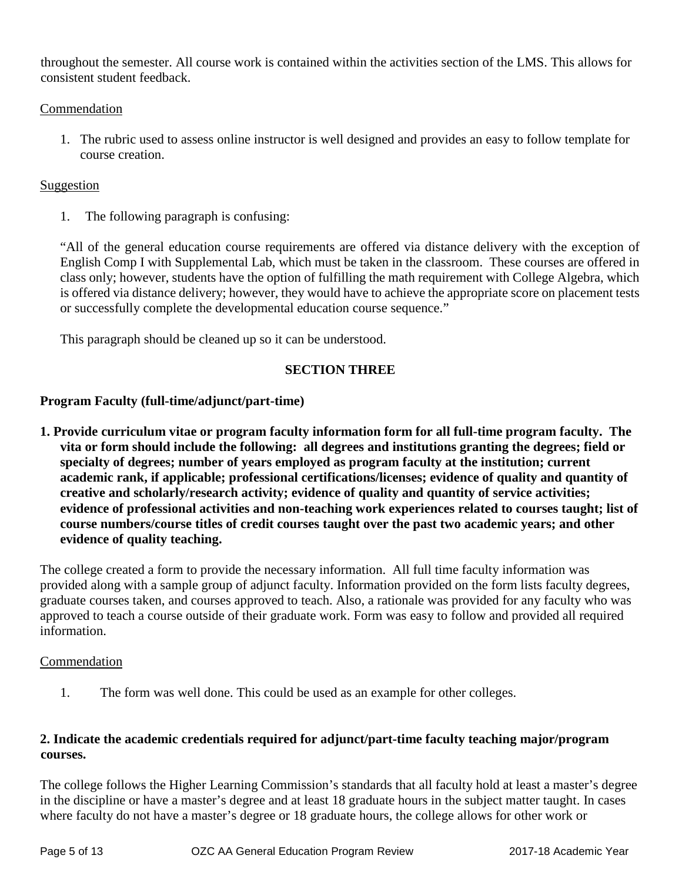throughout the semester. All course work is contained within the activities section of the LMS. This allows for consistent student feedback.

### Commendation

1. The rubric used to assess online instructor is well designed and provides an easy to follow template for course creation.

### Suggestion

1. The following paragraph is confusing:

"All of the general education course requirements are offered via distance delivery with the exception of English Comp I with Supplemental Lab, which must be taken in the classroom. These courses are offered in class only; however, students have the option of fulfilling the math requirement with College Algebra, which is offered via distance delivery; however, they would have to achieve the appropriate score on placement tests or successfully complete the developmental education course sequence."

This paragraph should be cleaned up so it can be understood.

### **SECTION THREE**

### **Program Faculty (full-time/adjunct/part-time)**

**1. Provide curriculum vitae or program faculty information form for all full-time program faculty. The vita or form should include the following: all degrees and institutions granting the degrees; field or specialty of degrees; number of years employed as program faculty at the institution; current academic rank, if applicable; professional certifications/licenses; evidence of quality and quantity of creative and scholarly/research activity; evidence of quality and quantity of service activities; evidence of professional activities and non-teaching work experiences related to courses taught; list of course numbers/course titles of credit courses taught over the past two academic years; and other evidence of quality teaching.** 

The college created a form to provide the necessary information. All full time faculty information was provided along with a sample group of adjunct faculty. Information provided on the form lists faculty degrees, graduate courses taken, and courses approved to teach. Also, a rationale was provided for any faculty who was approved to teach a course outside of their graduate work. Form was easy to follow and provided all required information.

### Commendation

1. The form was well done. This could be used as an example for other colleges.

### **2. Indicate the academic credentials required for adjunct/part-time faculty teaching major/program courses.**

The college follows the Higher Learning Commission's standards that all faculty hold at least a master's degree in the discipline or have a master's degree and at least 18 graduate hours in the subject matter taught. In cases where faculty do not have a master's degree or 18 graduate hours, the college allows for other work or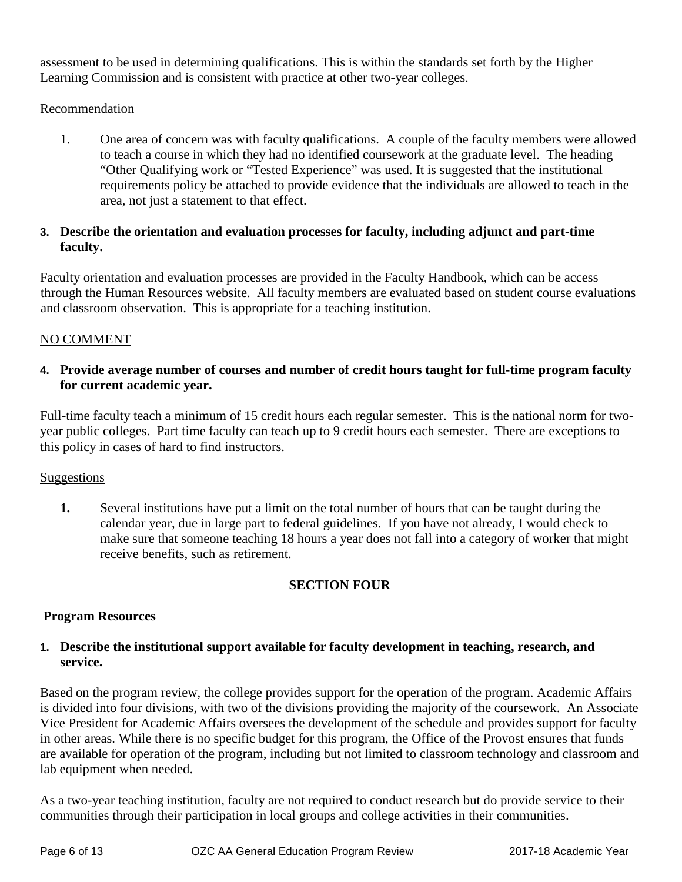assessment to be used in determining qualifications. This is within the standards set forth by the Higher Learning Commission and is consistent with practice at other two-year colleges.

### Recommendation

1. One area of concern was with faculty qualifications. A couple of the faculty members were allowed to teach a course in which they had no identified coursework at the graduate level. The heading "Other Qualifying work or "Tested Experience" was used. It is suggested that the institutional requirements policy be attached to provide evidence that the individuals are allowed to teach in the area, not just a statement to that effect.

### **3. Describe the orientation and evaluation processes for faculty, including adjunct and part-time faculty.**

Faculty orientation and evaluation processes are provided in the Faculty Handbook, which can be access through the Human Resources website. All faculty members are evaluated based on student course evaluations and classroom observation. This is appropriate for a teaching institution.

### NO COMMENT

### **4. Provide average number of courses and number of credit hours taught for full-time program faculty for current academic year.**

Full-time faculty teach a minimum of 15 credit hours each regular semester. This is the national norm for twoyear public colleges. Part time faculty can teach up to 9 credit hours each semester. There are exceptions to this policy in cases of hard to find instructors.

### **Suggestions**

**1.** Several institutions have put a limit on the total number of hours that can be taught during the calendar year, due in large part to federal guidelines. If you have not already, I would check to make sure that someone teaching 18 hours a year does not fall into a category of worker that might receive benefits, such as retirement.

### **SECTION FOUR**

### **Program Resources**

### **1. Describe the institutional support available for faculty development in teaching, research, and service.**

Based on the program review, the college provides support for the operation of the program. Academic Affairs is divided into four divisions, with two of the divisions providing the majority of the coursework. An Associate Vice President for Academic Affairs oversees the development of the schedule and provides support for faculty in other areas. While there is no specific budget for this program, the Office of the Provost ensures that funds are available for operation of the program, including but not limited to classroom technology and classroom and lab equipment when needed.

As a two-year teaching institution, faculty are not required to conduct research but do provide service to their communities through their participation in local groups and college activities in their communities.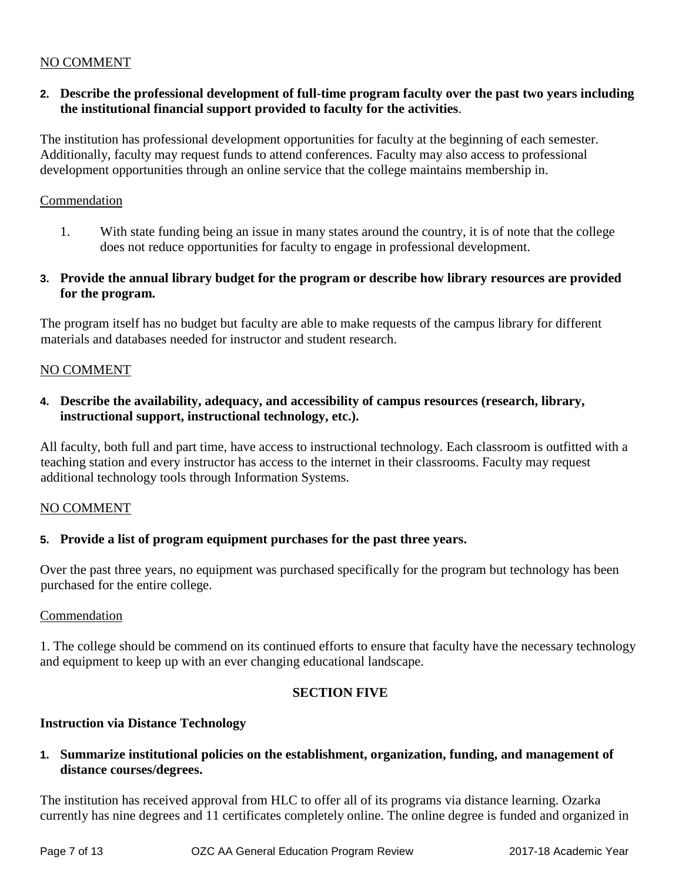### NO COMMENT

### **2. Describe the professional development of full-time program faculty over the past two years including the institutional financial support provided to faculty for the activities**.

The institution has professional development opportunities for faculty at the beginning of each semester. Additionally, faculty may request funds to attend conferences. Faculty may also access to professional development opportunities through an online service that the college maintains membership in.

### Commendation

- 1. With state funding being an issue in many states around the country, it is of note that the college does not reduce opportunities for faculty to engage in professional development.
- **3. Provide the annual library budget for the program or describe how library resources are provided for the program.**

The program itself has no budget but faculty are able to make requests of the campus library for different materials and databases needed for instructor and student research.

### NO COMMENT

**4. Describe the availability, adequacy, and accessibility of campus resources (research, library, instructional support, instructional technology, etc.).** 

All faculty, both full and part time, have access to instructional technology. Each classroom is outfitted with a teaching station and every instructor has access to the internet in their classrooms. Faculty may request additional technology tools through Information Systems.

### NO COMMENT

### **5. Provide a list of program equipment purchases for the past three years.**

Over the past three years, no equipment was purchased specifically for the program but technology has been purchased for the entire college.

### Commendation

1. The college should be commend on its continued efforts to ensure that faculty have the necessary technology and equipment to keep up with an ever changing educational landscape.

### **SECTION FIVE**

### **Instruction via Distance Technology**

**1. Summarize institutional policies on the establishment, organization, funding, and management of distance courses/degrees.** 

The institution has received approval from HLC to offer all of its programs via distance learning. Ozarka currently has nine degrees and 11 certificates completely online. The online degree is funded and organized in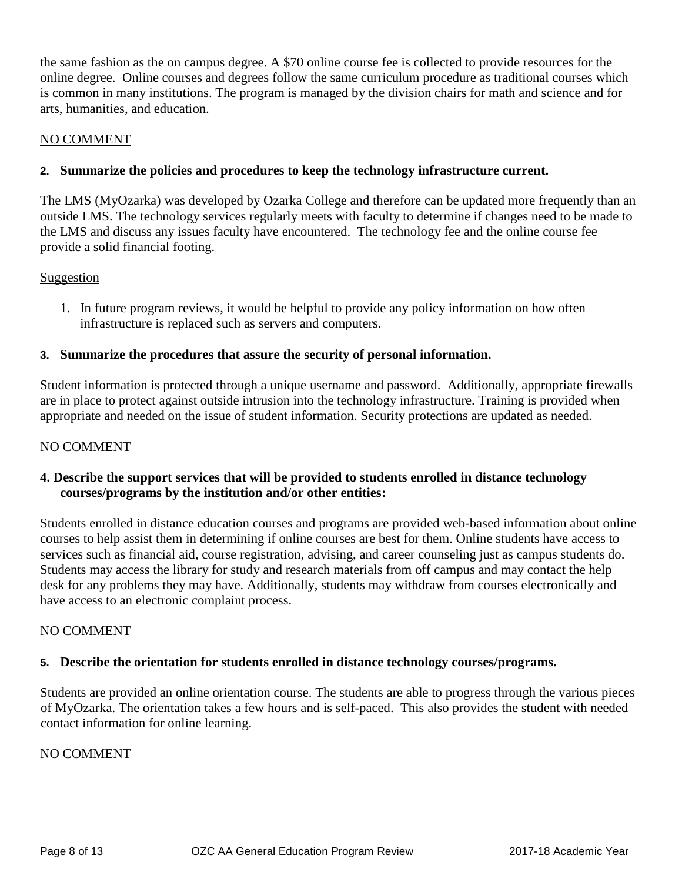the same fashion as the on campus degree. A \$70 online course fee is collected to provide resources for the online degree. Online courses and degrees follow the same curriculum procedure as traditional courses which is common in many institutions. The program is managed by the division chairs for math and science and for arts, humanities, and education.

### NO COMMENT

### **2. Summarize the policies and procedures to keep the technology infrastructure current.**

The LMS (MyOzarka) was developed by Ozarka College and therefore can be updated more frequently than an outside LMS. The technology services regularly meets with faculty to determine if changes need to be made to the LMS and discuss any issues faculty have encountered. The technology fee and the online course fee provide a solid financial footing.

### Suggestion

1. In future program reviews, it would be helpful to provide any policy information on how often infrastructure is replaced such as servers and computers.

### **3. Summarize the procedures that assure the security of personal information.**

Student information is protected through a unique username and password. Additionally, appropriate firewalls are in place to protect against outside intrusion into the technology infrastructure. Training is provided when appropriate and needed on the issue of student information. Security protections are updated as needed.

### NO COMMENT

### **4. Describe the support services that will be provided to students enrolled in distance technology courses/programs by the institution and/or other entities:**

Students enrolled in distance education courses and programs are provided web-based information about online courses to help assist them in determining if online courses are best for them. Online students have access to services such as financial aid, course registration, advising, and career counseling just as campus students do. Students may access the library for study and research materials from off campus and may contact the help desk for any problems they may have. Additionally, students may withdraw from courses electronically and have access to an electronic complaint process.

### NO COMMENT

### **5. Describe the orientation for students enrolled in distance technology courses/programs.**

Students are provided an online orientation course. The students are able to progress through the various pieces of MyOzarka. The orientation takes a few hours and is self-paced. This also provides the student with needed contact information for online learning.

### NO COMMENT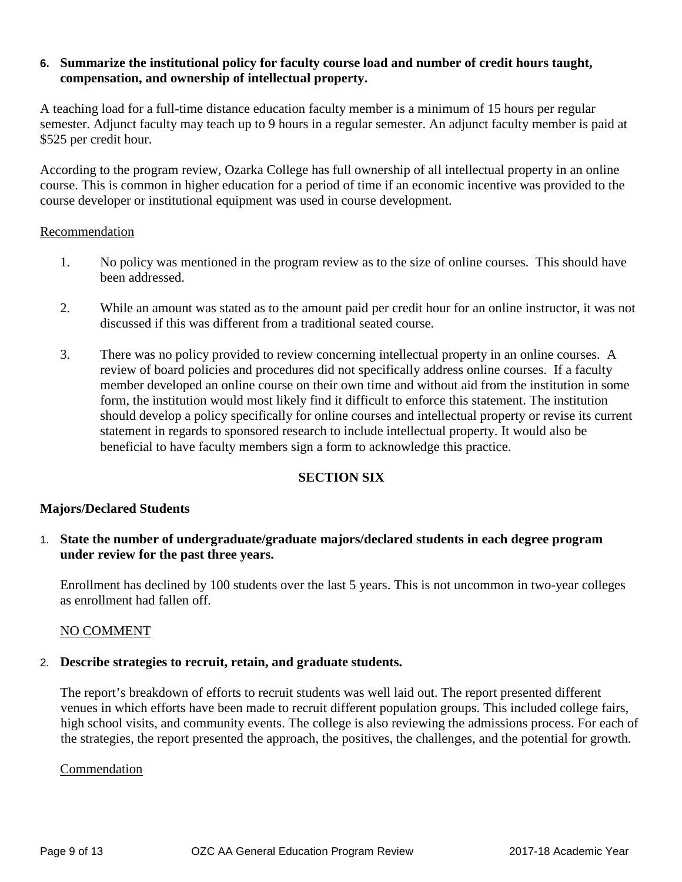### **6. Summarize the institutional policy for faculty course load and number of credit hours taught, compensation, and ownership of intellectual property.**

A teaching load for a full-time distance education faculty member is a minimum of 15 hours per regular semester. Adjunct faculty may teach up to 9 hours in a regular semester. An adjunct faculty member is paid at \$525 per credit hour.

According to the program review, Ozarka College has full ownership of all intellectual property in an online course. This is common in higher education for a period of time if an economic incentive was provided to the course developer or institutional equipment was used in course development.

### Recommendation

- 1. No policy was mentioned in the program review as to the size of online courses. This should have been addressed.
- 2. While an amount was stated as to the amount paid per credit hour for an online instructor, it was not discussed if this was different from a traditional seated course.
- 3. There was no policy provided to review concerning intellectual property in an online courses. A review of board policies and procedures did not specifically address online courses. If a faculty member developed an online course on their own time and without aid from the institution in some form, the institution would most likely find it difficult to enforce this statement. The institution should develop a policy specifically for online courses and intellectual property or revise its current statement in regards to sponsored research to include intellectual property. It would also be beneficial to have faculty members sign a form to acknowledge this practice.

### **SECTION SIX**

### **Majors/Declared Students**

1. **State the number of undergraduate/graduate majors/declared students in each degree program under review for the past three years.** 

Enrollment has declined by 100 students over the last 5 years. This is not uncommon in two-year colleges as enrollment had fallen off.

### NO COMMENT

### 2. **Describe strategies to recruit, retain, and graduate students.**

The report's breakdown of efforts to recruit students was well laid out. The report presented different venues in which efforts have been made to recruit different population groups. This included college fairs, high school visits, and community events. The college is also reviewing the admissions process. For each of the strategies, the report presented the approach, the positives, the challenges, and the potential for growth.

### Commendation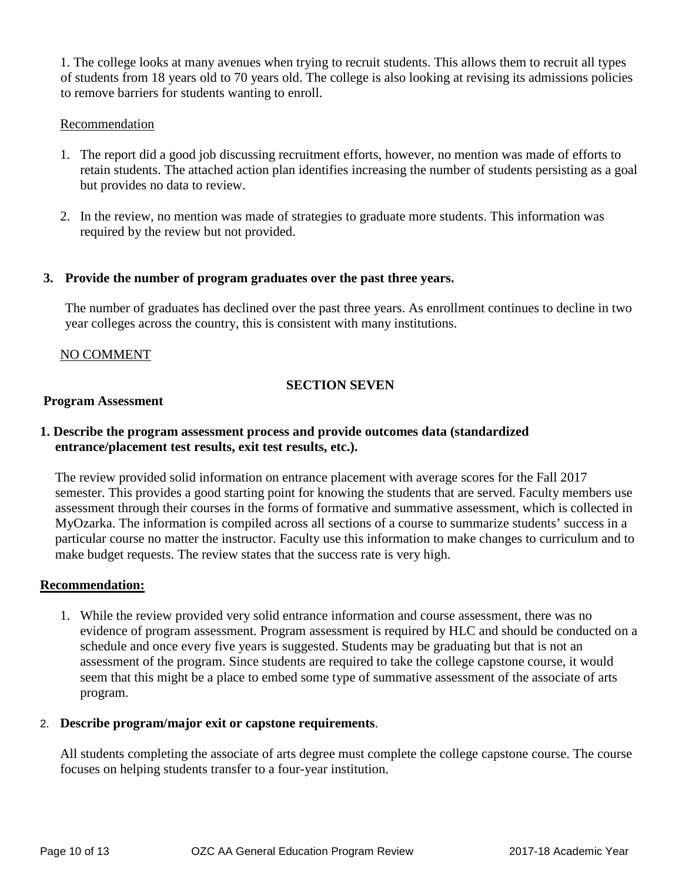1. The college looks at many avenues when trying to recruit students. This allows them to recruit all types of students from 18 years old to 70 years old. The college is also looking at revising its admissions policies to remove barriers for students wanting to enroll.

### Recommendation

- 1. The report did a good job discussing recruitment efforts, however, no mention was made of efforts to retain students. The attached action plan identifies increasing the number of students persisting as a goal but provides no data to review.
- 2. In the review, no mention was made of strategies to graduate more students. This information was required by the review but not provided.

### **3. Provide the number of program graduates over the past three years.**

The number of graduates has declined over the past three years. As enrollment continues to decline in two year colleges across the country, this is consistent with many institutions.

### NO COMMENT

### **SECTION SEVEN**

### **Program Assessment**

### **1. Describe the program assessment process and provide outcomes data (standardized entrance/placement test results, exit test results, etc.).**

The review provided solid information on entrance placement with average scores for the Fall 2017 semester. This provides a good starting point for knowing the students that are served. Faculty members use assessment through their courses in the forms of formative and summative assessment, which is collected in MyOzarka. The information is compiled across all sections of a course to summarize students' success in a particular course no matter the instructor. Faculty use this information to make changes to curriculum and to make budget requests. The review states that the success rate is very high.

### **Recommendation:**

1. While the review provided very solid entrance information and course assessment, there was no evidence of program assessment. Program assessment is required by HLC and should be conducted on a schedule and once every five years is suggested. Students may be graduating but that is not an assessment of the program. Since students are required to take the college capstone course, it would seem that this might be a place to embed some type of summative assessment of the associate of arts program.

### 2. **Describe program/major exit or capstone requirements**.

All students completing the associate of arts degree must complete the college capstone course. The course focuses on helping students transfer to a four-year institution.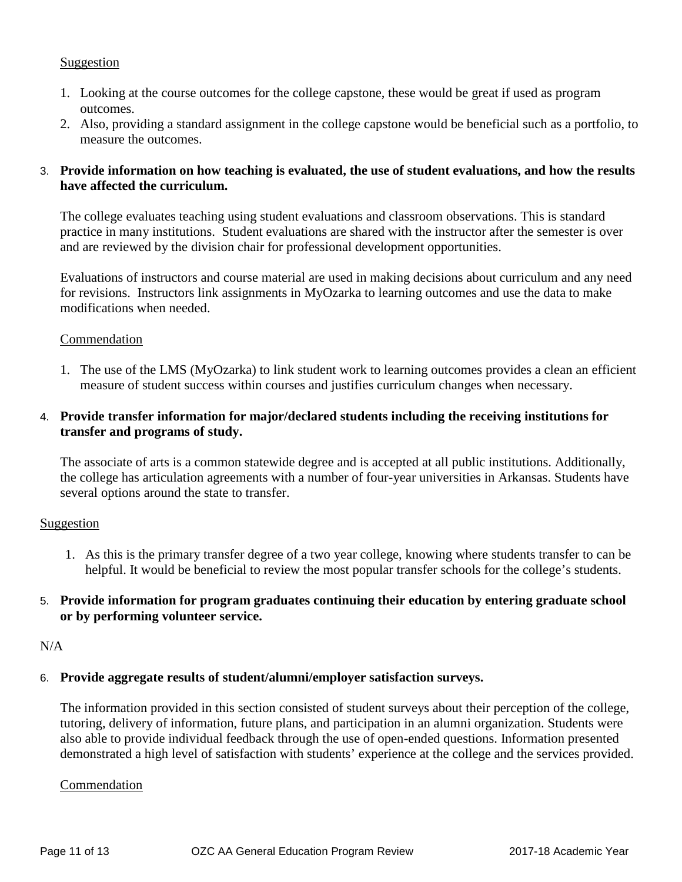### Suggestion

- 1. Looking at the course outcomes for the college capstone, these would be great if used as program outcomes.
- 2. Also, providing a standard assignment in the college capstone would be beneficial such as a portfolio, to measure the outcomes.

### 3. **Provide information on how teaching is evaluated, the use of student evaluations, and how the results have affected the curriculum.**

The college evaluates teaching using student evaluations and classroom observations. This is standard practice in many institutions. Student evaluations are shared with the instructor after the semester is over and are reviewed by the division chair for professional development opportunities.

Evaluations of instructors and course material are used in making decisions about curriculum and any need for revisions. Instructors link assignments in MyOzarka to learning outcomes and use the data to make modifications when needed.

### Commendation

1. The use of the LMS (MyOzarka) to link student work to learning outcomes provides a clean an efficient measure of student success within courses and justifies curriculum changes when necessary.

### 4. **Provide transfer information for major/declared students including the receiving institutions for transfer and programs of study.**

The associate of arts is a common statewide degree and is accepted at all public institutions. Additionally, the college has articulation agreements with a number of four-year universities in Arkansas. Students have several options around the state to transfer.

### Suggestion

1. As this is the primary transfer degree of a two year college, knowing where students transfer to can be helpful. It would be beneficial to review the most popular transfer schools for the college's students.

### 5. **Provide information for program graduates continuing their education by entering graduate school or by performing volunteer service.**

### N/A

### 6. **Provide aggregate results of student/alumni/employer satisfaction surveys.**

The information provided in this section consisted of student surveys about their perception of the college, tutoring, delivery of information, future plans, and participation in an alumni organization. Students were also able to provide individual feedback through the use of open-ended questions. Information presented demonstrated a high level of satisfaction with students' experience at the college and the services provided.

### **Commendation**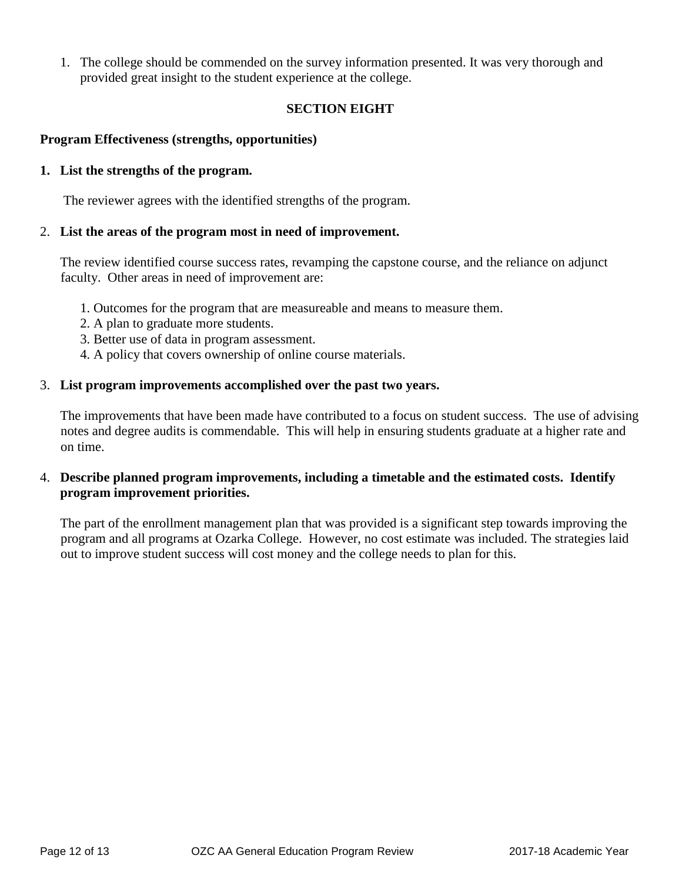1. The college should be commended on the survey information presented. It was very thorough and provided great insight to the student experience at the college.

### **SECTION EIGHT**

### **Program Effectiveness (strengths, opportunities)**

### **1. List the strengths of the program.**

The reviewer agrees with the identified strengths of the program.

### 2. **List the areas of the program most in need of improvement.**

The review identified course success rates, revamping the capstone course, and the reliance on adjunct faculty. Other areas in need of improvement are:

- 1. Outcomes for the program that are measureable and means to measure them.
- 2. A plan to graduate more students.
- 3. Better use of data in program assessment.
- 4. A policy that covers ownership of online course materials.

### 3. **List program improvements accomplished over the past two years.**

The improvements that have been made have contributed to a focus on student success. The use of advising notes and degree audits is commendable. This will help in ensuring students graduate at a higher rate and on time.

### 4. **Describe planned program improvements, including a timetable and the estimated costs. Identify program improvement priorities.**

The part of the enrollment management plan that was provided is a significant step towards improving the program and all programs at Ozarka College. However, no cost estimate was included. The strategies laid out to improve student success will cost money and the college needs to plan for this.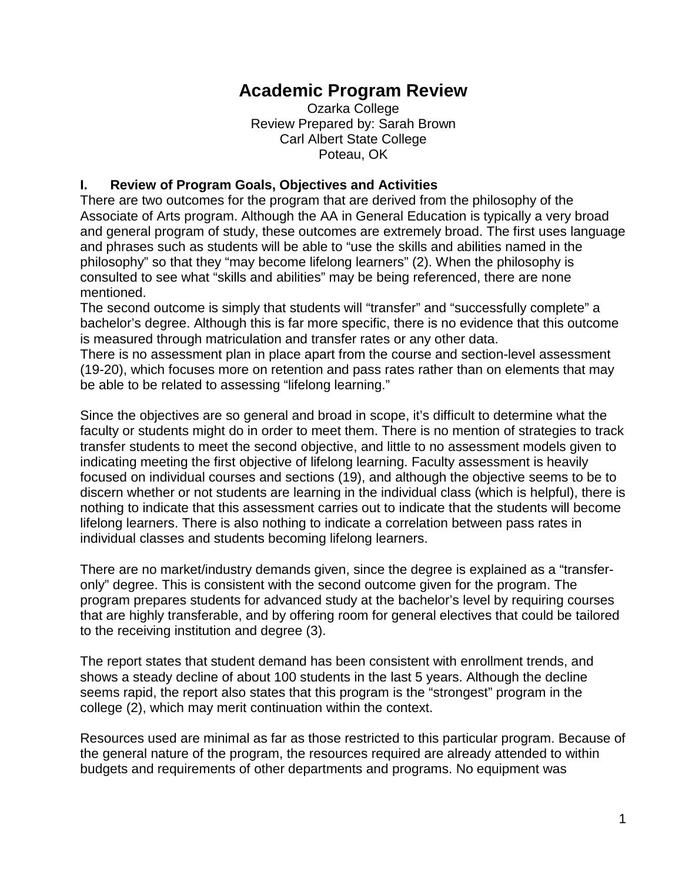### **Academic Program Review**

Ozarka College Review Prepared by: Sarah Brown Carl Albert State College Poteau, OK

### **I. Review of Program Goals, Objectives and Activities**

There are two outcomes for the program that are derived from the philosophy of the Associate of Arts program. Although the AA in General Education is typically a very broad and general program of study, these outcomes are extremely broad. The first uses language and phrases such as students will be able to "use the skills and abilities named in the philosophy" so that they "may become lifelong learners" (2). When the philosophy is consulted to see what "skills and abilities" may be being referenced, there are none mentioned.

The second outcome is simply that students will "transfer" and "successfully complete" a bachelor's degree. Although this is far more specific, there is no evidence that this outcome is measured through matriculation and transfer rates or any other data.

There is no assessment plan in place apart from the course and section-level assessment (19-20), which focuses more on retention and pass rates rather than on elements that may be able to be related to assessing "lifelong learning."

Since the objectives are so general and broad in scope, it's difficult to determine what the faculty or students might do in order to meet them. There is no mention of strategies to track transfer students to meet the second objective, and little to no assessment models given to indicating meeting the first objective of lifelong learning. Faculty assessment is heavily focused on individual courses and sections (19), and although the objective seems to be to discern whether or not students are learning in the individual class (which is helpful), there is nothing to indicate that this assessment carries out to indicate that the students will become lifelong learners. There is also nothing to indicate a correlation between pass rates in individual classes and students becoming lifelong learners.

There are no market/industry demands given, since the degree is explained as a "transferonly" degree. This is consistent with the second outcome given for the program. The program prepares students for advanced study at the bachelor's level by requiring courses that are highly transferable, and by offering room for general electives that could be tailored to the receiving institution and degree (3).

The report states that student demand has been consistent with enrollment trends, and shows a steady decline of about 100 students in the last 5 years. Although the decline seems rapid, the report also states that this program is the "strongest" program in the college (2), which may merit continuation within the context.

Resources used are minimal as far as those restricted to this particular program. Because of the general nature of the program, the resources required are already attended to within budgets and requirements of other departments and programs. No equipment was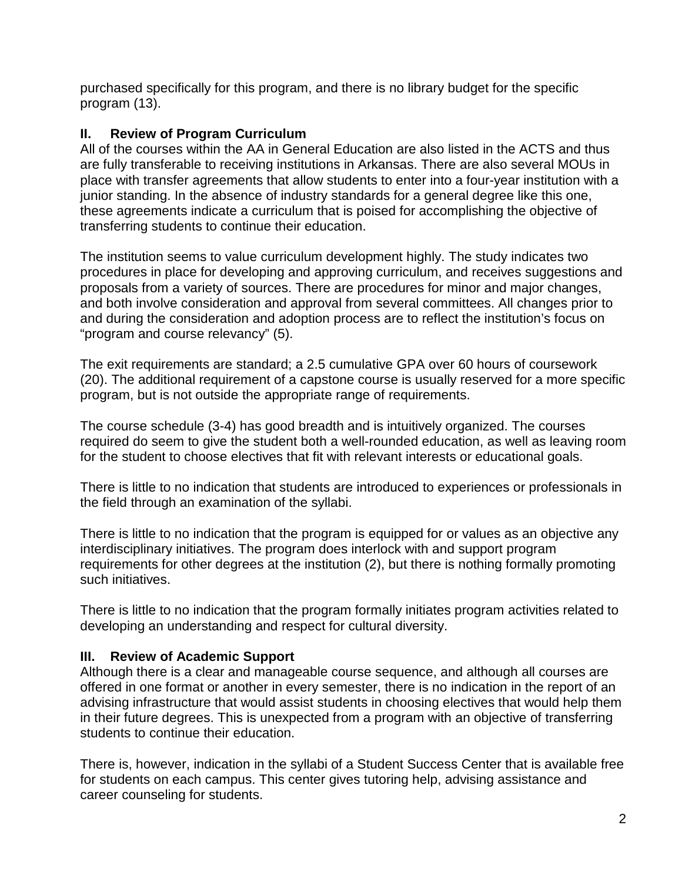purchased specifically for this program, and there is no library budget for the specific program (13).

### **II. Review of Program Curriculum**

All of the courses within the AA in General Education are also listed in the ACTS and thus are fully transferable to receiving institutions in Arkansas. There are also several MOUs in place with transfer agreements that allow students to enter into a four-year institution with a junior standing. In the absence of industry standards for a general degree like this one, these agreements indicate a curriculum that is poised for accomplishing the objective of transferring students to continue their education.

The institution seems to value curriculum development highly. The study indicates two procedures in place for developing and approving curriculum, and receives suggestions and proposals from a variety of sources. There are procedures for minor and major changes, and both involve consideration and approval from several committees. All changes prior to and during the consideration and adoption process are to reflect the institution's focus on "program and course relevancy" (5).

The exit requirements are standard; a 2.5 cumulative GPA over 60 hours of coursework (20). The additional requirement of a capstone course is usually reserved for a more specific program, but is not outside the appropriate range of requirements.

The course schedule (3-4) has good breadth and is intuitively organized. The courses required do seem to give the student both a well-rounded education, as well as leaving room for the student to choose electives that fit with relevant interests or educational goals.

There is little to no indication that students are introduced to experiences or professionals in the field through an examination of the syllabi.

There is little to no indication that the program is equipped for or values as an objective any interdisciplinary initiatives. The program does interlock with and support program requirements for other degrees at the institution (2), but there is nothing formally promoting such initiatives.

There is little to no indication that the program formally initiates program activities related to developing an understanding and respect for cultural diversity.

### **III. Review of Academic Support**

Although there is a clear and manageable course sequence, and although all courses are offered in one format or another in every semester, there is no indication in the report of an advising infrastructure that would assist students in choosing electives that would help them in their future degrees. This is unexpected from a program with an objective of transferring students to continue their education.

There is, however, indication in the syllabi of a Student Success Center that is available free for students on each campus. This center gives tutoring help, advising assistance and career counseling for students.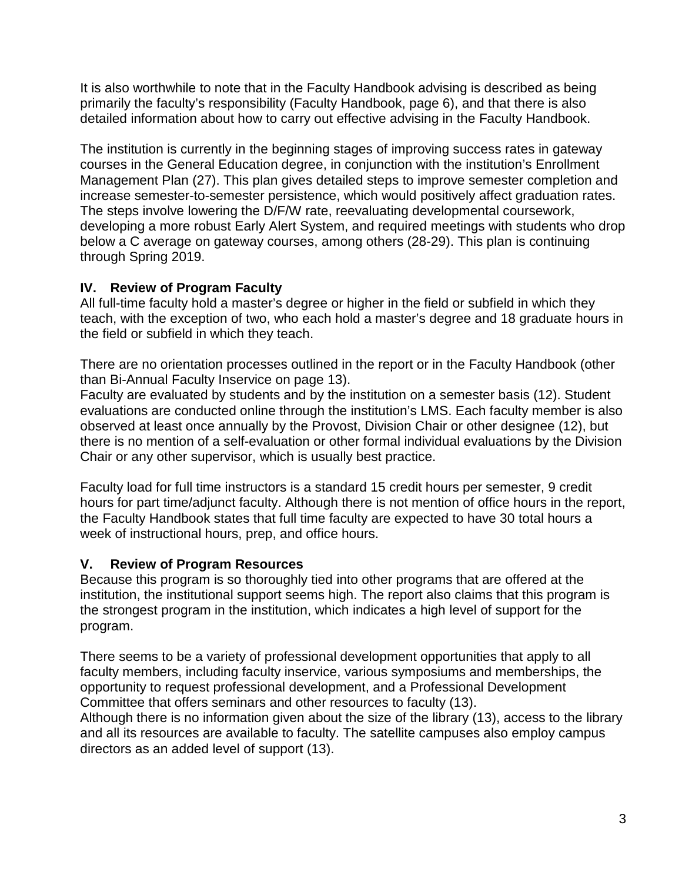It is also worthwhile to note that in the Faculty Handbook advising is described as being primarily the faculty's responsibility (Faculty Handbook, page 6), and that there is also detailed information about how to carry out effective advising in the Faculty Handbook.

The institution is currently in the beginning stages of improving success rates in gateway courses in the General Education degree, in conjunction with the institution's Enrollment Management Plan (27). This plan gives detailed steps to improve semester completion and increase semester-to-semester persistence, which would positively affect graduation rates. The steps involve lowering the D/F/W rate, reevaluating developmental coursework, developing a more robust Early Alert System, and required meetings with students who drop below a C average on gateway courses, among others (28-29). This plan is continuing through Spring 2019.

### **IV. Review of Program Faculty**

All full-time faculty hold a master's degree or higher in the field or subfield in which they teach, with the exception of two, who each hold a master's degree and 18 graduate hours in the field or subfield in which they teach.

There are no orientation processes outlined in the report or in the Faculty Handbook (other than Bi-Annual Faculty Inservice on page 13).

Faculty are evaluated by students and by the institution on a semester basis (12). Student evaluations are conducted online through the institution's LMS. Each faculty member is also observed at least once annually by the Provost, Division Chair or other designee (12), but there is no mention of a self-evaluation or other formal individual evaluations by the Division Chair or any other supervisor, which is usually best practice.

Faculty load for full time instructors is a standard 15 credit hours per semester, 9 credit hours for part time/adjunct faculty. Although there is not mention of office hours in the report, the Faculty Handbook states that full time faculty are expected to have 30 total hours a week of instructional hours, prep, and office hours.

### **V. Review of Program Resources**

Because this program is so thoroughly tied into other programs that are offered at the institution, the institutional support seems high. The report also claims that this program is the strongest program in the institution, which indicates a high level of support for the program.

There seems to be a variety of professional development opportunities that apply to all faculty members, including faculty inservice, various symposiums and memberships, the opportunity to request professional development, and a Professional Development Committee that offers seminars and other resources to faculty (13).

Although there is no information given about the size of the library (13), access to the library and all its resources are available to faculty. The satellite campuses also employ campus directors as an added level of support (13).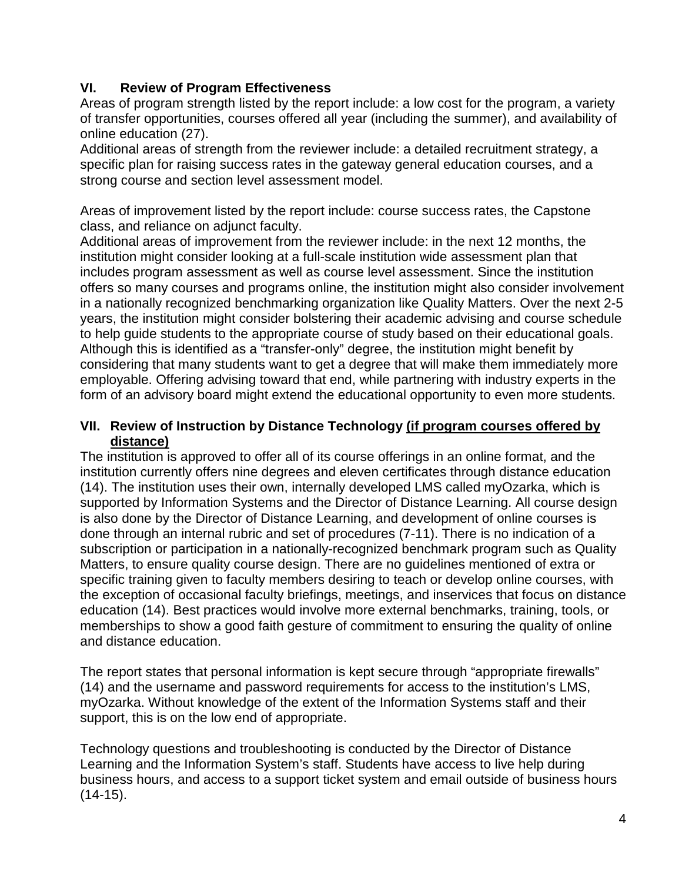### **VI. Review of Program Effectiveness**

Areas of program strength listed by the report include: a low cost for the program, a variety of transfer opportunities, courses offered all year (including the summer), and availability of online education (27).

Additional areas of strength from the reviewer include: a detailed recruitment strategy, a specific plan for raising success rates in the gateway general education courses, and a strong course and section level assessment model.

Areas of improvement listed by the report include: course success rates, the Capstone class, and reliance on adjunct faculty.

Additional areas of improvement from the reviewer include: in the next 12 months, the institution might consider looking at a full-scale institution wide assessment plan that includes program assessment as well as course level assessment. Since the institution offers so many courses and programs online, the institution might also consider involvement in a nationally recognized benchmarking organization like Quality Matters. Over the next 2-5 years, the institution might consider bolstering their academic advising and course schedule to help guide students to the appropriate course of study based on their educational goals. Although this is identified as a "transfer-only" degree, the institution might benefit by considering that many students want to get a degree that will make them immediately more employable. Offering advising toward that end, while partnering with industry experts in the form of an advisory board might extend the educational opportunity to even more students.

### **VII. Review of Instruction by Distance Technology (if program courses offered by distance)**

The institution is approved to offer all of its course offerings in an online format, and the institution currently offers nine degrees and eleven certificates through distance education (14). The institution uses their own, internally developed LMS called myOzarka, which is supported by Information Systems and the Director of Distance Learning. All course design is also done by the Director of Distance Learning, and development of online courses is done through an internal rubric and set of procedures (7-11). There is no indication of a subscription or participation in a nationally-recognized benchmark program such as Quality Matters, to ensure quality course design. There are no guidelines mentioned of extra or specific training given to faculty members desiring to teach or develop online courses, with the exception of occasional faculty briefings, meetings, and inservices that focus on distance education (14). Best practices would involve more external benchmarks, training, tools, or memberships to show a good faith gesture of commitment to ensuring the quality of online and distance education.

The report states that personal information is kept secure through "appropriate firewalls" (14) and the username and password requirements for access to the institution's LMS, myOzarka. Without knowledge of the extent of the Information Systems staff and their support, this is on the low end of appropriate.

Technology questions and troubleshooting is conducted by the Director of Distance Learning and the Information System's staff. Students have access to live help during business hours, and access to a support ticket system and email outside of business hours  $(14-15)$ .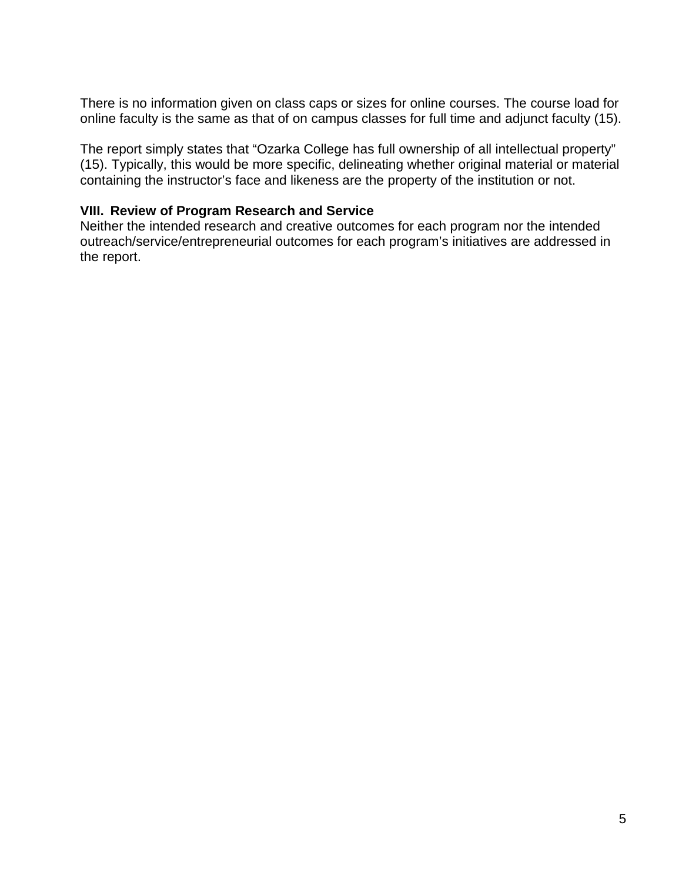There is no information given on class caps or sizes for online courses. The course load for online faculty is the same as that of on campus classes for full time and adjunct faculty (15).

The report simply states that "Ozarka College has full ownership of all intellectual property" (15). Typically, this would be more specific, delineating whether original material or material containing the instructor's face and likeness are the property of the institution or not.

### **VIII. Review of Program Research and Service**

Neither the intended research and creative outcomes for each program nor the intended outreach/service/entrepreneurial outcomes for each program's initiatives are addressed in the report.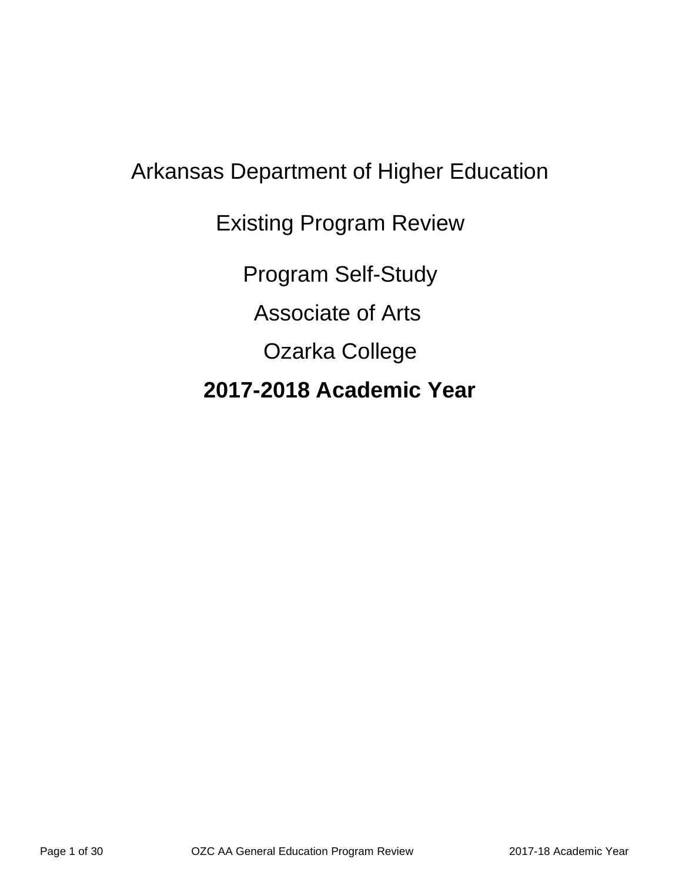## Arkansas Department of Higher Education Existing Program Review Program Self-Study Associate of Arts Ozarka College **2017-2018 Academic Year**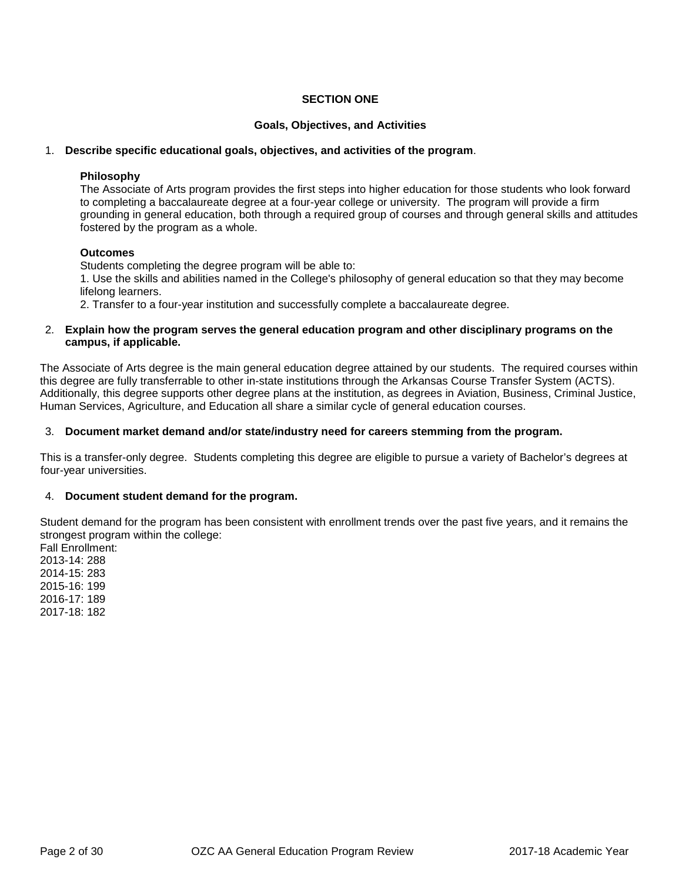#### **SECTION ONE**

#### **Goals, Objectives, and Activities**

#### 1. **Describe specific educational goals, objectives, and activities of the program**.

#### **Philosophy**

The Associate of Arts program provides the first steps into higher education for those students who look forward to completing a baccalaureate degree at a four-year college or university. The program will provide a firm grounding in general education, both through a required group of courses and through general skills and attitudes fostered by the program as a whole.

#### **Outcomes**

Students completing the degree program will be able to:

1. Use the skills and abilities named in the College's philosophy of general education so that they may become lifelong learners.

2. Transfer to a four-year institution and successfully complete a baccalaureate degree.

#### 2. **Explain how the program serves the general education program and other disciplinary programs on the campus, if applicable.**

The Associate of Arts degree is the main general education degree attained by our students. The required courses within this degree are fully transferrable to other in-state institutions through the Arkansas Course Transfer System (ACTS). Additionally, this degree supports other degree plans at the institution, as degrees in Aviation, Business, Criminal Justice, Human Services, Agriculture, and Education all share a similar cycle of general education courses.

#### 3. **Document market demand and/or state/industry need for careers stemming from the program.**

This is a transfer-only degree. Students completing this degree are eligible to pursue a variety of Bachelor's degrees at four-year universities.

#### 4. **Document student demand for the program.**

Student demand for the program has been consistent with enrollment trends over the past five years, and it remains the strongest program within the college:

Fall Enrollment: 2013-14: 288 2014-15: 283 2015-16: 199 2016-17: 189 2017-18: 182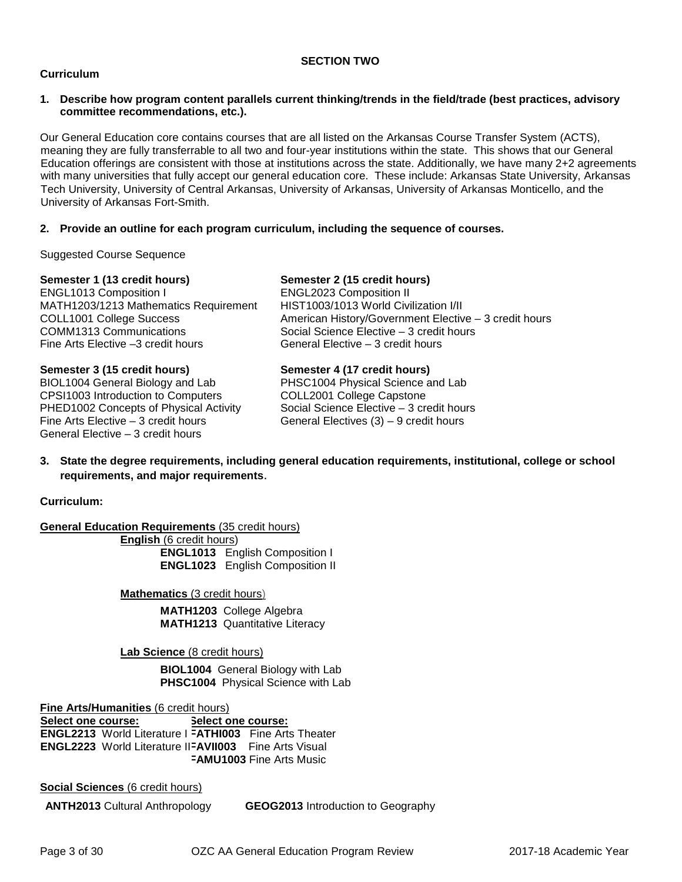#### **SECTION TWO**

#### **Curriculum**

#### **1. Describe how program content parallels current thinking/trends in the field/trade (best practices, advisory committee recommendations, etc.).**

Our General Education core contains courses that are all listed on the Arkansas Course Transfer System (ACTS), meaning they are fully transferrable to all two and four-year institutions within the state. This shows that our General Education offerings are consistent with those at institutions across the state. Additionally, we have many 2+2 agreements with many universities that fully accept our general education core. These include: Arkansas State University, Arkansas Tech University, University of Central Arkansas, University of Arkansas, University of Arkansas Monticello, and the University of Arkansas Fort-Smith.

#### **2. Provide an outline for each program curriculum, including the sequence of courses.**

Suggested Course Sequence

General Elective – 3 credit hours

| Semester 1 (13 credit hours)           | Semester 2 (15 credit hours)                          |
|----------------------------------------|-------------------------------------------------------|
| ENGL1013 Composition I                 | <b>ENGL2023 Composition II</b>                        |
| MATH1203/1213 Mathematics Requirement  | HIST1003/1013 World Civilization I/II                 |
| COLL1001 College Success               | American History/Government Elective - 3 credit hours |
| <b>COMM1313 Communications</b>         | Social Science Elective - 3 credit hours              |
| Fine Arts Elective -3 credit hours     | General Elective – 3 credit hours                     |
| Semester 3 (15 credit hours)           | Semester 4 (17 credit hours)                          |
| BIOL1004 General Biology and Lab       | PHSC1004 Physical Science and Lab                     |
| CPSI1003 Introduction to Computers     | COLL2001 College Capstone                             |
| PHED1002 Concepts of Physical Activity | Social Science Elective - 3 credit hours              |

#### **3. State the degree requirements, including general education requirements, institutional, college or school requirements, and major requirements**.

**Curriculum:**

**General Education Requirements (35 credit hours)** 

**English** (6 credit hours) **ENGL1013** English Composition I **ENGL1023** English Composition II

Fine Arts Elective – 3 credit hours General Electives (3) – 9 credit hours

**Mathematics** (3 credit hours)

**MATH1203** College Algebra **MATH1213** Quantitative Literacy

**Lab Science** (8 credit hours)

**BIOL1004** General Biology with Lab **PHSC1004** Physical Science with Lab

**Fine Arts/Humanities** (6 credit hours) **Select one course: ENGL2213** World Literature I **FATHI003** Fine Arts Theater **ENGL2223** World Literature II **FAVII003** Fine Arts Visual **Select one course: FAMU1003** Fine Arts Music

**Social Sciences** (6 credit hours)

**ANTH2013** Cultural Anthropology **GEOG2013** Introduction to Geography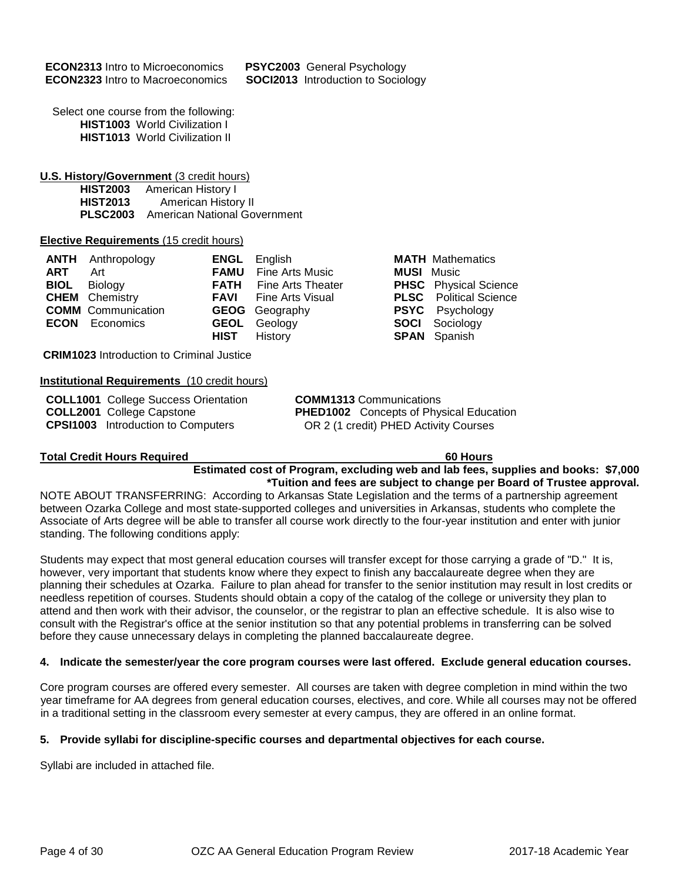**PSYC2003** General Psychology **SOCI2013** Introduction to Sociology

Select one course from the following: **HIST1003** World Civilization I **HIST1013** World Civilization II

### **U.S. History/Government** (3 credit hours)<br> **HIST2003** American History I

**HIST2003** American History I<br>**HIST2013** American Histor **American History II PLSC2003** American National Government

#### **Elective Requirements** (15 credit hours)

|     | <b>ANTH</b> Anthropology  | <b>ENGL</b> English           |
|-----|---------------------------|-------------------------------|
| ART | Art                       | <b>FAMU</b> Fine Arts Music   |
|     | <b>BIOL</b> Biology       | <b>FATH</b> Fine Arts Theater |
|     | <b>CHEM</b> Chemistry     | <b>FAVI</b> Fine Arts Visual  |
|     | <b>COMM</b> Communication | <b>GEOG</b> Geography         |
|     | <b>ECON</b> Economics     | <b>GEOL</b> Geology           |
|     |                           | <b>HIST</b> History           |

**CRIM1023** Introduction to Criminal Justice

#### **Institutional Requirements** (10 credit hours)

**COLL1001** College Success Orientation **COLL2001** College Capstone **CPSI1003** Introduction to Computers

**COMM1313** Communications **PHED1002** Concepts of Physical Education OR 2 (1 credit) PHED Activity Courses

#### **Total Credit Hours Required 60 Hours**

**Estimated cost of Program, excluding web and lab fees, supplies and books: \$7,000 \*Tuition and fees are subject to change per Board of Trustee approval.**

**MATH** Mathematics **MUSI** Music

**PHSC** Physical Science **PLSC** Political Science **PSYC** Psychology **SOCI** Sociology **SPAN** Spanish

NOTE ABOUT TRANSFERRING: According to Arkansas State Legislation and the terms of a partnership agreement between Ozarka College and most state-supported colleges and universities in Arkansas, students who complete the Associate of Arts degree will be able to transfer all course work directly to the four-year institution and enter with junior standing. The following conditions apply:

Students may expect that most general education courses will transfer except for those carrying a grade of "D." It is, however, very important that students know where they expect to finish any baccalaureate degree when they are planning their schedules at Ozarka. Failure to plan ahead for transfer to the senior institution may result in lost credits or needless repetition of courses. Students should obtain a copy of the catalog of the college or university they plan to attend and then work with their advisor, the counselor, or the registrar to plan an effective schedule. It is also wise to consult with the Registrar's office at the senior institution so that any potential problems in transferring can be solved before they cause unnecessary delays in completing the planned baccalaureate degree.

#### **4. Indicate the semester/year the core program courses were last offered. Exclude general education courses.**

Core program courses are offered every semester. All courses are taken with degree completion in mind within the two year timeframe for AA degrees from general education courses, electives, and core. While all courses may not be offered in a traditional setting in the classroom every semester at every campus, they are offered in an online format.

#### **5. Provide syllabi for discipline-specific courses and departmental objectives for each course.**

Syllabi are included in attached file.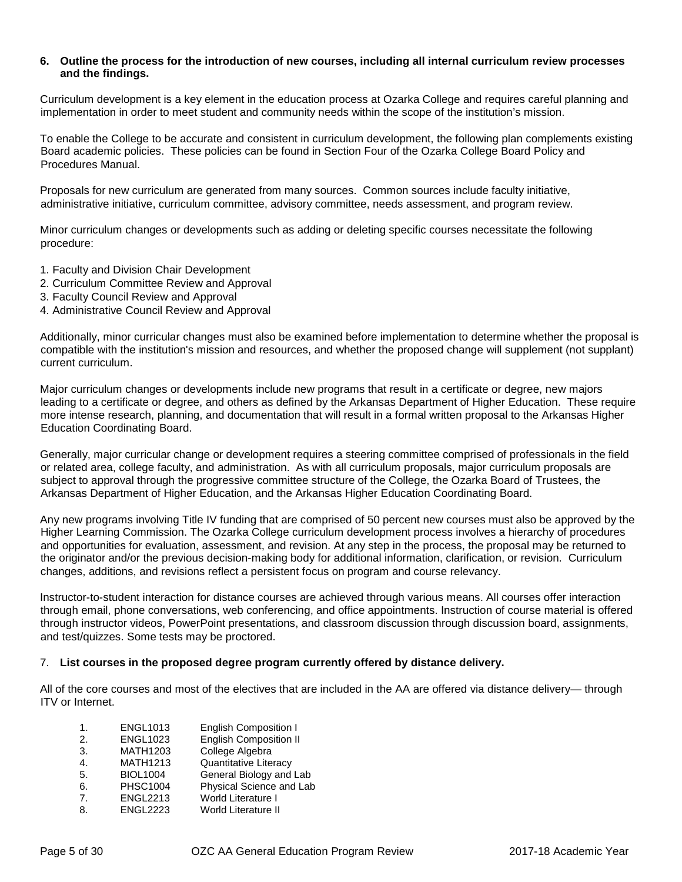#### **6. Outline the process for the introduction of new courses, including all internal curriculum review processes and the findings.**

Curriculum development is a key element in the education process at Ozarka College and requires careful planning and implementation in order to meet student and community needs within the scope of the institution's mission.

To enable the College to be accurate and consistent in curriculum development, the following plan complements existing Board academic policies. These policies can be found in Section Four of the Ozarka College Board Policy and Procedures Manual.

Proposals for new curriculum are generated from many sources. Common sources include faculty initiative, administrative initiative, curriculum committee, advisory committee, needs assessment, and program review.

Minor curriculum changes or developments such as adding or deleting specific courses necessitate the following procedure:

- 1. Faculty and Division Chair Development
- 2. Curriculum Committee Review and Approval
- 3. Faculty Council Review and Approval
- 4. Administrative Council Review and Approval

Additionally, minor curricular changes must also be examined before implementation to determine whether the proposal is compatible with the institution's mission and resources, and whether the proposed change will supplement (not supplant) current curriculum.

Major curriculum changes or developments include new programs that result in a certificate or degree, new majors leading to a certificate or degree, and others as defined by the Arkansas Department of Higher Education. These require more intense research, planning, and documentation that will result in a formal written proposal to the Arkansas Higher Education Coordinating Board.

Generally, major curricular change or development requires a steering committee comprised of professionals in the field or related area, college faculty, and administration. As with all curriculum proposals, major curriculum proposals are subject to approval through the progressive committee structure of the College, the Ozarka Board of Trustees, the Arkansas Department of Higher Education, and the Arkansas Higher Education Coordinating Board.

Any new programs involving Title IV funding that are comprised of 50 percent new courses must also be approved by the Higher Learning Commission. The Ozarka College curriculum development process involves a hierarchy of procedures and opportunities for evaluation, assessment, and revision. At any step in the process, the proposal may be returned to the originator and/or the previous decision-making body for additional information, clarification, or revision. Curriculum changes, additions, and revisions reflect a persistent focus on program and course relevancy.

Instructor-to-student interaction for distance courses are achieved through various means. All courses offer interaction through email, phone conversations, web conferencing, and office appointments. Instruction of course material is offered through instructor videos, PowerPoint presentations, and classroom discussion through discussion board, assignments, and test/quizzes. Some tests may be proctored.

#### 7. **List courses in the proposed degree program currently offered by distance delivery.**

All of the core courses and most of the electives that are included in the AA are offered via distance delivery— through ITV or Internet.

| 1. | <b>ENGL1013</b> | <b>English Composition I</b>  |
|----|-----------------|-------------------------------|
| 2. | <b>ENGL1023</b> | <b>English Composition II</b> |
| 3. | <b>MATH1203</b> | College Algebra               |
| 4. | <b>MATH1213</b> | Quantitative Literacy         |
| 5. | <b>BIOL1004</b> | General Biology and Lab       |
| 6. | <b>PHSC1004</b> | Physical Science and Lab      |
| 7. | <b>ENGL2213</b> | <b>World Literature I</b>     |
| 8. | <b>ENGL2223</b> | <b>World Literature II</b>    |
|    |                 |                               |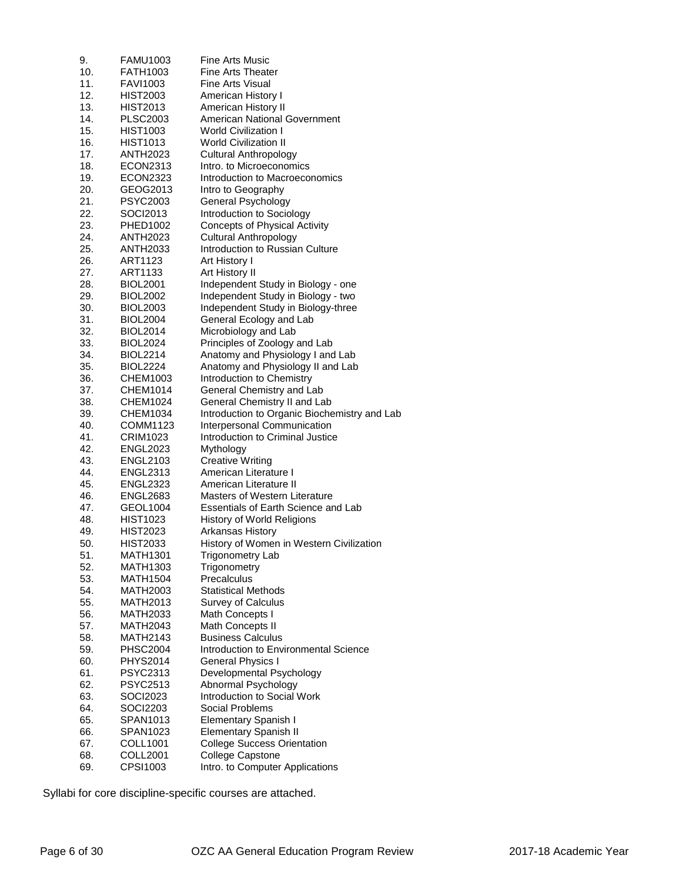| 10.<br><b>FATH1003</b><br>Fine Arts Theater<br>11.<br><b>FAVI1003</b><br>Fine Arts Visual<br>12.<br><b>HIST2003</b><br>American History I<br>13.<br>American History II<br><b>HIST2013</b><br><b>American National Government</b><br>14.<br><b>PLSC2003</b><br><b>World Civilization I</b><br>15.<br><b>HIST1003</b><br><b>World Civilization II</b><br>16.<br><b>HIST1013</b><br>17.<br><b>Cultural Anthropology</b><br><b>ANTH2023</b><br>Intro, to Microeconomics<br>18.<br>ECON2313<br>19.<br><b>ECON2323</b><br>Introduction to Macroeconomics<br>20.<br>GEOG2013<br>Intro to Geography<br>21.<br><b>PSYC2003</b><br>General Psychology<br>Introduction to Sociology<br>22.<br>SOCI2013<br><b>Concepts of Physical Activity</b><br>23.<br>PHED1002<br><b>Cultural Anthropology</b><br>24.<br><b>ANTH2023</b><br>Introduction to Russian Culture<br>25.<br>ANTH2033<br>26.<br>ART1123<br>Art History I<br>27.<br>ART1133<br>Art History II<br>28.<br><b>BIOL2001</b><br>Independent Study in Biology - one<br>Independent Study in Biology - two<br>29.<br><b>BIOL2002</b><br>Independent Study in Biology-three<br>30.<br><b>BIOL2003</b><br>31.<br>General Ecology and Lab<br><b>BIOL2004</b><br>32.<br>Microbiology and Lab<br><b>BIOL2014</b><br>Principles of Zoology and Lab<br>33.<br><b>BIOL2024</b><br>Anatomy and Physiology I and Lab<br>34.<br><b>BIOL2214</b><br>35.<br>Anatomy and Physiology II and Lab<br><b>BIOL2224</b><br>36.<br>Introduction to Chemistry<br>CHEM1003<br>37.<br>General Chemistry and Lab<br><b>CHEM1014</b><br>General Chemistry II and Lab<br>38.<br><b>CHEM1024</b><br>Introduction to Organic Biochemistry and Lab<br>39.<br><b>CHEM1034</b><br>40.<br>COMM1123<br>Interpersonal Communication<br>41.<br>Introduction to Criminal Justice<br>CRIM1023<br>42.<br><b>ENGL2023</b><br>Mythology<br>43.<br><b>Creative Writing</b><br><b>ENGL2103</b><br>44.<br>American Literature I<br><b>ENGL2313</b><br>45.<br><b>ENGL2323</b><br>American Literature II<br>46.<br><b>ENGL2683</b><br>Masters of Western Literature<br>47.<br>Essentials of Earth Science and Lab<br>GEOL1004<br>48.<br><b>HIST1023</b><br>History of World Religions<br>49.<br><b>HIST2023</b><br>Arkansas History<br>50.<br><b>HIST2033</b><br>History of Women in Western Civilization<br>51.<br><b>Trigonometry Lab</b><br>MATH1301<br>52.<br>Trigonometry<br>MATH1303<br>53.<br>Precalculus<br><b>MATH1504</b><br>54.<br><b>Statistical Methods</b><br>MATH2003<br>55.<br><b>MATH2013</b><br><b>Survey of Calculus</b><br>56.<br><b>MATH2033</b><br>Math Concepts I<br>57.<br><b>MATH2043</b><br>Math Concepts II<br>58.<br><b>MATH2143</b><br><b>Business Calculus</b><br>59.<br>Introduction to Environmental Science<br><b>PHSC2004</b><br>60.<br><b>PHYS2014</b><br><b>General Physics I</b><br>61.<br>PSYC2313<br>Developmental Psychology<br>Abnormal Psychology<br>62.<br><b>PSYC2513</b><br>63.<br>SOCI2023<br>Introduction to Social Work<br>64.<br>SOCI2203<br>Social Problems<br>65.<br>Elementary Spanish I<br>SPAN1013<br>66.<br>SPAN1023<br><b>Elementary Spanish II</b><br>67.<br>COLL1001<br><b>College Success Orientation</b><br>College Capstone<br>68.<br>COLL2001<br>69.<br>CPSI1003<br>Intro. to Computer Applications | 9. | <b>FAMU1003</b> | Fine Arts Music |
|---------------------------------------------------------------------------------------------------------------------------------------------------------------------------------------------------------------------------------------------------------------------------------------------------------------------------------------------------------------------------------------------------------------------------------------------------------------------------------------------------------------------------------------------------------------------------------------------------------------------------------------------------------------------------------------------------------------------------------------------------------------------------------------------------------------------------------------------------------------------------------------------------------------------------------------------------------------------------------------------------------------------------------------------------------------------------------------------------------------------------------------------------------------------------------------------------------------------------------------------------------------------------------------------------------------------------------------------------------------------------------------------------------------------------------------------------------------------------------------------------------------------------------------------------------------------------------------------------------------------------------------------------------------------------------------------------------------------------------------------------------------------------------------------------------------------------------------------------------------------------------------------------------------------------------------------------------------------------------------------------------------------------------------------------------------------------------------------------------------------------------------------------------------------------------------------------------------------------------------------------------------------------------------------------------------------------------------------------------------------------------------------------------------------------------------------------------------------------------------------------------------------------------------------------------------------------------------------------------------------------------------------------------------------------------------------------------------------------------------------------------------------------------------------------------------------------------------------------------------------------------------------------------------------------------------------------------------------------------------------------------------------------------------------------------------------------------------------------------------------------------------------------------------------------------------------------------------------------------------------------------------|----|-----------------|-----------------|
|                                                                                                                                                                                                                                                                                                                                                                                                                                                                                                                                                                                                                                                                                                                                                                                                                                                                                                                                                                                                                                                                                                                                                                                                                                                                                                                                                                                                                                                                                                                                                                                                                                                                                                                                                                                                                                                                                                                                                                                                                                                                                                                                                                                                                                                                                                                                                                                                                                                                                                                                                                                                                                                                                                                                                                                                                                                                                                                                                                                                                                                                                                                                                                                                                                                               |    |                 |                 |
|                                                                                                                                                                                                                                                                                                                                                                                                                                                                                                                                                                                                                                                                                                                                                                                                                                                                                                                                                                                                                                                                                                                                                                                                                                                                                                                                                                                                                                                                                                                                                                                                                                                                                                                                                                                                                                                                                                                                                                                                                                                                                                                                                                                                                                                                                                                                                                                                                                                                                                                                                                                                                                                                                                                                                                                                                                                                                                                                                                                                                                                                                                                                                                                                                                                               |    |                 |                 |
|                                                                                                                                                                                                                                                                                                                                                                                                                                                                                                                                                                                                                                                                                                                                                                                                                                                                                                                                                                                                                                                                                                                                                                                                                                                                                                                                                                                                                                                                                                                                                                                                                                                                                                                                                                                                                                                                                                                                                                                                                                                                                                                                                                                                                                                                                                                                                                                                                                                                                                                                                                                                                                                                                                                                                                                                                                                                                                                                                                                                                                                                                                                                                                                                                                                               |    |                 |                 |
|                                                                                                                                                                                                                                                                                                                                                                                                                                                                                                                                                                                                                                                                                                                                                                                                                                                                                                                                                                                                                                                                                                                                                                                                                                                                                                                                                                                                                                                                                                                                                                                                                                                                                                                                                                                                                                                                                                                                                                                                                                                                                                                                                                                                                                                                                                                                                                                                                                                                                                                                                                                                                                                                                                                                                                                                                                                                                                                                                                                                                                                                                                                                                                                                                                                               |    |                 |                 |
|                                                                                                                                                                                                                                                                                                                                                                                                                                                                                                                                                                                                                                                                                                                                                                                                                                                                                                                                                                                                                                                                                                                                                                                                                                                                                                                                                                                                                                                                                                                                                                                                                                                                                                                                                                                                                                                                                                                                                                                                                                                                                                                                                                                                                                                                                                                                                                                                                                                                                                                                                                                                                                                                                                                                                                                                                                                                                                                                                                                                                                                                                                                                                                                                                                                               |    |                 |                 |
|                                                                                                                                                                                                                                                                                                                                                                                                                                                                                                                                                                                                                                                                                                                                                                                                                                                                                                                                                                                                                                                                                                                                                                                                                                                                                                                                                                                                                                                                                                                                                                                                                                                                                                                                                                                                                                                                                                                                                                                                                                                                                                                                                                                                                                                                                                                                                                                                                                                                                                                                                                                                                                                                                                                                                                                                                                                                                                                                                                                                                                                                                                                                                                                                                                                               |    |                 |                 |
|                                                                                                                                                                                                                                                                                                                                                                                                                                                                                                                                                                                                                                                                                                                                                                                                                                                                                                                                                                                                                                                                                                                                                                                                                                                                                                                                                                                                                                                                                                                                                                                                                                                                                                                                                                                                                                                                                                                                                                                                                                                                                                                                                                                                                                                                                                                                                                                                                                                                                                                                                                                                                                                                                                                                                                                                                                                                                                                                                                                                                                                                                                                                                                                                                                                               |    |                 |                 |
|                                                                                                                                                                                                                                                                                                                                                                                                                                                                                                                                                                                                                                                                                                                                                                                                                                                                                                                                                                                                                                                                                                                                                                                                                                                                                                                                                                                                                                                                                                                                                                                                                                                                                                                                                                                                                                                                                                                                                                                                                                                                                                                                                                                                                                                                                                                                                                                                                                                                                                                                                                                                                                                                                                                                                                                                                                                                                                                                                                                                                                                                                                                                                                                                                                                               |    |                 |                 |
|                                                                                                                                                                                                                                                                                                                                                                                                                                                                                                                                                                                                                                                                                                                                                                                                                                                                                                                                                                                                                                                                                                                                                                                                                                                                                                                                                                                                                                                                                                                                                                                                                                                                                                                                                                                                                                                                                                                                                                                                                                                                                                                                                                                                                                                                                                                                                                                                                                                                                                                                                                                                                                                                                                                                                                                                                                                                                                                                                                                                                                                                                                                                                                                                                                                               |    |                 |                 |
|                                                                                                                                                                                                                                                                                                                                                                                                                                                                                                                                                                                                                                                                                                                                                                                                                                                                                                                                                                                                                                                                                                                                                                                                                                                                                                                                                                                                                                                                                                                                                                                                                                                                                                                                                                                                                                                                                                                                                                                                                                                                                                                                                                                                                                                                                                                                                                                                                                                                                                                                                                                                                                                                                                                                                                                                                                                                                                                                                                                                                                                                                                                                                                                                                                                               |    |                 |                 |
|                                                                                                                                                                                                                                                                                                                                                                                                                                                                                                                                                                                                                                                                                                                                                                                                                                                                                                                                                                                                                                                                                                                                                                                                                                                                                                                                                                                                                                                                                                                                                                                                                                                                                                                                                                                                                                                                                                                                                                                                                                                                                                                                                                                                                                                                                                                                                                                                                                                                                                                                                                                                                                                                                                                                                                                                                                                                                                                                                                                                                                                                                                                                                                                                                                                               |    |                 |                 |
|                                                                                                                                                                                                                                                                                                                                                                                                                                                                                                                                                                                                                                                                                                                                                                                                                                                                                                                                                                                                                                                                                                                                                                                                                                                                                                                                                                                                                                                                                                                                                                                                                                                                                                                                                                                                                                                                                                                                                                                                                                                                                                                                                                                                                                                                                                                                                                                                                                                                                                                                                                                                                                                                                                                                                                                                                                                                                                                                                                                                                                                                                                                                                                                                                                                               |    |                 |                 |
|                                                                                                                                                                                                                                                                                                                                                                                                                                                                                                                                                                                                                                                                                                                                                                                                                                                                                                                                                                                                                                                                                                                                                                                                                                                                                                                                                                                                                                                                                                                                                                                                                                                                                                                                                                                                                                                                                                                                                                                                                                                                                                                                                                                                                                                                                                                                                                                                                                                                                                                                                                                                                                                                                                                                                                                                                                                                                                                                                                                                                                                                                                                                                                                                                                                               |    |                 |                 |
|                                                                                                                                                                                                                                                                                                                                                                                                                                                                                                                                                                                                                                                                                                                                                                                                                                                                                                                                                                                                                                                                                                                                                                                                                                                                                                                                                                                                                                                                                                                                                                                                                                                                                                                                                                                                                                                                                                                                                                                                                                                                                                                                                                                                                                                                                                                                                                                                                                                                                                                                                                                                                                                                                                                                                                                                                                                                                                                                                                                                                                                                                                                                                                                                                                                               |    |                 |                 |
|                                                                                                                                                                                                                                                                                                                                                                                                                                                                                                                                                                                                                                                                                                                                                                                                                                                                                                                                                                                                                                                                                                                                                                                                                                                                                                                                                                                                                                                                                                                                                                                                                                                                                                                                                                                                                                                                                                                                                                                                                                                                                                                                                                                                                                                                                                                                                                                                                                                                                                                                                                                                                                                                                                                                                                                                                                                                                                                                                                                                                                                                                                                                                                                                                                                               |    |                 |                 |
|                                                                                                                                                                                                                                                                                                                                                                                                                                                                                                                                                                                                                                                                                                                                                                                                                                                                                                                                                                                                                                                                                                                                                                                                                                                                                                                                                                                                                                                                                                                                                                                                                                                                                                                                                                                                                                                                                                                                                                                                                                                                                                                                                                                                                                                                                                                                                                                                                                                                                                                                                                                                                                                                                                                                                                                                                                                                                                                                                                                                                                                                                                                                                                                                                                                               |    |                 |                 |
|                                                                                                                                                                                                                                                                                                                                                                                                                                                                                                                                                                                                                                                                                                                                                                                                                                                                                                                                                                                                                                                                                                                                                                                                                                                                                                                                                                                                                                                                                                                                                                                                                                                                                                                                                                                                                                                                                                                                                                                                                                                                                                                                                                                                                                                                                                                                                                                                                                                                                                                                                                                                                                                                                                                                                                                                                                                                                                                                                                                                                                                                                                                                                                                                                                                               |    |                 |                 |
|                                                                                                                                                                                                                                                                                                                                                                                                                                                                                                                                                                                                                                                                                                                                                                                                                                                                                                                                                                                                                                                                                                                                                                                                                                                                                                                                                                                                                                                                                                                                                                                                                                                                                                                                                                                                                                                                                                                                                                                                                                                                                                                                                                                                                                                                                                                                                                                                                                                                                                                                                                                                                                                                                                                                                                                                                                                                                                                                                                                                                                                                                                                                                                                                                                                               |    |                 |                 |
|                                                                                                                                                                                                                                                                                                                                                                                                                                                                                                                                                                                                                                                                                                                                                                                                                                                                                                                                                                                                                                                                                                                                                                                                                                                                                                                                                                                                                                                                                                                                                                                                                                                                                                                                                                                                                                                                                                                                                                                                                                                                                                                                                                                                                                                                                                                                                                                                                                                                                                                                                                                                                                                                                                                                                                                                                                                                                                                                                                                                                                                                                                                                                                                                                                                               |    |                 |                 |
|                                                                                                                                                                                                                                                                                                                                                                                                                                                                                                                                                                                                                                                                                                                                                                                                                                                                                                                                                                                                                                                                                                                                                                                                                                                                                                                                                                                                                                                                                                                                                                                                                                                                                                                                                                                                                                                                                                                                                                                                                                                                                                                                                                                                                                                                                                                                                                                                                                                                                                                                                                                                                                                                                                                                                                                                                                                                                                                                                                                                                                                                                                                                                                                                                                                               |    |                 |                 |
|                                                                                                                                                                                                                                                                                                                                                                                                                                                                                                                                                                                                                                                                                                                                                                                                                                                                                                                                                                                                                                                                                                                                                                                                                                                                                                                                                                                                                                                                                                                                                                                                                                                                                                                                                                                                                                                                                                                                                                                                                                                                                                                                                                                                                                                                                                                                                                                                                                                                                                                                                                                                                                                                                                                                                                                                                                                                                                                                                                                                                                                                                                                                                                                                                                                               |    |                 |                 |
|                                                                                                                                                                                                                                                                                                                                                                                                                                                                                                                                                                                                                                                                                                                                                                                                                                                                                                                                                                                                                                                                                                                                                                                                                                                                                                                                                                                                                                                                                                                                                                                                                                                                                                                                                                                                                                                                                                                                                                                                                                                                                                                                                                                                                                                                                                                                                                                                                                                                                                                                                                                                                                                                                                                                                                                                                                                                                                                                                                                                                                                                                                                                                                                                                                                               |    |                 |                 |
|                                                                                                                                                                                                                                                                                                                                                                                                                                                                                                                                                                                                                                                                                                                                                                                                                                                                                                                                                                                                                                                                                                                                                                                                                                                                                                                                                                                                                                                                                                                                                                                                                                                                                                                                                                                                                                                                                                                                                                                                                                                                                                                                                                                                                                                                                                                                                                                                                                                                                                                                                                                                                                                                                                                                                                                                                                                                                                                                                                                                                                                                                                                                                                                                                                                               |    |                 |                 |
|                                                                                                                                                                                                                                                                                                                                                                                                                                                                                                                                                                                                                                                                                                                                                                                                                                                                                                                                                                                                                                                                                                                                                                                                                                                                                                                                                                                                                                                                                                                                                                                                                                                                                                                                                                                                                                                                                                                                                                                                                                                                                                                                                                                                                                                                                                                                                                                                                                                                                                                                                                                                                                                                                                                                                                                                                                                                                                                                                                                                                                                                                                                                                                                                                                                               |    |                 |                 |
|                                                                                                                                                                                                                                                                                                                                                                                                                                                                                                                                                                                                                                                                                                                                                                                                                                                                                                                                                                                                                                                                                                                                                                                                                                                                                                                                                                                                                                                                                                                                                                                                                                                                                                                                                                                                                                                                                                                                                                                                                                                                                                                                                                                                                                                                                                                                                                                                                                                                                                                                                                                                                                                                                                                                                                                                                                                                                                                                                                                                                                                                                                                                                                                                                                                               |    |                 |                 |
|                                                                                                                                                                                                                                                                                                                                                                                                                                                                                                                                                                                                                                                                                                                                                                                                                                                                                                                                                                                                                                                                                                                                                                                                                                                                                                                                                                                                                                                                                                                                                                                                                                                                                                                                                                                                                                                                                                                                                                                                                                                                                                                                                                                                                                                                                                                                                                                                                                                                                                                                                                                                                                                                                                                                                                                                                                                                                                                                                                                                                                                                                                                                                                                                                                                               |    |                 |                 |
|                                                                                                                                                                                                                                                                                                                                                                                                                                                                                                                                                                                                                                                                                                                                                                                                                                                                                                                                                                                                                                                                                                                                                                                                                                                                                                                                                                                                                                                                                                                                                                                                                                                                                                                                                                                                                                                                                                                                                                                                                                                                                                                                                                                                                                                                                                                                                                                                                                                                                                                                                                                                                                                                                                                                                                                                                                                                                                                                                                                                                                                                                                                                                                                                                                                               |    |                 |                 |
|                                                                                                                                                                                                                                                                                                                                                                                                                                                                                                                                                                                                                                                                                                                                                                                                                                                                                                                                                                                                                                                                                                                                                                                                                                                                                                                                                                                                                                                                                                                                                                                                                                                                                                                                                                                                                                                                                                                                                                                                                                                                                                                                                                                                                                                                                                                                                                                                                                                                                                                                                                                                                                                                                                                                                                                                                                                                                                                                                                                                                                                                                                                                                                                                                                                               |    |                 |                 |
|                                                                                                                                                                                                                                                                                                                                                                                                                                                                                                                                                                                                                                                                                                                                                                                                                                                                                                                                                                                                                                                                                                                                                                                                                                                                                                                                                                                                                                                                                                                                                                                                                                                                                                                                                                                                                                                                                                                                                                                                                                                                                                                                                                                                                                                                                                                                                                                                                                                                                                                                                                                                                                                                                                                                                                                                                                                                                                                                                                                                                                                                                                                                                                                                                                                               |    |                 |                 |
|                                                                                                                                                                                                                                                                                                                                                                                                                                                                                                                                                                                                                                                                                                                                                                                                                                                                                                                                                                                                                                                                                                                                                                                                                                                                                                                                                                                                                                                                                                                                                                                                                                                                                                                                                                                                                                                                                                                                                                                                                                                                                                                                                                                                                                                                                                                                                                                                                                                                                                                                                                                                                                                                                                                                                                                                                                                                                                                                                                                                                                                                                                                                                                                                                                                               |    |                 |                 |
|                                                                                                                                                                                                                                                                                                                                                                                                                                                                                                                                                                                                                                                                                                                                                                                                                                                                                                                                                                                                                                                                                                                                                                                                                                                                                                                                                                                                                                                                                                                                                                                                                                                                                                                                                                                                                                                                                                                                                                                                                                                                                                                                                                                                                                                                                                                                                                                                                                                                                                                                                                                                                                                                                                                                                                                                                                                                                                                                                                                                                                                                                                                                                                                                                                                               |    |                 |                 |
|                                                                                                                                                                                                                                                                                                                                                                                                                                                                                                                                                                                                                                                                                                                                                                                                                                                                                                                                                                                                                                                                                                                                                                                                                                                                                                                                                                                                                                                                                                                                                                                                                                                                                                                                                                                                                                                                                                                                                                                                                                                                                                                                                                                                                                                                                                                                                                                                                                                                                                                                                                                                                                                                                                                                                                                                                                                                                                                                                                                                                                                                                                                                                                                                                                                               |    |                 |                 |
|                                                                                                                                                                                                                                                                                                                                                                                                                                                                                                                                                                                                                                                                                                                                                                                                                                                                                                                                                                                                                                                                                                                                                                                                                                                                                                                                                                                                                                                                                                                                                                                                                                                                                                                                                                                                                                                                                                                                                                                                                                                                                                                                                                                                                                                                                                                                                                                                                                                                                                                                                                                                                                                                                                                                                                                                                                                                                                                                                                                                                                                                                                                                                                                                                                                               |    |                 |                 |
|                                                                                                                                                                                                                                                                                                                                                                                                                                                                                                                                                                                                                                                                                                                                                                                                                                                                                                                                                                                                                                                                                                                                                                                                                                                                                                                                                                                                                                                                                                                                                                                                                                                                                                                                                                                                                                                                                                                                                                                                                                                                                                                                                                                                                                                                                                                                                                                                                                                                                                                                                                                                                                                                                                                                                                                                                                                                                                                                                                                                                                                                                                                                                                                                                                                               |    |                 |                 |
|                                                                                                                                                                                                                                                                                                                                                                                                                                                                                                                                                                                                                                                                                                                                                                                                                                                                                                                                                                                                                                                                                                                                                                                                                                                                                                                                                                                                                                                                                                                                                                                                                                                                                                                                                                                                                                                                                                                                                                                                                                                                                                                                                                                                                                                                                                                                                                                                                                                                                                                                                                                                                                                                                                                                                                                                                                                                                                                                                                                                                                                                                                                                                                                                                                                               |    |                 |                 |
|                                                                                                                                                                                                                                                                                                                                                                                                                                                                                                                                                                                                                                                                                                                                                                                                                                                                                                                                                                                                                                                                                                                                                                                                                                                                                                                                                                                                                                                                                                                                                                                                                                                                                                                                                                                                                                                                                                                                                                                                                                                                                                                                                                                                                                                                                                                                                                                                                                                                                                                                                                                                                                                                                                                                                                                                                                                                                                                                                                                                                                                                                                                                                                                                                                                               |    |                 |                 |
|                                                                                                                                                                                                                                                                                                                                                                                                                                                                                                                                                                                                                                                                                                                                                                                                                                                                                                                                                                                                                                                                                                                                                                                                                                                                                                                                                                                                                                                                                                                                                                                                                                                                                                                                                                                                                                                                                                                                                                                                                                                                                                                                                                                                                                                                                                                                                                                                                                                                                                                                                                                                                                                                                                                                                                                                                                                                                                                                                                                                                                                                                                                                                                                                                                                               |    |                 |                 |
|                                                                                                                                                                                                                                                                                                                                                                                                                                                                                                                                                                                                                                                                                                                                                                                                                                                                                                                                                                                                                                                                                                                                                                                                                                                                                                                                                                                                                                                                                                                                                                                                                                                                                                                                                                                                                                                                                                                                                                                                                                                                                                                                                                                                                                                                                                                                                                                                                                                                                                                                                                                                                                                                                                                                                                                                                                                                                                                                                                                                                                                                                                                                                                                                                                                               |    |                 |                 |
|                                                                                                                                                                                                                                                                                                                                                                                                                                                                                                                                                                                                                                                                                                                                                                                                                                                                                                                                                                                                                                                                                                                                                                                                                                                                                                                                                                                                                                                                                                                                                                                                                                                                                                                                                                                                                                                                                                                                                                                                                                                                                                                                                                                                                                                                                                                                                                                                                                                                                                                                                                                                                                                                                                                                                                                                                                                                                                                                                                                                                                                                                                                                                                                                                                                               |    |                 |                 |
|                                                                                                                                                                                                                                                                                                                                                                                                                                                                                                                                                                                                                                                                                                                                                                                                                                                                                                                                                                                                                                                                                                                                                                                                                                                                                                                                                                                                                                                                                                                                                                                                                                                                                                                                                                                                                                                                                                                                                                                                                                                                                                                                                                                                                                                                                                                                                                                                                                                                                                                                                                                                                                                                                                                                                                                                                                                                                                                                                                                                                                                                                                                                                                                                                                                               |    |                 |                 |
|                                                                                                                                                                                                                                                                                                                                                                                                                                                                                                                                                                                                                                                                                                                                                                                                                                                                                                                                                                                                                                                                                                                                                                                                                                                                                                                                                                                                                                                                                                                                                                                                                                                                                                                                                                                                                                                                                                                                                                                                                                                                                                                                                                                                                                                                                                                                                                                                                                                                                                                                                                                                                                                                                                                                                                                                                                                                                                                                                                                                                                                                                                                                                                                                                                                               |    |                 |                 |
|                                                                                                                                                                                                                                                                                                                                                                                                                                                                                                                                                                                                                                                                                                                                                                                                                                                                                                                                                                                                                                                                                                                                                                                                                                                                                                                                                                                                                                                                                                                                                                                                                                                                                                                                                                                                                                                                                                                                                                                                                                                                                                                                                                                                                                                                                                                                                                                                                                                                                                                                                                                                                                                                                                                                                                                                                                                                                                                                                                                                                                                                                                                                                                                                                                                               |    |                 |                 |
|                                                                                                                                                                                                                                                                                                                                                                                                                                                                                                                                                                                                                                                                                                                                                                                                                                                                                                                                                                                                                                                                                                                                                                                                                                                                                                                                                                                                                                                                                                                                                                                                                                                                                                                                                                                                                                                                                                                                                                                                                                                                                                                                                                                                                                                                                                                                                                                                                                                                                                                                                                                                                                                                                                                                                                                                                                                                                                                                                                                                                                                                                                                                                                                                                                                               |    |                 |                 |
|                                                                                                                                                                                                                                                                                                                                                                                                                                                                                                                                                                                                                                                                                                                                                                                                                                                                                                                                                                                                                                                                                                                                                                                                                                                                                                                                                                                                                                                                                                                                                                                                                                                                                                                                                                                                                                                                                                                                                                                                                                                                                                                                                                                                                                                                                                                                                                                                                                                                                                                                                                                                                                                                                                                                                                                                                                                                                                                                                                                                                                                                                                                                                                                                                                                               |    |                 |                 |
|                                                                                                                                                                                                                                                                                                                                                                                                                                                                                                                                                                                                                                                                                                                                                                                                                                                                                                                                                                                                                                                                                                                                                                                                                                                                                                                                                                                                                                                                                                                                                                                                                                                                                                                                                                                                                                                                                                                                                                                                                                                                                                                                                                                                                                                                                                                                                                                                                                                                                                                                                                                                                                                                                                                                                                                                                                                                                                                                                                                                                                                                                                                                                                                                                                                               |    |                 |                 |
|                                                                                                                                                                                                                                                                                                                                                                                                                                                                                                                                                                                                                                                                                                                                                                                                                                                                                                                                                                                                                                                                                                                                                                                                                                                                                                                                                                                                                                                                                                                                                                                                                                                                                                                                                                                                                                                                                                                                                                                                                                                                                                                                                                                                                                                                                                                                                                                                                                                                                                                                                                                                                                                                                                                                                                                                                                                                                                                                                                                                                                                                                                                                                                                                                                                               |    |                 |                 |
|                                                                                                                                                                                                                                                                                                                                                                                                                                                                                                                                                                                                                                                                                                                                                                                                                                                                                                                                                                                                                                                                                                                                                                                                                                                                                                                                                                                                                                                                                                                                                                                                                                                                                                                                                                                                                                                                                                                                                                                                                                                                                                                                                                                                                                                                                                                                                                                                                                                                                                                                                                                                                                                                                                                                                                                                                                                                                                                                                                                                                                                                                                                                                                                                                                                               |    |                 |                 |
|                                                                                                                                                                                                                                                                                                                                                                                                                                                                                                                                                                                                                                                                                                                                                                                                                                                                                                                                                                                                                                                                                                                                                                                                                                                                                                                                                                                                                                                                                                                                                                                                                                                                                                                                                                                                                                                                                                                                                                                                                                                                                                                                                                                                                                                                                                                                                                                                                                                                                                                                                                                                                                                                                                                                                                                                                                                                                                                                                                                                                                                                                                                                                                                                                                                               |    |                 |                 |
|                                                                                                                                                                                                                                                                                                                                                                                                                                                                                                                                                                                                                                                                                                                                                                                                                                                                                                                                                                                                                                                                                                                                                                                                                                                                                                                                                                                                                                                                                                                                                                                                                                                                                                                                                                                                                                                                                                                                                                                                                                                                                                                                                                                                                                                                                                                                                                                                                                                                                                                                                                                                                                                                                                                                                                                                                                                                                                                                                                                                                                                                                                                                                                                                                                                               |    |                 |                 |
|                                                                                                                                                                                                                                                                                                                                                                                                                                                                                                                                                                                                                                                                                                                                                                                                                                                                                                                                                                                                                                                                                                                                                                                                                                                                                                                                                                                                                                                                                                                                                                                                                                                                                                                                                                                                                                                                                                                                                                                                                                                                                                                                                                                                                                                                                                                                                                                                                                                                                                                                                                                                                                                                                                                                                                                                                                                                                                                                                                                                                                                                                                                                                                                                                                                               |    |                 |                 |
|                                                                                                                                                                                                                                                                                                                                                                                                                                                                                                                                                                                                                                                                                                                                                                                                                                                                                                                                                                                                                                                                                                                                                                                                                                                                                                                                                                                                                                                                                                                                                                                                                                                                                                                                                                                                                                                                                                                                                                                                                                                                                                                                                                                                                                                                                                                                                                                                                                                                                                                                                                                                                                                                                                                                                                                                                                                                                                                                                                                                                                                                                                                                                                                                                                                               |    |                 |                 |
|                                                                                                                                                                                                                                                                                                                                                                                                                                                                                                                                                                                                                                                                                                                                                                                                                                                                                                                                                                                                                                                                                                                                                                                                                                                                                                                                                                                                                                                                                                                                                                                                                                                                                                                                                                                                                                                                                                                                                                                                                                                                                                                                                                                                                                                                                                                                                                                                                                                                                                                                                                                                                                                                                                                                                                                                                                                                                                                                                                                                                                                                                                                                                                                                                                                               |    |                 |                 |
|                                                                                                                                                                                                                                                                                                                                                                                                                                                                                                                                                                                                                                                                                                                                                                                                                                                                                                                                                                                                                                                                                                                                                                                                                                                                                                                                                                                                                                                                                                                                                                                                                                                                                                                                                                                                                                                                                                                                                                                                                                                                                                                                                                                                                                                                                                                                                                                                                                                                                                                                                                                                                                                                                                                                                                                                                                                                                                                                                                                                                                                                                                                                                                                                                                                               |    |                 |                 |
|                                                                                                                                                                                                                                                                                                                                                                                                                                                                                                                                                                                                                                                                                                                                                                                                                                                                                                                                                                                                                                                                                                                                                                                                                                                                                                                                                                                                                                                                                                                                                                                                                                                                                                                                                                                                                                                                                                                                                                                                                                                                                                                                                                                                                                                                                                                                                                                                                                                                                                                                                                                                                                                                                                                                                                                                                                                                                                                                                                                                                                                                                                                                                                                                                                                               |    |                 |                 |
|                                                                                                                                                                                                                                                                                                                                                                                                                                                                                                                                                                                                                                                                                                                                                                                                                                                                                                                                                                                                                                                                                                                                                                                                                                                                                                                                                                                                                                                                                                                                                                                                                                                                                                                                                                                                                                                                                                                                                                                                                                                                                                                                                                                                                                                                                                                                                                                                                                                                                                                                                                                                                                                                                                                                                                                                                                                                                                                                                                                                                                                                                                                                                                                                                                                               |    |                 |                 |
|                                                                                                                                                                                                                                                                                                                                                                                                                                                                                                                                                                                                                                                                                                                                                                                                                                                                                                                                                                                                                                                                                                                                                                                                                                                                                                                                                                                                                                                                                                                                                                                                                                                                                                                                                                                                                                                                                                                                                                                                                                                                                                                                                                                                                                                                                                                                                                                                                                                                                                                                                                                                                                                                                                                                                                                                                                                                                                                                                                                                                                                                                                                                                                                                                                                               |    |                 |                 |
|                                                                                                                                                                                                                                                                                                                                                                                                                                                                                                                                                                                                                                                                                                                                                                                                                                                                                                                                                                                                                                                                                                                                                                                                                                                                                                                                                                                                                                                                                                                                                                                                                                                                                                                                                                                                                                                                                                                                                                                                                                                                                                                                                                                                                                                                                                                                                                                                                                                                                                                                                                                                                                                                                                                                                                                                                                                                                                                                                                                                                                                                                                                                                                                                                                                               |    |                 |                 |
|                                                                                                                                                                                                                                                                                                                                                                                                                                                                                                                                                                                                                                                                                                                                                                                                                                                                                                                                                                                                                                                                                                                                                                                                                                                                                                                                                                                                                                                                                                                                                                                                                                                                                                                                                                                                                                                                                                                                                                                                                                                                                                                                                                                                                                                                                                                                                                                                                                                                                                                                                                                                                                                                                                                                                                                                                                                                                                                                                                                                                                                                                                                                                                                                                                                               |    |                 |                 |
|                                                                                                                                                                                                                                                                                                                                                                                                                                                                                                                                                                                                                                                                                                                                                                                                                                                                                                                                                                                                                                                                                                                                                                                                                                                                                                                                                                                                                                                                                                                                                                                                                                                                                                                                                                                                                                                                                                                                                                                                                                                                                                                                                                                                                                                                                                                                                                                                                                                                                                                                                                                                                                                                                                                                                                                                                                                                                                                                                                                                                                                                                                                                                                                                                                                               |    |                 |                 |
|                                                                                                                                                                                                                                                                                                                                                                                                                                                                                                                                                                                                                                                                                                                                                                                                                                                                                                                                                                                                                                                                                                                                                                                                                                                                                                                                                                                                                                                                                                                                                                                                                                                                                                                                                                                                                                                                                                                                                                                                                                                                                                                                                                                                                                                                                                                                                                                                                                                                                                                                                                                                                                                                                                                                                                                                                                                                                                                                                                                                                                                                                                                                                                                                                                                               |    |                 |                 |
|                                                                                                                                                                                                                                                                                                                                                                                                                                                                                                                                                                                                                                                                                                                                                                                                                                                                                                                                                                                                                                                                                                                                                                                                                                                                                                                                                                                                                                                                                                                                                                                                                                                                                                                                                                                                                                                                                                                                                                                                                                                                                                                                                                                                                                                                                                                                                                                                                                                                                                                                                                                                                                                                                                                                                                                                                                                                                                                                                                                                                                                                                                                                                                                                                                                               |    |                 |                 |
|                                                                                                                                                                                                                                                                                                                                                                                                                                                                                                                                                                                                                                                                                                                                                                                                                                                                                                                                                                                                                                                                                                                                                                                                                                                                                                                                                                                                                                                                                                                                                                                                                                                                                                                                                                                                                                                                                                                                                                                                                                                                                                                                                                                                                                                                                                                                                                                                                                                                                                                                                                                                                                                                                                                                                                                                                                                                                                                                                                                                                                                                                                                                                                                                                                                               |    |                 |                 |
|                                                                                                                                                                                                                                                                                                                                                                                                                                                                                                                                                                                                                                                                                                                                                                                                                                                                                                                                                                                                                                                                                                                                                                                                                                                                                                                                                                                                                                                                                                                                                                                                                                                                                                                                                                                                                                                                                                                                                                                                                                                                                                                                                                                                                                                                                                                                                                                                                                                                                                                                                                                                                                                                                                                                                                                                                                                                                                                                                                                                                                                                                                                                                                                                                                                               |    |                 |                 |
|                                                                                                                                                                                                                                                                                                                                                                                                                                                                                                                                                                                                                                                                                                                                                                                                                                                                                                                                                                                                                                                                                                                                                                                                                                                                                                                                                                                                                                                                                                                                                                                                                                                                                                                                                                                                                                                                                                                                                                                                                                                                                                                                                                                                                                                                                                                                                                                                                                                                                                                                                                                                                                                                                                                                                                                                                                                                                                                                                                                                                                                                                                                                                                                                                                                               |    |                 |                 |
|                                                                                                                                                                                                                                                                                                                                                                                                                                                                                                                                                                                                                                                                                                                                                                                                                                                                                                                                                                                                                                                                                                                                                                                                                                                                                                                                                                                                                                                                                                                                                                                                                                                                                                                                                                                                                                                                                                                                                                                                                                                                                                                                                                                                                                                                                                                                                                                                                                                                                                                                                                                                                                                                                                                                                                                                                                                                                                                                                                                                                                                                                                                                                                                                                                                               |    |                 |                 |

Syllabi for core discipline-specific courses are attached.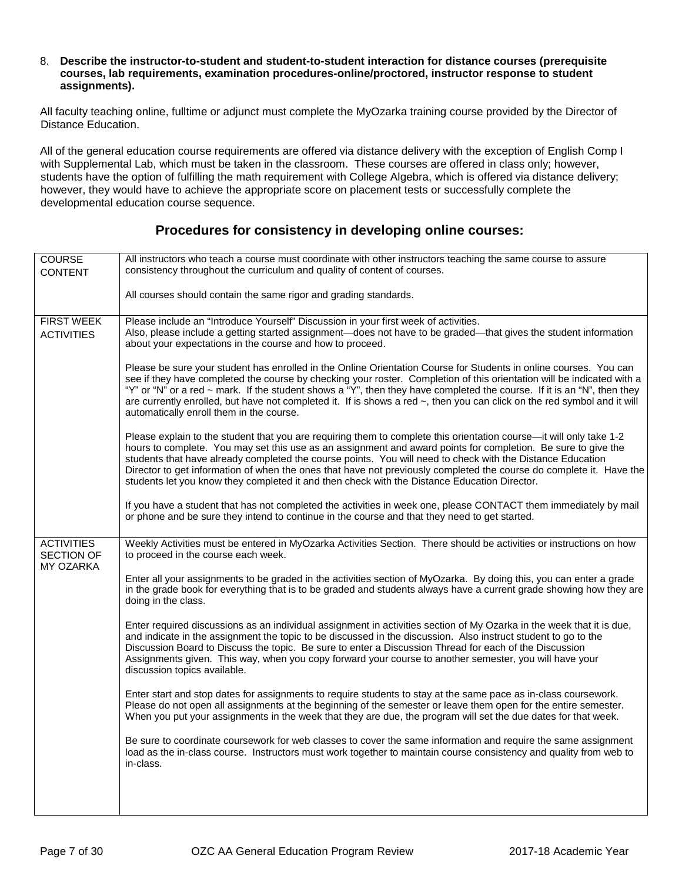#### 8. **Describe the instructor-to-student and student-to-student interaction for distance courses (prerequisite courses, lab requirements, examination procedures-online/proctored, instructor response to student assignments).**

All faculty teaching online, fulltime or adjunct must complete the MyOzarka training course provided by the Director of Distance Education.

All of the general education course requirements are offered via distance delivery with the exception of English Comp I with Supplemental Lab, which must be taken in the classroom. These courses are offered in class only; however, students have the option of fulfilling the math requirement with College Algebra, which is offered via distance delivery; however, they would have to achieve the appropriate score on placement tests or successfully complete the developmental education course sequence.

### **Procedures for consistency in developing online courses:**

| COURSE<br><b>CONTENT</b>                            | All instructors who teach a course must coordinate with other instructors teaching the same course to assure<br>consistency throughout the curriculum and quality of content of courses.                                                                                                                                                                                                                                                                                                                                                                                  |
|-----------------------------------------------------|---------------------------------------------------------------------------------------------------------------------------------------------------------------------------------------------------------------------------------------------------------------------------------------------------------------------------------------------------------------------------------------------------------------------------------------------------------------------------------------------------------------------------------------------------------------------------|
|                                                     | All courses should contain the same rigor and grading standards.                                                                                                                                                                                                                                                                                                                                                                                                                                                                                                          |
| <b>FIRST WEEK</b><br><b>ACTIVITIES</b>              | Please include an "Introduce Yourself" Discussion in your first week of activities.<br>Also, please include a getting started assignment—does not have to be graded—that gives the student information<br>about your expectations in the course and how to proceed.                                                                                                                                                                                                                                                                                                       |
|                                                     | Please be sure your student has enrolled in the Online Orientation Course for Students in online courses. You can<br>see if they have completed the course by checking your roster. Completion of this orientation will be indicated with a<br>"Y" or "N" or a red ~ mark. If the student shows a "Y", then they have completed the course. If it is an "N", then they<br>are currently enrolled, but have not completed it. If is shows a red ~, then you can click on the red symbol and it will<br>automatically enroll them in the course.                            |
|                                                     | Please explain to the student that you are requiring them to complete this orientation course—it will only take 1-2<br>hours to complete. You may set this use as an assignment and award points for completion. Be sure to give the<br>students that have already completed the course points. You will need to check with the Distance Education<br>Director to get information of when the ones that have not previously completed the course do complete it. Have the<br>students let you know they completed it and then check with the Distance Education Director. |
|                                                     | If you have a student that has not completed the activities in week one, please CONTACT them immediately by mail<br>or phone and be sure they intend to continue in the course and that they need to get started.                                                                                                                                                                                                                                                                                                                                                         |
| <b>ACTIVITIES</b><br><b>SECTION OF</b><br>MY OZARKA | Weekly Activities must be entered in MyOzarka Activities Section. There should be activities or instructions on how<br>to proceed in the course each week.                                                                                                                                                                                                                                                                                                                                                                                                                |
|                                                     | Enter all your assignments to be graded in the activities section of MyOzarka. By doing this, you can enter a grade<br>in the grade book for everything that is to be graded and students always have a current grade showing how they are<br>doing in the class.                                                                                                                                                                                                                                                                                                         |
|                                                     | Enter required discussions as an individual assignment in activities section of My Ozarka in the week that it is due,<br>and indicate in the assignment the topic to be discussed in the discussion. Also instruct student to go to the<br>Discussion Board to Discuss the topic. Be sure to enter a Discussion Thread for each of the Discussion<br>Assignments given. This way, when you copy forward your course to another semester, you will have your<br>discussion topics available.                                                                               |
|                                                     | Enter start and stop dates for assignments to require students to stay at the same pace as in-class coursework.<br>Please do not open all assignments at the beginning of the semester or leave them open for the entire semester.<br>When you put your assignments in the week that they are due, the program will set the due dates for that week.                                                                                                                                                                                                                      |
|                                                     | Be sure to coordinate coursework for web classes to cover the same information and require the same assignment<br>load as the in-class course. Instructors must work together to maintain course consistency and quality from web to<br>in-class.                                                                                                                                                                                                                                                                                                                         |
|                                                     |                                                                                                                                                                                                                                                                                                                                                                                                                                                                                                                                                                           |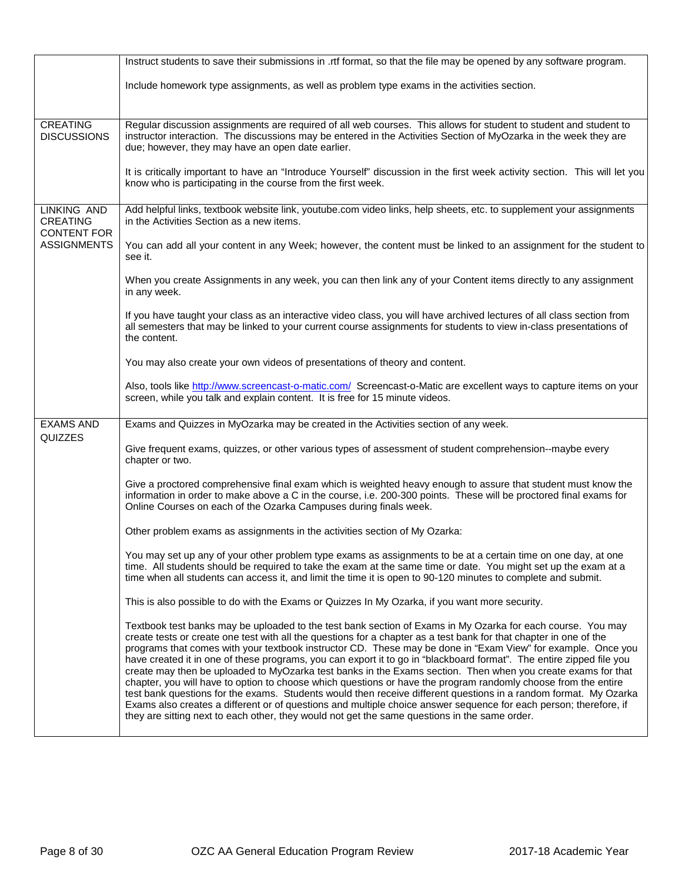|                                                      | Instruct students to save their submissions in .rtf format, so that the file may be opened by any software program.                                                                                                                                                                                                                                                                                                                                                                                                                                                                                                                                                                                                                                                                                                                                                                                                                                                                                                                                   |
|------------------------------------------------------|-------------------------------------------------------------------------------------------------------------------------------------------------------------------------------------------------------------------------------------------------------------------------------------------------------------------------------------------------------------------------------------------------------------------------------------------------------------------------------------------------------------------------------------------------------------------------------------------------------------------------------------------------------------------------------------------------------------------------------------------------------------------------------------------------------------------------------------------------------------------------------------------------------------------------------------------------------------------------------------------------------------------------------------------------------|
|                                                      | Include homework type assignments, as well as problem type exams in the activities section.                                                                                                                                                                                                                                                                                                                                                                                                                                                                                                                                                                                                                                                                                                                                                                                                                                                                                                                                                           |
|                                                      |                                                                                                                                                                                                                                                                                                                                                                                                                                                                                                                                                                                                                                                                                                                                                                                                                                                                                                                                                                                                                                                       |
| <b>CREATING</b><br><b>DISCUSSIONS</b>                | Regular discussion assignments are required of all web courses. This allows for student to student and student to<br>instructor interaction. The discussions may be entered in the Activities Section of MyOzarka in the week they are<br>due; however, they may have an open date earlier.                                                                                                                                                                                                                                                                                                                                                                                                                                                                                                                                                                                                                                                                                                                                                           |
|                                                      | It is critically important to have an "Introduce Yourself" discussion in the first week activity section. This will let you<br>know who is participating in the course from the first week.                                                                                                                                                                                                                                                                                                                                                                                                                                                                                                                                                                                                                                                                                                                                                                                                                                                           |
| LINKING AND<br><b>CREATING</b><br><b>CONTENT FOR</b> | Add helpful links, textbook website link, youtube.com video links, help sheets, etc. to supplement your assignments<br>in the Activities Section as a new items.                                                                                                                                                                                                                                                                                                                                                                                                                                                                                                                                                                                                                                                                                                                                                                                                                                                                                      |
| <b>ASSIGNMENTS</b>                                   | You can add all your content in any Week; however, the content must be linked to an assignment for the student to<br>see it.                                                                                                                                                                                                                                                                                                                                                                                                                                                                                                                                                                                                                                                                                                                                                                                                                                                                                                                          |
|                                                      | When you create Assignments in any week, you can then link any of your Content items directly to any assignment<br>in any week.                                                                                                                                                                                                                                                                                                                                                                                                                                                                                                                                                                                                                                                                                                                                                                                                                                                                                                                       |
|                                                      | If you have taught your class as an interactive video class, you will have archived lectures of all class section from<br>all semesters that may be linked to your current course assignments for students to view in-class presentations of<br>the content.                                                                                                                                                                                                                                                                                                                                                                                                                                                                                                                                                                                                                                                                                                                                                                                          |
|                                                      | You may also create your own videos of presentations of theory and content.                                                                                                                                                                                                                                                                                                                                                                                                                                                                                                                                                                                                                                                                                                                                                                                                                                                                                                                                                                           |
|                                                      | Also, tools like http://www.screencast-o-matic.com/ Screencast-o-Matic are excellent ways to capture items on your<br>screen, while you talk and explain content. It is free for 15 minute videos.                                                                                                                                                                                                                                                                                                                                                                                                                                                                                                                                                                                                                                                                                                                                                                                                                                                    |
| <b>EXAMS AND</b><br>QUIZZES                          | Exams and Quizzes in MyOzarka may be created in the Activities section of any week.                                                                                                                                                                                                                                                                                                                                                                                                                                                                                                                                                                                                                                                                                                                                                                                                                                                                                                                                                                   |
|                                                      | Give frequent exams, quizzes, or other various types of assessment of student comprehension--maybe every<br>chapter or two.                                                                                                                                                                                                                                                                                                                                                                                                                                                                                                                                                                                                                                                                                                                                                                                                                                                                                                                           |
|                                                      | Give a proctored comprehensive final exam which is weighted heavy enough to assure that student must know the<br>information in order to make above a C in the course, i.e. 200-300 points. These will be proctored final exams for<br>Online Courses on each of the Ozarka Campuses during finals week.                                                                                                                                                                                                                                                                                                                                                                                                                                                                                                                                                                                                                                                                                                                                              |
|                                                      | Other problem exams as assignments in the activities section of My Ozarka:                                                                                                                                                                                                                                                                                                                                                                                                                                                                                                                                                                                                                                                                                                                                                                                                                                                                                                                                                                            |
|                                                      | You may set up any of your other problem type exams as assignments to be at a certain time on one day, at one<br>time. All students should be required to take the exam at the same time or date. You might set up the exam at a<br>time when all students can access it, and limit the time it is open to 90-120 minutes to complete and submit.                                                                                                                                                                                                                                                                                                                                                                                                                                                                                                                                                                                                                                                                                                     |
|                                                      | This is also possible to do with the Exams or Quizzes In My Ozarka, if you want more security.                                                                                                                                                                                                                                                                                                                                                                                                                                                                                                                                                                                                                                                                                                                                                                                                                                                                                                                                                        |
|                                                      | Textbook test banks may be uploaded to the test bank section of Exams in My Ozarka for each course. You may<br>create tests or create one test with all the questions for a chapter as a test bank for that chapter in one of the<br>programs that comes with your textbook instructor CD. These may be done in "Exam View" for example. Once you<br>have created it in one of these programs, you can export it to go in "blackboard format". The entire zipped file you<br>create may then be uploaded to MyOzarka test banks in the Exams section. Then when you create exams for that<br>chapter, you will have to option to choose which questions or have the program randomly choose from the entire<br>test bank questions for the exams. Students would then receive different questions in a random format. My Ozarka<br>Exams also creates a different or of questions and multiple choice answer sequence for each person; therefore, if<br>they are sitting next to each other, they would not get the same questions in the same order. |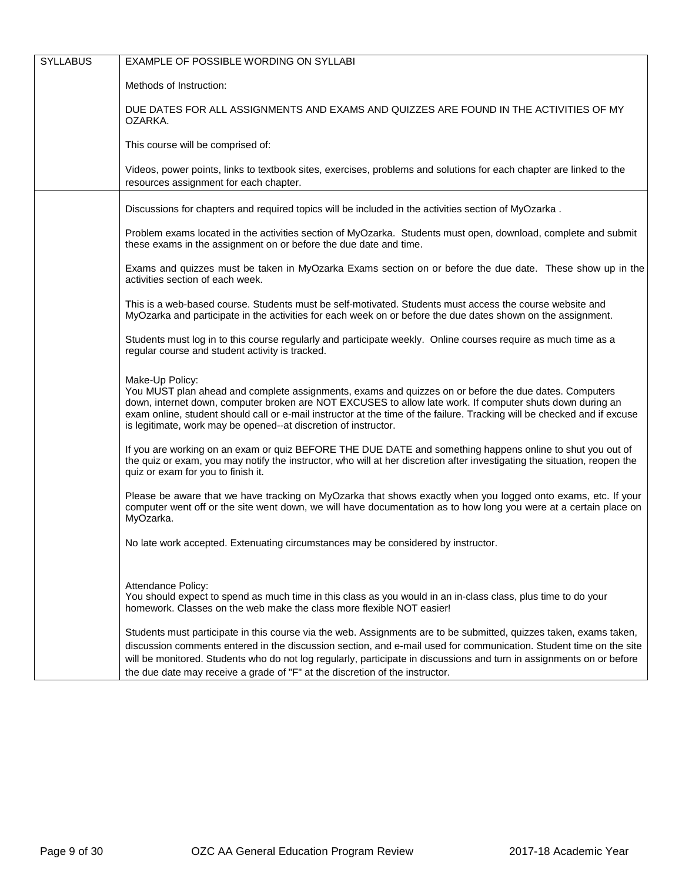| <b>SYLLABUS</b> | EXAMPLE OF POSSIBLE WORDING ON SYLLABI                                                                                                                                                                                                                                                                                                                                                                                                            |
|-----------------|---------------------------------------------------------------------------------------------------------------------------------------------------------------------------------------------------------------------------------------------------------------------------------------------------------------------------------------------------------------------------------------------------------------------------------------------------|
|                 | Methods of Instruction:                                                                                                                                                                                                                                                                                                                                                                                                                           |
|                 | DUE DATES FOR ALL ASSIGNMENTS AND EXAMS AND QUIZZES ARE FOUND IN THE ACTIVITIES OF MY<br>OZARKA.                                                                                                                                                                                                                                                                                                                                                  |
|                 | This course will be comprised of:                                                                                                                                                                                                                                                                                                                                                                                                                 |
|                 | Videos, power points, links to textbook sites, exercises, problems and solutions for each chapter are linked to the<br>resources assignment for each chapter.                                                                                                                                                                                                                                                                                     |
|                 | Discussions for chapters and required topics will be included in the activities section of MyOzarka.                                                                                                                                                                                                                                                                                                                                              |
|                 | Problem exams located in the activities section of MyOzarka. Students must open, download, complete and submit<br>these exams in the assignment on or before the due date and time.                                                                                                                                                                                                                                                               |
|                 | Exams and quizzes must be taken in MyOzarka Exams section on or before the due date. These show up in the<br>activities section of each week.                                                                                                                                                                                                                                                                                                     |
|                 | This is a web-based course. Students must be self-motivated. Students must access the course website and<br>MyOzarka and participate in the activities for each week on or before the due dates shown on the assignment.                                                                                                                                                                                                                          |
|                 | Students must log in to this course regularly and participate weekly. Online courses require as much time as a<br>regular course and student activity is tracked.                                                                                                                                                                                                                                                                                 |
|                 | Make-Up Policy:<br>You MUST plan ahead and complete assignments, exams and quizzes on or before the due dates. Computers<br>down, internet down, computer broken are NOT EXCUSES to allow late work. If computer shuts down during an<br>exam online, student should call or e-mail instructor at the time of the failure. Tracking will be checked and if excuse<br>is legitimate, work may be opened--at discretion of instructor.              |
|                 | If you are working on an exam or quiz BEFORE THE DUE DATE and something happens online to shut you out of<br>the quiz or exam, you may notify the instructor, who will at her discretion after investigating the situation, reopen the<br>quiz or exam for you to finish it.                                                                                                                                                                      |
|                 | Please be aware that we have tracking on MyOzarka that shows exactly when you logged onto exams, etc. If your<br>computer went off or the site went down, we will have documentation as to how long you were at a certain place on<br>MyOzarka.                                                                                                                                                                                                   |
|                 | No late work accepted. Extenuating circumstances may be considered by instructor.                                                                                                                                                                                                                                                                                                                                                                 |
|                 | Attendance Policy:<br>You should expect to spend as much time in this class as you would in an in-class class, plus time to do your<br>homework. Classes on the web make the class more flexible NOT easier!                                                                                                                                                                                                                                      |
|                 | Students must participate in this course via the web. Assignments are to be submitted, quizzes taken, exams taken,<br>discussion comments entered in the discussion section, and e-mail used for communication. Student time on the site<br>will be monitored. Students who do not log regularly, participate in discussions and turn in assignments on or before<br>the due date may receive a grade of "F" at the discretion of the instructor. |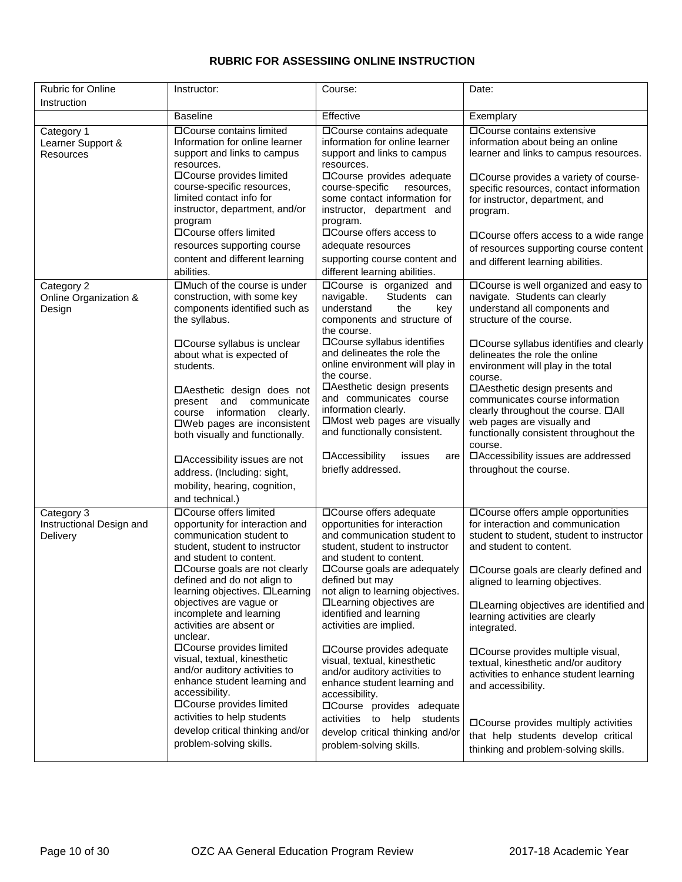### **RUBRIC FOR ASSESSIING ONLINE INSTRUCTION**

| <b>Rubric for Online</b>                           | Instructor:                                                                                                                                                                                                                      | Course:                                                                                                                                                                                                                               | Date:                                                                                                                                                                                                                                          |  |
|----------------------------------------------------|----------------------------------------------------------------------------------------------------------------------------------------------------------------------------------------------------------------------------------|---------------------------------------------------------------------------------------------------------------------------------------------------------------------------------------------------------------------------------------|------------------------------------------------------------------------------------------------------------------------------------------------------------------------------------------------------------------------------------------------|--|
| Instruction                                        |                                                                                                                                                                                                                                  |                                                                                                                                                                                                                                       |                                                                                                                                                                                                                                                |  |
|                                                    | <b>Baseline</b>                                                                                                                                                                                                                  | Effective                                                                                                                                                                                                                             | Exemplary                                                                                                                                                                                                                                      |  |
| Category 1<br>Learner Support &<br>Resources       | □ Course contains limited<br>Information for online learner<br>support and links to campus<br>resources.<br>□Course provides limited<br>course-specific resources,<br>limited contact info for<br>instructor, department, and/or | □ Course contains adequate<br>information for online learner<br>support and links to campus<br>resources.<br>□Course provides adequate<br>course-specific<br>resources,<br>some contact information for<br>instructor, department and | □ Course contains extensive<br>information about being an online<br>learner and links to campus resources.<br>□ Course provides a variety of course-<br>specific resources, contact information<br>for instructor, department, and<br>program. |  |
|                                                    | program<br>□Course offers limited<br>resources supporting course                                                                                                                                                                 | program.<br>□ Course offers access to<br>adequate resources                                                                                                                                                                           | □ Course offers access to a wide range<br>of resources supporting course content                                                                                                                                                               |  |
|                                                    | content and different learning<br>abilities.                                                                                                                                                                                     | supporting course content and<br>different learning abilities.                                                                                                                                                                        | and different learning abilities.                                                                                                                                                                                                              |  |
| Category 2<br>Online Organization &<br>Design      | $\Box$ Much of the course is under<br>construction, with some key<br>components identified such as<br>the syllabus.                                                                                                              | <b>OCourse</b> is organized and<br>navigable.<br><b>Students</b><br>can<br>understand<br>the<br>key<br>components and structure of<br>the course.                                                                                     | □ Course is well organized and easy to<br>navigate. Students can clearly<br>understand all components and<br>structure of the course.                                                                                                          |  |
|                                                    | □ Course syllabus is unclear<br>about what is expected of<br>students.                                                                                                                                                           | □Course syllabus identifies<br>and delineates the role the<br>online environment will play in<br>the course.                                                                                                                          | □ Course syllabus identifies and clearly<br>delineates the role the online<br>environment will play in the total<br>course.                                                                                                                    |  |
|                                                    | □Aesthetic design does not<br>and<br>communicate<br>present<br>information<br>clearly.<br>course<br>□Web pages are inconsistent<br>both visually and functionally.                                                               | □Aesthetic design presents<br>and communicates course<br>information clearly.<br>□Most web pages are visually<br>and functionally consistent.                                                                                         | □Aesthetic design presents and<br>communicates course information<br>clearly throughout the course. □All<br>web pages are visually and<br>functionally consistent throughout the<br>course.                                                    |  |
|                                                    | □ Accessibility issues are not<br>address. (Including: sight,<br>mobility, hearing, cognition,<br>and technical.)                                                                                                                | □Accessibility<br>issues<br>are<br>briefly addressed.                                                                                                                                                                                 | □ Accessibility issues are addressed<br>throughout the course.                                                                                                                                                                                 |  |
| Category 3<br>Instructional Design and<br>Delivery | □Course offers limited<br>opportunity for interaction and<br>communication student to<br>student, student to instructor<br>and student to content.                                                                               | □Course offers adequate<br>opportunities for interaction<br>and communication student to<br>student, student to instructor<br>and student to content.                                                                                 | □ Course offers ample opportunities<br>for interaction and communication<br>student to student, student to instructor<br>and student to content.                                                                                               |  |
|                                                    | □ Course goals are not clearly<br>defined and do not align to<br>learning objectives. <b>OLearning</b>                                                                                                                           | □ Course goals are adequately<br>defined but may<br>not align to learning objectives.                                                                                                                                                 | □ Course goals are clearly defined and<br>aligned to learning objectives.                                                                                                                                                                      |  |
|                                                    | objectives are vague or<br>incomplete and learning<br>activities are absent or<br>unclear.                                                                                                                                       | □Learning objectives are<br>identified and learning<br>activities are implied.                                                                                                                                                        | □Learning objectives are identified and<br>learning activities are clearly<br>integrated.                                                                                                                                                      |  |
|                                                    | □Course provides limited<br>visual, textual, kinesthetic<br>and/or auditory activities to<br>enhance student learning and<br>accessibility.<br>□Course provides limited                                                          | □ Course provides adequate<br>visual, textual, kinesthetic<br>and/or auditory activities to<br>enhance student learning and<br>accessibility.<br>□Course provides adequate                                                            | □ Course provides multiple visual,<br>textual, kinesthetic and/or auditory<br>activities to enhance student learning<br>and accessibility.                                                                                                     |  |
|                                                    | activities to help students<br>develop critical thinking and/or<br>problem-solving skills.                                                                                                                                       | activities to help<br>students<br>develop critical thinking and/or<br>problem-solving skills.                                                                                                                                         | □ Course provides multiply activities<br>that help students develop critical<br>thinking and problem-solving skills.                                                                                                                           |  |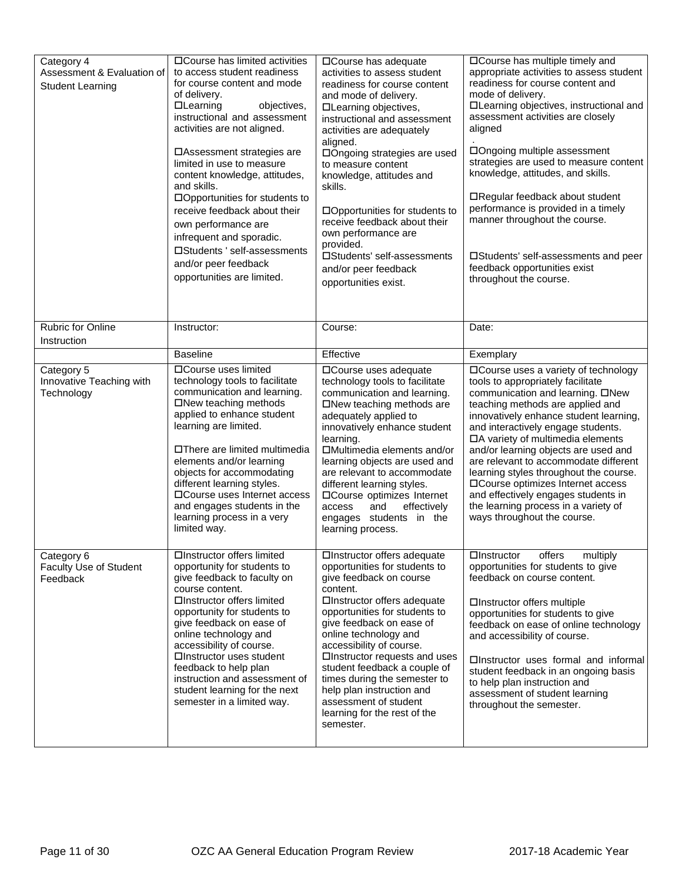| Category 4<br>Assessment & Evaluation of<br><b>Student Learning</b> | □ Course has limited activities<br>to access student readiness<br>for course content and mode<br>of delivery.<br><b>OLearning</b><br>objectives,<br>instructional and assessment<br>activities are not aligned.<br>□ Assessment strategies are<br>limited in use to measure<br>content knowledge, attitudes,<br>and skills.<br>□Opportunities for students to<br>receive feedback about their<br>own performance are<br>infrequent and sporadic.<br>□Students ' self-assessments<br>and/or peer feedback<br>opportunities are limited. | □ Course has adequate<br>activities to assess student<br>readiness for course content<br>and mode of delivery.<br>□Learning objectives,<br>instructional and assessment<br>activities are adequately<br>aligned.<br>□Ongoing strategies are used<br>to measure content<br>knowledge, attitudes and<br>skills.<br>□Opportunities for students to<br>receive feedback about their<br>own performance are<br>provided.<br>□Students' self-assessments<br>and/or peer feedback<br>opportunities exist. | □Course has multiple timely and<br>appropriate activities to assess student<br>readiness for course content and<br>mode of delivery.<br>□Learning objectives, instructional and<br>assessment activities are closely<br>aligned<br>□Ongoing multiple assessment<br>strategies are used to measure content<br>knowledge, attitudes, and skills.<br>□Regular feedback about student<br>performance is provided in a timely<br>manner throughout the course.<br>□Students' self-assessments and peer<br>feedback opportunities exist<br>throughout the course. |
|---------------------------------------------------------------------|----------------------------------------------------------------------------------------------------------------------------------------------------------------------------------------------------------------------------------------------------------------------------------------------------------------------------------------------------------------------------------------------------------------------------------------------------------------------------------------------------------------------------------------|----------------------------------------------------------------------------------------------------------------------------------------------------------------------------------------------------------------------------------------------------------------------------------------------------------------------------------------------------------------------------------------------------------------------------------------------------------------------------------------------------|-------------------------------------------------------------------------------------------------------------------------------------------------------------------------------------------------------------------------------------------------------------------------------------------------------------------------------------------------------------------------------------------------------------------------------------------------------------------------------------------------------------------------------------------------------------|
| Rubric for Online<br>Instruction                                    | Instructor:                                                                                                                                                                                                                                                                                                                                                                                                                                                                                                                            | Course:                                                                                                                                                                                                                                                                                                                                                                                                                                                                                            | Date:                                                                                                                                                                                                                                                                                                                                                                                                                                                                                                                                                       |
|                                                                     | <b>Baseline</b>                                                                                                                                                                                                                                                                                                                                                                                                                                                                                                                        | Effective                                                                                                                                                                                                                                                                                                                                                                                                                                                                                          | Exemplary                                                                                                                                                                                                                                                                                                                                                                                                                                                                                                                                                   |
| Category 5<br>Innovative Teaching with<br>Technology                | □Course uses limited<br>technology tools to facilitate<br>communication and learning.<br>□New teaching methods<br>applied to enhance student<br>learning are limited.<br>□There are limited multimedia<br>elements and/or learning<br>objects for accommodating<br>different learning styles.<br>□Course uses Internet access<br>and engages students in the<br>learning process in a very<br>limited way.                                                                                                                             | □Course uses adequate<br>technology tools to facilitate<br>communication and learning.<br>□New teaching methods are<br>adequately applied to<br>innovatively enhance student<br>learning.<br>□Multimedia elements and/or<br>learning objects are used and<br>are relevant to accommodate<br>different learning styles.<br>□Course optimizes Internet<br>effectively<br>access<br>and<br>engages students in the<br>learning process.                                                               | □ Course uses a variety of technology<br>tools to appropriately facilitate<br>communication and learning. □New<br>teaching methods are applied and<br>innovatively enhance student learning,<br>and interactively engage students.<br>□A variety of multimedia elements<br>and/or learning objects are used and<br>are relevant to accommodate different<br>learning styles throughout the course.<br>□ Course optimizes Internet access<br>and effectively engages students in<br>the learning process in a variety of<br>ways throughout the course.      |
| Category 6<br>Faculty Use of Student<br>Feedback                    | □Instructor offers limited<br>opportunity for students to<br>give feedback to faculty on<br>course content.<br>□Instructor offers limited<br>opportunity for students to<br>give feedback on ease of<br>online technology and<br>accessibility of course.<br>□Instructor uses student<br>feedback to help plan<br>instruction and assessment of<br>student learning for the next<br>semester in a limited way.                                                                                                                         | □Instructor offers adequate<br>opportunities for students to<br>give feedback on course<br>content.<br>□Instructor offers adequate<br>opportunities for students to<br>give feedback on ease of<br>online technology and<br>accessibility of course.<br>□Instructor requests and uses<br>student feedback a couple of<br>times during the semester to<br>help plan instruction and<br>assessment of student<br>learning for the rest of the<br>semester.                                           | offers<br>multiply<br>□Instructor<br>opportunities for students to give<br>feedback on course content.<br>□Instructor offers multiple<br>opportunities for students to give<br>feedback on ease of online technology<br>and accessibility of course.<br>□Instructor uses formal and informal<br>student feedback in an ongoing basis<br>to help plan instruction and<br>assessment of student learning<br>throughout the semester.                                                                                                                          |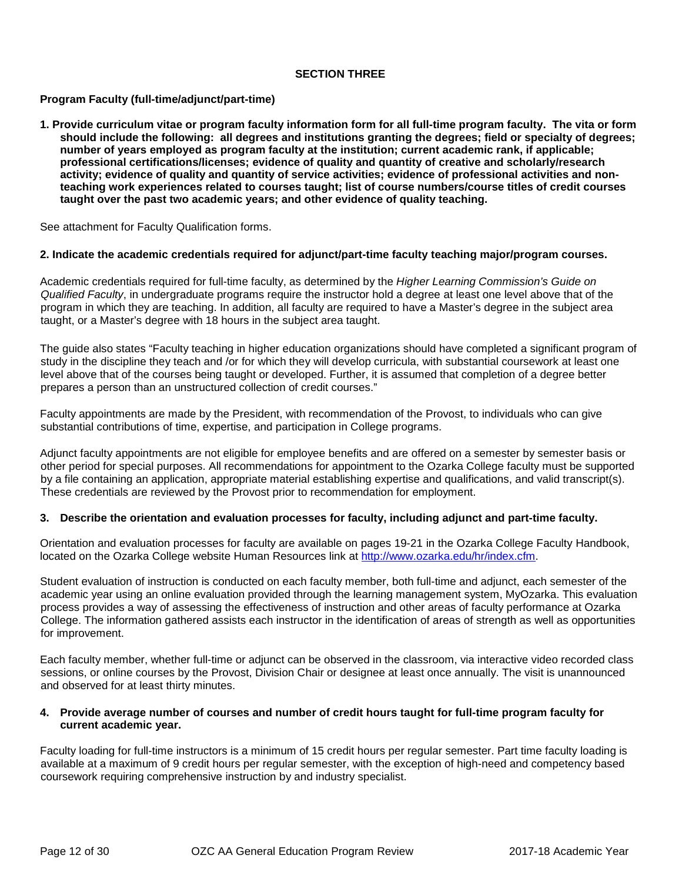#### **SECTION THREE**

#### **Program Faculty (full-time/adjunct/part-time)**

**1. Provide curriculum vitae or program faculty information form for all full-time program faculty. The vita or form should include the following: all degrees and institutions granting the degrees; field or specialty of degrees; number of years employed as program faculty at the institution; current academic rank, if applicable; professional certifications/licenses; evidence of quality and quantity of creative and scholarly/research activity; evidence of quality and quantity of service activities; evidence of professional activities and nonteaching work experiences related to courses taught; list of course numbers/course titles of credit courses taught over the past two academic years; and other evidence of quality teaching.** 

See attachment for Faculty Qualification forms.

#### **2. Indicate the academic credentials required for adjunct/part-time faculty teaching major/program courses.**

Academic credentials required for full-time faculty, as determined by the *Higher Learning Commission's Guide on Qualified Faculty*, in undergraduate programs require the instructor hold a degree at least one level above that of the program in which they are teaching. In addition, all faculty are required to have a Master's degree in the subject area taught, or a Master's degree with 18 hours in the subject area taught.

The guide also states "Faculty teaching in higher education organizations should have completed a significant program of study in the discipline they teach and /or for which they will develop curricula, with substantial coursework at least one level above that of the courses being taught or developed. Further, it is assumed that completion of a degree better prepares a person than an unstructured collection of credit courses."

Faculty appointments are made by the President, with recommendation of the Provost, to individuals who can give substantial contributions of time, expertise, and participation in College programs.

Adjunct faculty appointments are not eligible for employee benefits and are offered on a semester by semester basis or other period for special purposes. All recommendations for appointment to the Ozarka College faculty must be supported by a file containing an application, appropriate material establishing expertise and qualifications, and valid transcript(s). These credentials are reviewed by the Provost prior to recommendation for employment.

#### **3. Describe the orientation and evaluation processes for faculty, including adjunct and part-time faculty.**

Orientation and evaluation processes for faculty are available on pages 19-21 in the Ozarka College Faculty Handbook, located on the Ozarka College website Human Resources link at [http://www.ozarka.edu/hr/index.cfm.](http://www.ozarka.edu/hr/index.cfm)

Student evaluation of instruction is conducted on each faculty member, both full-time and adjunct, each semester of the academic year using an online evaluation provided through the learning management system, MyOzarka. This evaluation process provides a way of assessing the effectiveness of instruction and other areas of faculty performance at Ozarka College. The information gathered assists each instructor in the identification of areas of strength as well as opportunities for improvement.

Each faculty member, whether full-time or adjunct can be observed in the classroom, via interactive video recorded class sessions, or online courses by the Provost, Division Chair or designee at least once annually. The visit is unannounced and observed for at least thirty minutes.

#### **4. Provide average number of courses and number of credit hours taught for full-time program faculty for current academic year.**

Faculty loading for full-time instructors is a minimum of 15 credit hours per regular semester. Part time faculty loading is available at a maximum of 9 credit hours per regular semester, with the exception of high-need and competency based coursework requiring comprehensive instruction by and industry specialist.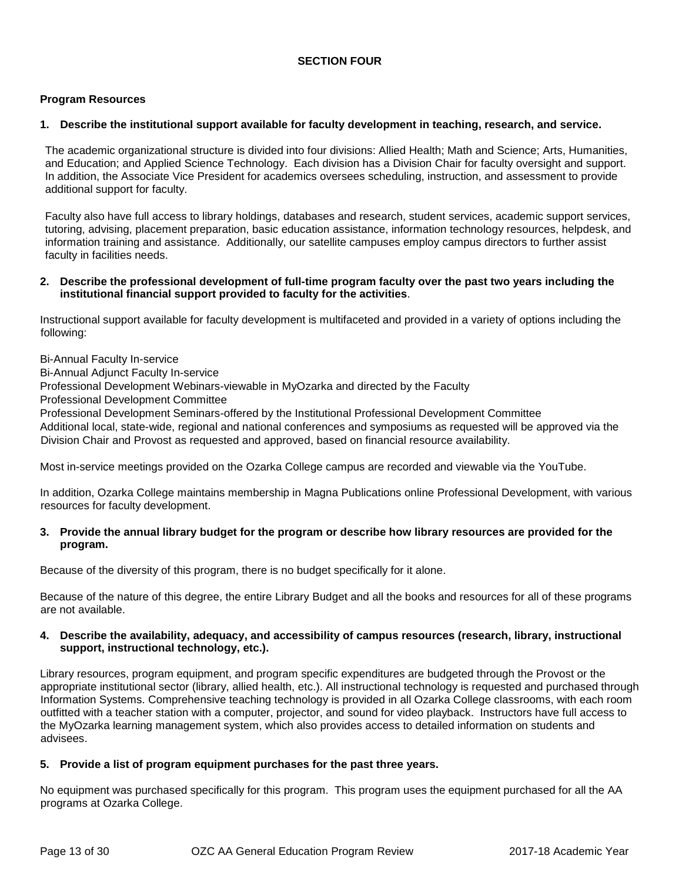### **SECTION FOUR**

#### **Program Resources**

#### **1. Describe the institutional support available for faculty development in teaching, research, and service.**

The academic organizational structure is divided into four divisions: Allied Health; Math and Science; Arts, Humanities, and Education; and Applied Science Technology. Each division has a Division Chair for faculty oversight and support. In addition, the Associate Vice President for academics oversees scheduling, instruction, and assessment to provide additional support for faculty.

Faculty also have full access to library holdings, databases and research, student services, academic support services, tutoring, advising, placement preparation, basic education assistance, information technology resources, helpdesk, and information training and assistance. Additionally, our satellite campuses employ campus directors to further assist faculty in facilities needs.

#### **2. Describe the professional development of full-time program faculty over the past two years including the institutional financial support provided to faculty for the activities**.

Instructional support available for faculty development is multifaceted and provided in a variety of options including the following:

Bi-Annual Faculty In-service

Bi-Annual Adjunct Faculty In-service

Professional Development Webinars-viewable in MyOzarka and directed by the Faculty

Professional Development Committee

Professional Development Seminars-offered by the Institutional Professional Development Committee

Additional local, state-wide, regional and national conferences and symposiums as requested will be approved via the Division Chair and Provost as requested and approved, based on financial resource availability.

Most in-service meetings provided on the Ozarka College campus are recorded and viewable via the YouTube.

In addition, Ozarka College maintains membership in Magna Publications online Professional Development, with various resources for faculty development.

#### **3. Provide the annual library budget for the program or describe how library resources are provided for the program.**

Because of the diversity of this program, there is no budget specifically for it alone.

Because of the nature of this degree, the entire Library Budget and all the books and resources for all of these programs are not available.

#### **4. Describe the availability, adequacy, and accessibility of campus resources (research, library, instructional support, instructional technology, etc.).**

Library resources, program equipment, and program specific expenditures are budgeted through the Provost or the appropriate institutional sector (library, allied health, etc.). All instructional technology is requested and purchased through Information Systems. Comprehensive teaching technology is provided in all Ozarka College classrooms, with each room outfitted with a teacher station with a computer, projector, and sound for video playback. Instructors have full access to the MyOzarka learning management system, which also provides access to detailed information on students and advisees.

#### **5. Provide a list of program equipment purchases for the past three years.**

No equipment was purchased specifically for this program. This program uses the equipment purchased for all the AA programs at Ozarka College.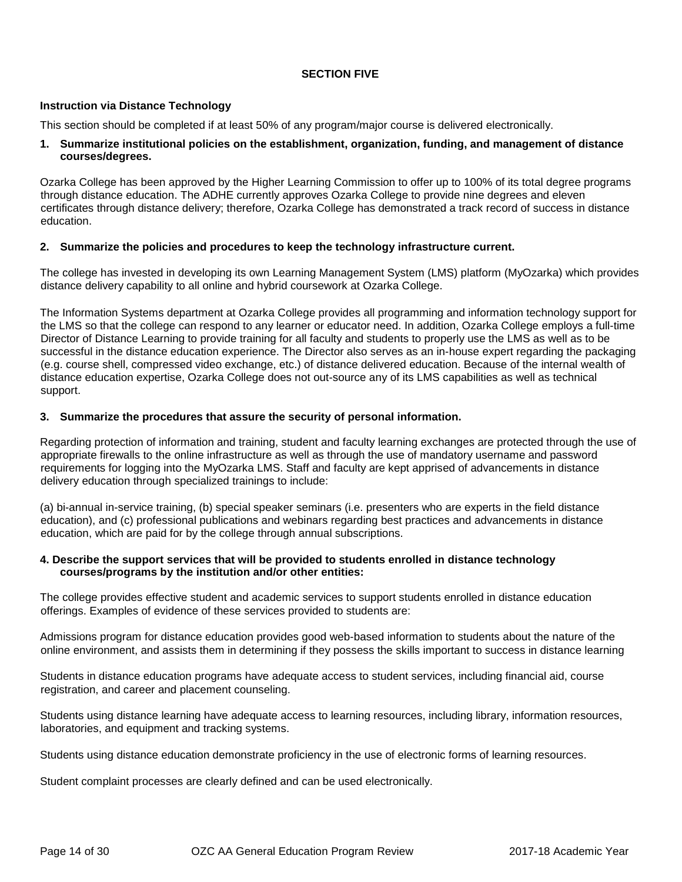#### **SECTION FIVE**

#### **Instruction via Distance Technology**

This section should be completed if at least 50% of any program/major course is delivered electronically.

#### **1. Summarize institutional policies on the establishment, organization, funding, and management of distance courses/degrees.**

Ozarka College has been approved by the Higher Learning Commission to offer up to 100% of its total degree programs through distance education. The ADHE currently approves Ozarka College to provide nine degrees and eleven certificates through distance delivery; therefore, Ozarka College has demonstrated a track record of success in distance education.

#### **2. Summarize the policies and procedures to keep the technology infrastructure current.**

The college has invested in developing its own Learning Management System (LMS) platform (MyOzarka) which provides distance delivery capability to all online and hybrid coursework at Ozarka College.

The Information Systems department at Ozarka College provides all programming and information technology support for the LMS so that the college can respond to any learner or educator need. In addition, Ozarka College employs a full-time Director of Distance Learning to provide training for all faculty and students to properly use the LMS as well as to be successful in the distance education experience. The Director also serves as an in-house expert regarding the packaging (e.g. course shell, compressed video exchange, etc.) of distance delivered education. Because of the internal wealth of distance education expertise, Ozarka College does not out-source any of its LMS capabilities as well as technical support.

#### **3. Summarize the procedures that assure the security of personal information.**

Regarding protection of information and training, student and faculty learning exchanges are protected through the use of appropriate firewalls to the online infrastructure as well as through the use of mandatory username and password requirements for logging into the MyOzarka LMS. Staff and faculty are kept apprised of advancements in distance delivery education through specialized trainings to include:

(a) bi-annual in-service training, (b) special speaker seminars (i.e. presenters who are experts in the field distance education), and (c) professional publications and webinars regarding best practices and advancements in distance education, which are paid for by the college through annual subscriptions.

#### **4. Describe the support services that will be provided to students enrolled in distance technology courses/programs by the institution and/or other entities:**

The college provides effective student and academic services to support students enrolled in distance education offerings. Examples of evidence of these services provided to students are:

Admissions program for distance education provides good web-based information to students about the nature of the online environment, and assists them in determining if they possess the skills important to success in distance learning

Students in distance education programs have adequate access to student services, including financial aid, course registration, and career and placement counseling.

Students using distance learning have adequate access to learning resources, including library, information resources, laboratories, and equipment and tracking systems.

Students using distance education demonstrate proficiency in the use of electronic forms of learning resources.

Student complaint processes are clearly defined and can be used electronically.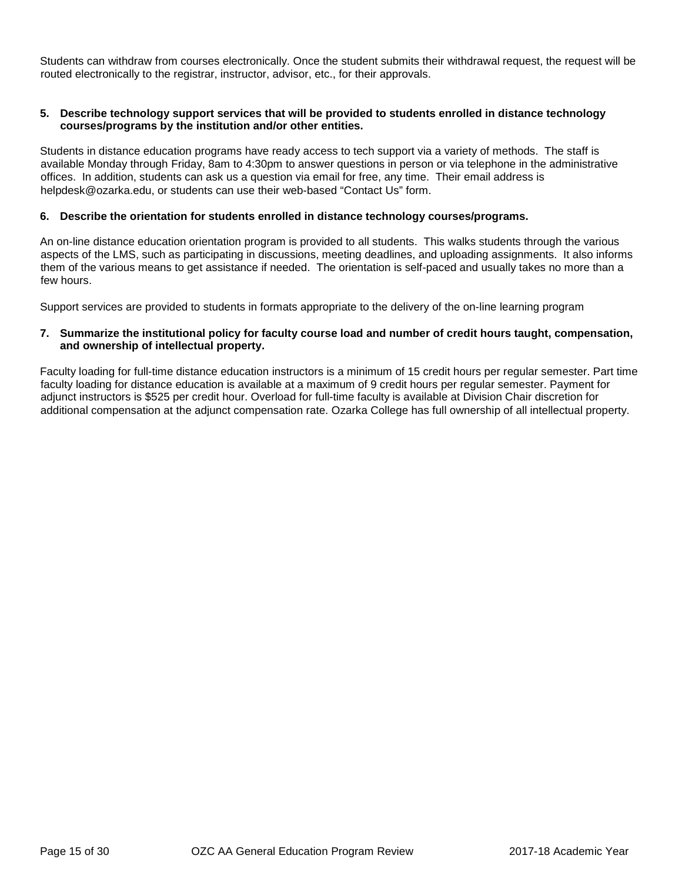Students can withdraw from courses electronically. Once the student submits their withdrawal request, the request will be routed electronically to the registrar, instructor, advisor, etc., for their approvals.

#### **5. Describe technology support services that will be provided to students enrolled in distance technology courses/programs by the institution and/or other entities.**

Students in distance education programs have ready access to tech support via a variety of methods. The staff is available Monday through Friday, 8am to 4:30pm to answer questions in person or via telephone in the administrative offices. In addition, students can ask us a question via email for free, any time. Their email address is helpdesk@ozarka.edu, or students can use their web-based "Contact Us" form.

#### **6. Describe the orientation for students enrolled in distance technology courses/programs.**

An on-line distance education orientation program is provided to all students. This walks students through the various aspects of the LMS, such as participating in discussions, meeting deadlines, and uploading assignments. It also informs them of the various means to get assistance if needed. The orientation is self-paced and usually takes no more than a few hours.

Support services are provided to students in formats appropriate to the delivery of the on-line learning program

#### **7. Summarize the institutional policy for faculty course load and number of credit hours taught, compensation, and ownership of intellectual property.**

Faculty loading for full-time distance education instructors is a minimum of 15 credit hours per regular semester. Part time faculty loading for distance education is available at a maximum of 9 credit hours per regular semester. Payment for adjunct instructors is \$525 per credit hour. Overload for full-time faculty is available at Division Chair discretion for additional compensation at the adjunct compensation rate. Ozarka College has full ownership of all intellectual property.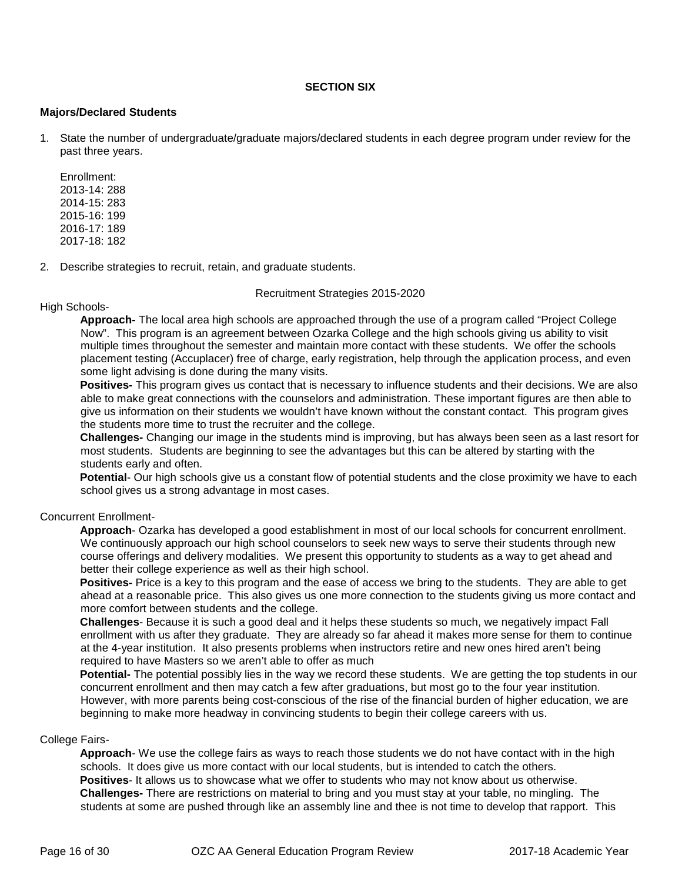#### **SECTION SIX**

#### **Majors/Declared Students**

1. State the number of undergraduate/graduate majors/declared students in each degree program under review for the past three years.

Enrollment: 2013-14: 288 2014-15: 283 2015-16: 199 2016-17: 189 2017-18: 182

2. Describe strategies to recruit, retain, and graduate students.

#### Recruitment Strategies 2015-2020

#### High Schools-

**Approach-** The local area high schools are approached through the use of a program called "Project College Now". This program is an agreement between Ozarka College and the high schools giving us ability to visit multiple times throughout the semester and maintain more contact with these students. We offer the schools placement testing (Accuplacer) free of charge, early registration, help through the application process, and even some light advising is done during the many visits.

**Positives-** This program gives us contact that is necessary to influence students and their decisions. We are also able to make great connections with the counselors and administration. These important figures are then able to give us information on their students we wouldn't have known without the constant contact. This program gives the students more time to trust the recruiter and the college.

**Challenges-** Changing our image in the students mind is improving, but has always been seen as a last resort for most students. Students are beginning to see the advantages but this can be altered by starting with the students early and often.

**Potential**- Our high schools give us a constant flow of potential students and the close proximity we have to each school gives us a strong advantage in most cases.

#### Concurrent Enrollment-

**Approach**- Ozarka has developed a good establishment in most of our local schools for concurrent enrollment. We continuously approach our high school counselors to seek new ways to serve their students through new course offerings and delivery modalities. We present this opportunity to students as a way to get ahead and better their college experience as well as their high school.

**Positives-** Price is a key to this program and the ease of access we bring to the students. They are able to get ahead at a reasonable price. This also gives us one more connection to the students giving us more contact and more comfort between students and the college.

**Challenges**- Because it is such a good deal and it helps these students so much, we negatively impact Fall enrollment with us after they graduate. They are already so far ahead it makes more sense for them to continue at the 4-year institution. It also presents problems when instructors retire and new ones hired aren't being required to have Masters so we aren't able to offer as much

**Potential-** The potential possibly lies in the way we record these students. We are getting the top students in our concurrent enrollment and then may catch a few after graduations, but most go to the four year institution. However, with more parents being cost-conscious of the rise of the financial burden of higher education, we are beginning to make more headway in convincing students to begin their college careers with us.

#### College Fairs-

**Approach**- We use the college fairs as ways to reach those students we do not have contact with in the high schools. It does give us more contact with our local students, but is intended to catch the others. **Positives**- It allows us to showcase what we offer to students who may not know about us otherwise. **Challenges-** There are restrictions on material to bring and you must stay at your table, no mingling. The students at some are pushed through like an assembly line and thee is not time to develop that rapport. This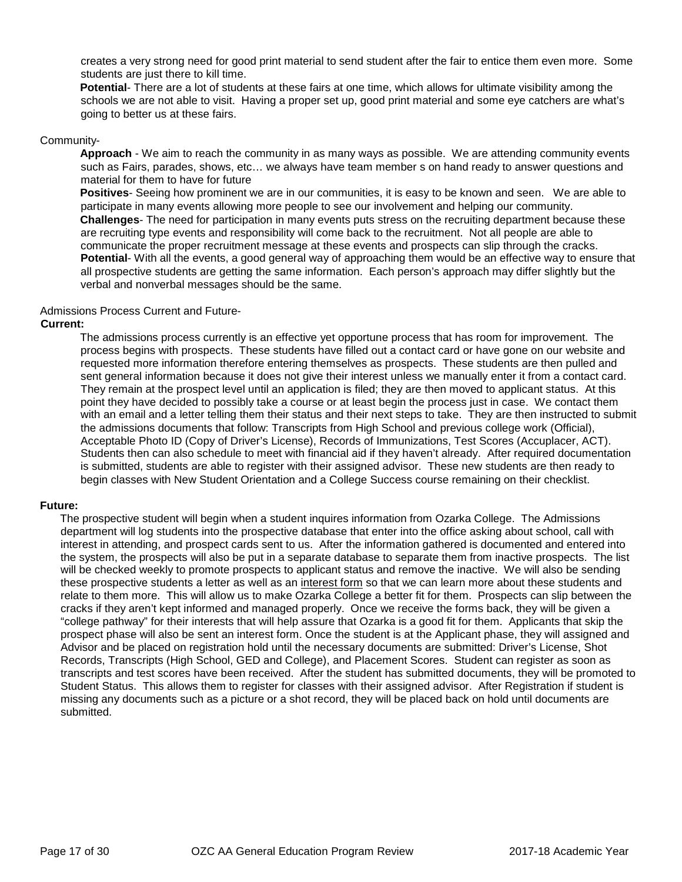creates a very strong need for good print material to send student after the fair to entice them even more. Some students are just there to kill time.

**Potential**- There are a lot of students at these fairs at one time, which allows for ultimate visibility among the schools we are not able to visit. Having a proper set up, good print material and some eye catchers are what's going to better us at these fairs.

#### Community-

**Approach** - We aim to reach the community in as many ways as possible. We are attending community events such as Fairs, parades, shows, etc… we always have team member s on hand ready to answer questions and material for them to have for future

**Positives**- Seeing how prominent we are in our communities, it is easy to be known and seen. We are able to participate in many events allowing more people to see our involvement and helping our community. **Challenges**- The need for participation in many events puts stress on the recruiting department because these are recruiting type events and responsibility will come back to the recruitment. Not all people are able to communicate the proper recruitment message at these events and prospects can slip through the cracks. **Potential**- With all the events, a good general way of approaching them would be an effective way to ensure that all prospective students are getting the same information. Each person's approach may differ slightly but the verbal and nonverbal messages should be the same.

#### Admissions Process Current and Future-

#### **Current:**

The admissions process currently is an effective yet opportune process that has room for improvement. The process begins with prospects. These students have filled out a contact card or have gone on our website and requested more information therefore entering themselves as prospects. These students are then pulled and sent general information because it does not give their interest unless we manually enter it from a contact card. They remain at the prospect level until an application is filed; they are then moved to applicant status. At this point they have decided to possibly take a course or at least begin the process just in case. We contact them with an email and a letter telling them their status and their next steps to take. They are then instructed to submit the admissions documents that follow: Transcripts from High School and previous college work (Official), Acceptable Photo ID (Copy of Driver's License), Records of Immunizations, Test Scores (Accuplacer, ACT). Students then can also schedule to meet with financial aid if they haven't already. After required documentation is submitted, students are able to register with their assigned advisor. These new students are then ready to begin classes with New Student Orientation and a College Success course remaining on their checklist.

#### **Future:**

The prospective student will begin when a student inquires information from Ozarka College. The Admissions department will log students into the prospective database that enter into the office asking about school, call with interest in attending, and prospect cards sent to us. After the information gathered is documented and entered into the system, the prospects will also be put in a separate database to separate them from inactive prospects. The list will be checked weekly to promote prospects to applicant status and remove the inactive. We will also be sending these prospective students a letter as well as an interest form so that we can learn more about these students and relate to them more. This will allow us to make Ozarka College a better fit for them. Prospects can slip between the cracks if they aren't kept informed and managed properly. Once we receive the forms back, they will be given a "college pathway" for their interests that will help assure that Ozarka is a good fit for them. Applicants that skip the prospect phase will also be sent an interest form. Once the student is at the Applicant phase, they will assigned and Advisor and be placed on registration hold until the necessary documents are submitted: Driver's License, Shot Records, Transcripts (High School, GED and College), and Placement Scores. Student can register as soon as transcripts and test scores have been received. After the student has submitted documents, they will be promoted to Student Status. This allows them to register for classes with their assigned advisor. After Registration if student is missing any documents such as a picture or a shot record, they will be placed back on hold until documents are submitted.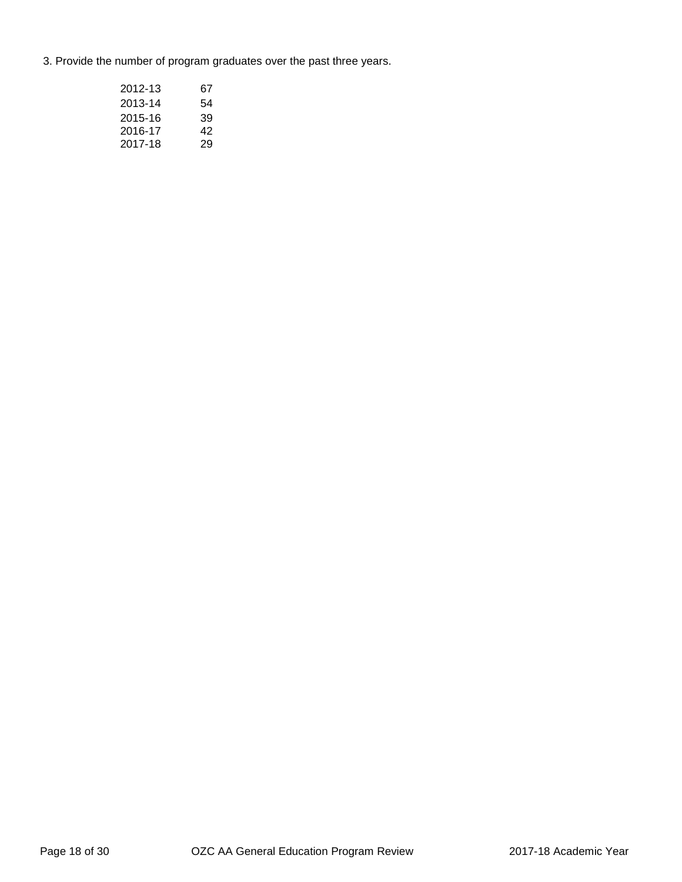3. Provide the number of program graduates over the past three years.

| 2012-13 | 67 |
|---------|----|
| 2013-14 | 54 |
| 2015-16 | 39 |
| 2016-17 | 42 |
| 2017-18 | 29 |
|         |    |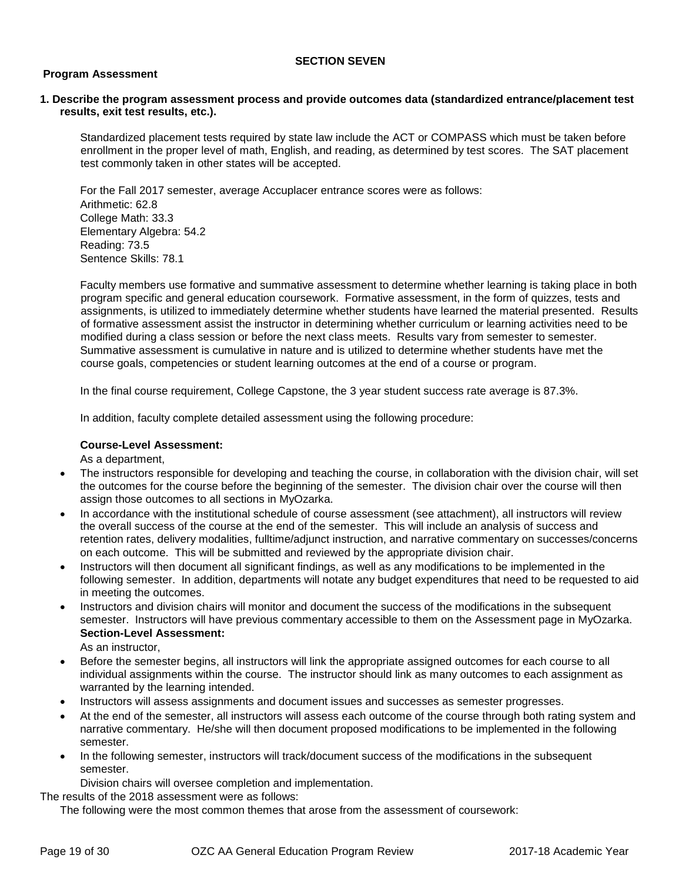#### **SECTION SEVEN**

#### **Program Assessment**

#### **1. Describe the program assessment process and provide outcomes data (standardized entrance/placement test results, exit test results, etc.).**

Standardized placement tests required by state law include the ACT or COMPASS which must be taken before enrollment in the proper level of math, English, and reading, as determined by test scores. The SAT placement test commonly taken in other states will be accepted.

For the Fall 2017 semester, average Accuplacer entrance scores were as follows: Arithmetic: 62.8 College Math: 33.3 Elementary Algebra: 54.2 Reading: 73.5 Sentence Skills: 78.1

Faculty members use formative and summative assessment to determine whether learning is taking place in both program specific and general education coursework. Formative assessment, in the form of quizzes, tests and assignments, is utilized to immediately determine whether students have learned the material presented. Results of formative assessment assist the instructor in determining whether curriculum or learning activities need to be modified during a class session or before the next class meets. Results vary from semester to semester. Summative assessment is cumulative in nature and is utilized to determine whether students have met the course goals, competencies or student learning outcomes at the end of a course or program.

In the final course requirement, College Capstone, the 3 year student success rate average is 87.3%.

In addition, faculty complete detailed assessment using the following procedure:

#### **Course-Level Assessment:**

As a department,

- The instructors responsible for developing and teaching the course, in collaboration with the division chair, will set the outcomes for the course before the beginning of the semester. The division chair over the course will then assign those outcomes to all sections in MyOzarka.
- In accordance with the institutional schedule of course assessment (see attachment), all instructors will review the overall success of the course at the end of the semester. This will include an analysis of success and retention rates, delivery modalities, fulltime/adjunct instruction, and narrative commentary on successes/concerns on each outcome. This will be submitted and reviewed by the appropriate division chair.
- Instructors will then document all significant findings, as well as any modifications to be implemented in the following semester. In addition, departments will notate any budget expenditures that need to be requested to aid in meeting the outcomes.
- Instructors and division chairs will monitor and document the success of the modifications in the subsequent semester. Instructors will have previous commentary accessible to them on the Assessment page in MyOzarka. **Section-Level Assessment:**

As an instructor,

- Before the semester begins, all instructors will link the appropriate assigned outcomes for each course to all individual assignments within the course. The instructor should link as many outcomes to each assignment as warranted by the learning intended.
- Instructors will assess assignments and document issues and successes as semester progresses.
- At the end of the semester, all instructors will assess each outcome of the course through both rating system and narrative commentary. He/she will then document proposed modifications to be implemented in the following semester.
- In the following semester, instructors will track/document success of the modifications in the subsequent semester.

Division chairs will oversee completion and implementation.

The results of the 2018 assessment were as follows:

The following were the most common themes that arose from the assessment of coursework: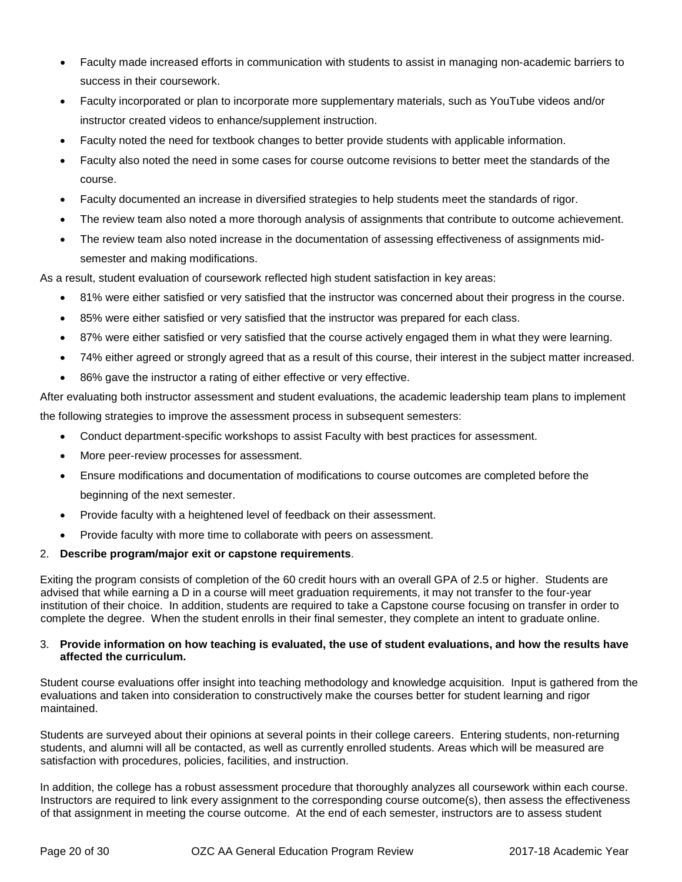- Faculty made increased efforts in communication with students to assist in managing non-academic barriers to success in their coursework.
- Faculty incorporated or plan to incorporate more supplementary materials, such as YouTube videos and/or instructor created videos to enhance/supplement instruction.
- Faculty noted the need for textbook changes to better provide students with applicable information.
- Faculty also noted the need in some cases for course outcome revisions to better meet the standards of the course.
- Faculty documented an increase in diversified strategies to help students meet the standards of rigor.
- The review team also noted a more thorough analysis of assignments that contribute to outcome achievement.
- The review team also noted increase in the documentation of assessing effectiveness of assignments midsemester and making modifications.

As a result, student evaluation of coursework reflected high student satisfaction in key areas:

- 81% were either satisfied or very satisfied that the instructor was concerned about their progress in the course.
- 85% were either satisfied or very satisfied that the instructor was prepared for each class.
- 87% were either satisfied or very satisfied that the course actively engaged them in what they were learning.
- 74% either agreed or strongly agreed that as a result of this course, their interest in the subject matter increased.
- 86% gave the instructor a rating of either effective or very effective.

After evaluating both instructor assessment and student evaluations, the academic leadership team plans to implement the following strategies to improve the assessment process in subsequent semesters:

- Conduct department-specific workshops to assist Faculty with best practices for assessment.
- More peer-review processes for assessment.
- Ensure modifications and documentation of modifications to course outcomes are completed before the beginning of the next semester.
- Provide faculty with a heightened level of feedback on their assessment.
- Provide faculty with more time to collaborate with peers on assessment.

#### 2. **Describe program/major exit or capstone requirements**.

Exiting the program consists of completion of the 60 credit hours with an overall GPA of 2.5 or higher. Students are advised that while earning a D in a course will meet graduation requirements, it may not transfer to the four-year institution of their choice. In addition, students are required to take a Capstone course focusing on transfer in order to complete the degree. When the student enrolls in their final semester, they complete an intent to graduate online.

#### 3. **Provide information on how teaching is evaluated, the use of student evaluations, and how the results have affected the curriculum.**

Student course evaluations offer insight into teaching methodology and knowledge acquisition. Input is gathered from the evaluations and taken into consideration to constructively make the courses better for student learning and rigor maintained.

Students are surveyed about their opinions at several points in their college careers. Entering students, non-returning students, and alumni will all be contacted, as well as currently enrolled students. Areas which will be measured are satisfaction with procedures, policies, facilities, and instruction.

In addition, the college has a robust assessment procedure that thoroughly analyzes all coursework within each course. Instructors are required to link every assignment to the corresponding course outcome(s), then assess the effectiveness of that assignment in meeting the course outcome. At the end of each semester, instructors are to assess student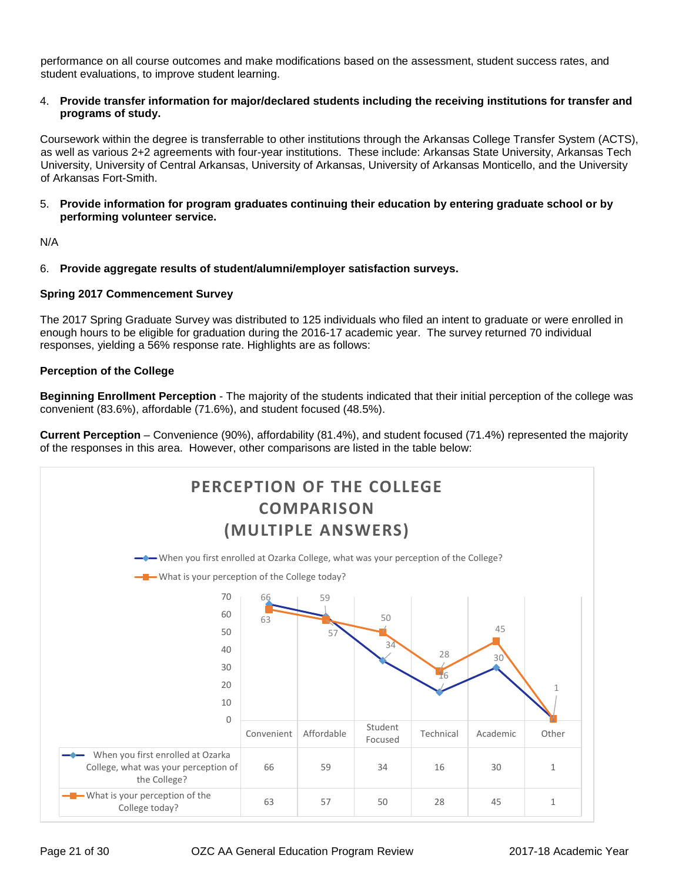performance on all course outcomes and make modifications based on the assessment, student success rates, and student evaluations, to improve student learning.

#### 4. **Provide transfer information for major/declared students including the receiving institutions for transfer and programs of study.**

Coursework within the degree is transferrable to other institutions through the Arkansas College Transfer System (ACTS), as well as various 2+2 agreements with four-year institutions. These include: Arkansas State University, Arkansas Tech University, University of Central Arkansas, University of Arkansas, University of Arkansas Monticello, and the University of Arkansas Fort-Smith.

5. **Provide information for program graduates continuing their education by entering graduate school or by performing volunteer service.** 

N/A

6. **Provide aggregate results of student/alumni/employer satisfaction surveys.** 

#### **Spring 2017 Commencement Survey**

The 2017 Spring Graduate Survey was distributed to 125 individuals who filed an intent to graduate or were enrolled in enough hours to be eligible for graduation during the 2016-17 academic year. The survey returned 70 individual responses, yielding a 56% response rate. Highlights are as follows:

#### **Perception of the College**

**Beginning Enrollment Perception** - The majority of the students indicated that their initial perception of the college was convenient (83.6%), affordable (71.6%), and student focused (48.5%).

**Current Perception** – Convenience (90%), affordability (81.4%), and student focused (71.4%) represented the majority of the responses in this area. However, other comparisons are listed in the table below:

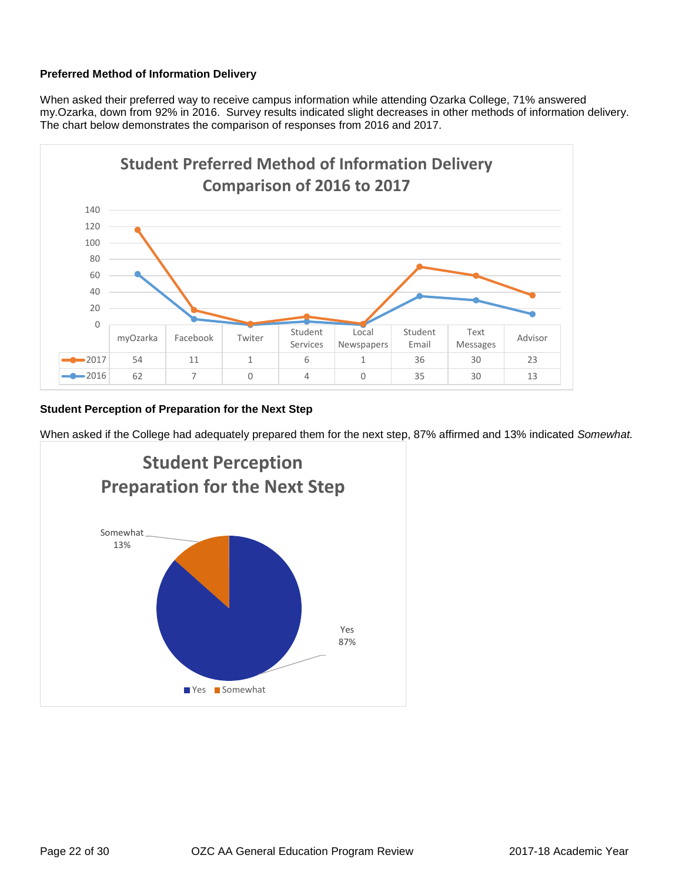### **Preferred Method of Information Delivery**

When asked their preferred way to receive campus information while attending Ozarka College, 71% answered my.Ozarka, down from 92% in 2016. Survey results indicated slight decreases in other methods of information delivery. The chart below demonstrates the comparison of responses from 2016 and 2017.



#### **Student Perception of Preparation for the Next Step**

When asked if the College had adequately prepared them for the next step, 87% affirmed and 13% indicated *Somewhat.*

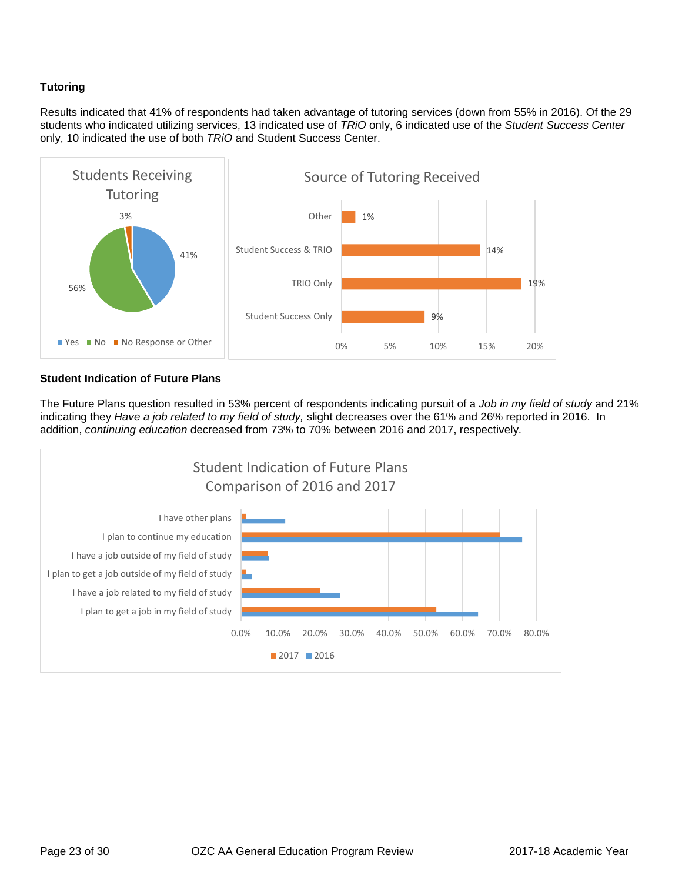### **Tutoring**

Results indicated that 41% of respondents had taken advantage of tutoring services (down from 55% in 2016). Of the 29 students who indicated utilizing services, 13 indicated use of *TRiO* only, 6 indicated use of the *Student Success Center* only, 10 indicated the use of both *TRiO* and Student Success Center.



#### **Student Indication of Future Plans**

The Future Plans question resulted in 53% percent of respondents indicating pursuit of a *Job in my field of study* and 21% indicating they *Have a job related to my field of study,* slight decreases over the 61% and 26% reported in 2016. In addition, *continuing education* decreased from 73% to 70% between 2016 and 2017, respectively.

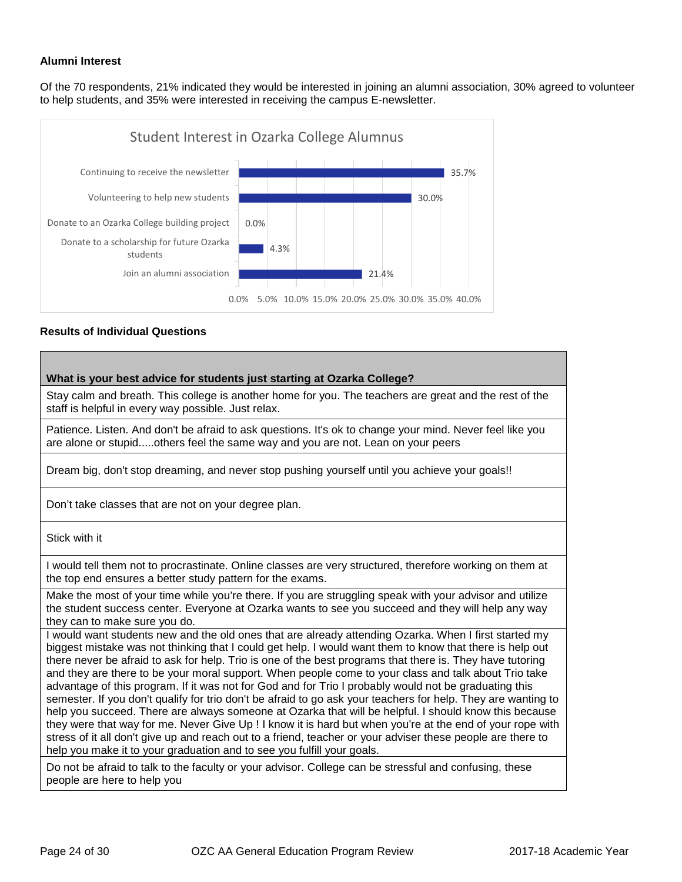#### **Alumni Interest**

Of the 70 respondents, 21% indicated they would be interested in joining an alumni association, 30% agreed to volunteer to help students, and 35% were interested in receiving the campus E-newsletter.



#### **Results of Individual Questions**

| What is your best advice for students just starting at Ozarka College?                                                                                                                                                                                                                                                                                                                                                                                                                                                                                                                                                                                                                                                                                                                                                                                                                                                                                                                                                                                                         |
|--------------------------------------------------------------------------------------------------------------------------------------------------------------------------------------------------------------------------------------------------------------------------------------------------------------------------------------------------------------------------------------------------------------------------------------------------------------------------------------------------------------------------------------------------------------------------------------------------------------------------------------------------------------------------------------------------------------------------------------------------------------------------------------------------------------------------------------------------------------------------------------------------------------------------------------------------------------------------------------------------------------------------------------------------------------------------------|
| Stay calm and breath. This college is another home for you. The teachers are great and the rest of the<br>staff is helpful in every way possible. Just relax.                                                                                                                                                                                                                                                                                                                                                                                                                                                                                                                                                                                                                                                                                                                                                                                                                                                                                                                  |
| Patience. Listen. And don't be afraid to ask questions. It's ok to change your mind. Never feel like you<br>are alone or stupidothers feel the same way and you are not. Lean on your peers                                                                                                                                                                                                                                                                                                                                                                                                                                                                                                                                                                                                                                                                                                                                                                                                                                                                                    |
| Dream big, don't stop dreaming, and never stop pushing yourself until you achieve your goals!!                                                                                                                                                                                                                                                                                                                                                                                                                                                                                                                                                                                                                                                                                                                                                                                                                                                                                                                                                                                 |
| Don't take classes that are not on your degree plan.                                                                                                                                                                                                                                                                                                                                                                                                                                                                                                                                                                                                                                                                                                                                                                                                                                                                                                                                                                                                                           |
| Stick with it                                                                                                                                                                                                                                                                                                                                                                                                                                                                                                                                                                                                                                                                                                                                                                                                                                                                                                                                                                                                                                                                  |
| I would tell them not to procrastinate. Online classes are very structured, therefore working on them at<br>the top end ensures a better study pattern for the exams.                                                                                                                                                                                                                                                                                                                                                                                                                                                                                                                                                                                                                                                                                                                                                                                                                                                                                                          |
| Make the most of your time while you're there. If you are struggling speak with your advisor and utilize<br>the student success center. Everyone at Ozarka wants to see you succeed and they will help any way<br>they can to make sure you do.                                                                                                                                                                                                                                                                                                                                                                                                                                                                                                                                                                                                                                                                                                                                                                                                                                |
| I would want students new and the old ones that are already attending Ozarka. When I first started my<br>biggest mistake was not thinking that I could get help. I would want them to know that there is help out<br>there never be afraid to ask for help. Trio is one of the best programs that there is. They have tutoring<br>and they are there to be your moral support. When people come to your class and talk about Trio take<br>advantage of this program. If it was not for God and for Trio I probably would not be graduating this<br>semester. If you don't qualify for trio don't be afraid to go ask your teachers for help. They are wanting to<br>help you succeed. There are always someone at Ozarka that will be helpful. I should know this because<br>they were that way for me. Never Give Up! I know it is hard but when you're at the end of your rope with<br>stress of it all don't give up and reach out to a friend, teacher or your adviser these people are there to<br>help you make it to your graduation and to see you fulfill your goals. |
| Do not be afraid to talk to the faculty or your advisor. College can be stressful and confusing, these                                                                                                                                                                                                                                                                                                                                                                                                                                                                                                                                                                                                                                                                                                                                                                                                                                                                                                                                                                         |

people are here to help you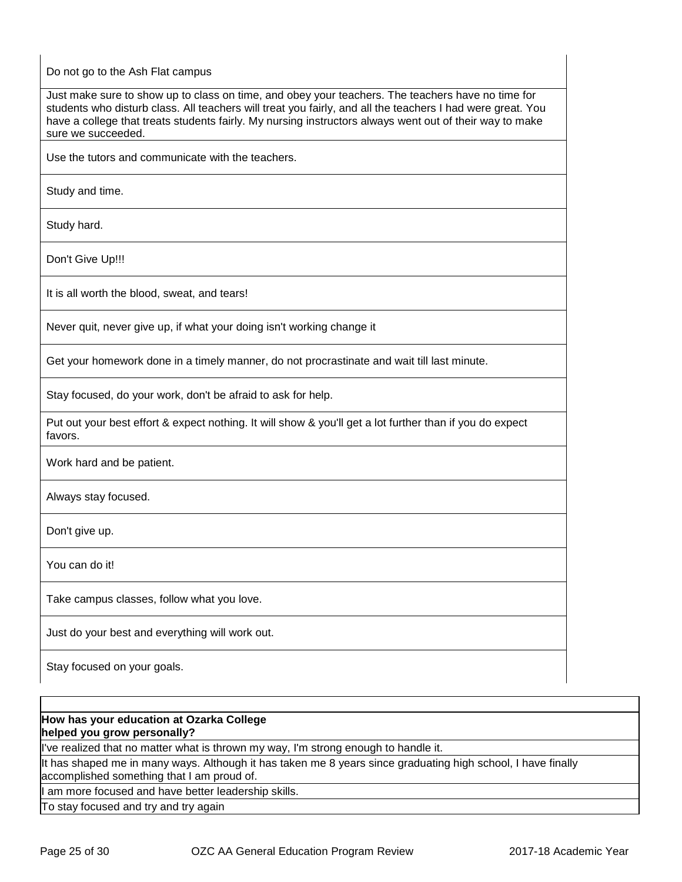Do not go to the Ash Flat campus

Just make sure to show up to class on time, and obey your teachers. The teachers have no time for students who disturb class. All teachers will treat you fairly, and all the teachers I had were great. You have a college that treats students fairly. My nursing instructors always went out of their way to make sure we succeeded.

Use the tutors and communicate with the teachers.

Study and time.

Study hard.

Don't Give Up!!!

It is all worth the blood, sweat, and tears!

Never quit, never give up, if what your doing isn't working change it

Get your homework done in a timely manner, do not procrastinate and wait till last minute.

Stay focused, do your work, don't be afraid to ask for help.

Put out your best effort & expect nothing. It will show & you'll get a lot further than if you do expect favors.

Work hard and be patient.

Always stay focused.

Don't give up.

You can do it!

Take campus classes, follow what you love.

Just do your best and everything will work out.

Stay focused on your goals.

#### **How has your education at Ozarka College helped you grow personally?**

I've realized that no matter what is thrown my way, I'm strong enough to handle it.

It has shaped me in many ways. Although it has taken me 8 years since graduating high school, I have finally accomplished something that I am proud of.

am more focused and have better leadership skills.

To stay focused and try and try again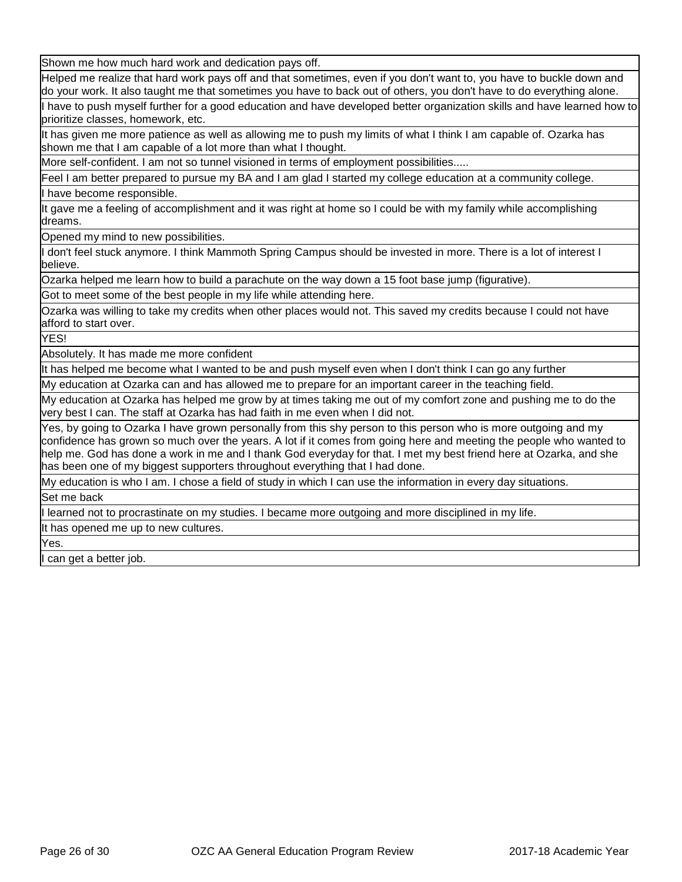Shown me how much hard work and dedication pays off.

Helped me realize that hard work pays off and that sometimes, even if you don't want to, you have to buckle down and do your work. It also taught me that sometimes you have to back out of others, you don't have to do everything alone.

have to push myself further for a good education and have developed better organization skills and have learned how to prioritize classes, homework, etc.

It has given me more patience as well as allowing me to push my limits of what I think I am capable of. Ozarka has shown me that I am capable of a lot more than what I thought.

More self-confident. I am not so tunnel visioned in terms of employment possibilities.....

Feel I am better prepared to pursue my BA and I am glad I started my college education at a community college.

have become responsible.

It gave me a feeling of accomplishment and it was right at home so I could be with my family while accomplishing dreams.

Opened my mind to new possibilities.

don't feel stuck anymore. I think Mammoth Spring Campus should be invested in more. There is a lot of interest I believe.

Ozarka helped me learn how to build a parachute on the way down a 15 foot base jump (figurative).

Got to meet some of the best people in my life while attending here.

Ozarka was willing to take my credits when other places would not. This saved my credits because I could not have afford to start over.

YES!

Absolutely. It has made me more confident

It has helped me become what I wanted to be and push myself even when I don't think I can go any further

My education at Ozarka can and has allowed me to prepare for an important career in the teaching field.

My education at Ozarka has helped me grow by at times taking me out of my comfort zone and pushing me to do the very best I can. The staff at Ozarka has had faith in me even when I did not.

Yes, by going to Ozarka I have grown personally from this shy person to this person who is more outgoing and my confidence has grown so much over the years. A lot if it comes from going here and meeting the people who wanted to help me. God has done a work in me and I thank God everyday for that. I met my best friend here at Ozarka, and she has been one of my biggest supporters throughout everything that I had done.

My education is who I am. I chose a field of study in which I can use the information in every day situations.

Set me back

learned not to procrastinate on my studies. I became more outgoing and more disciplined in my life.

It has opened me up to new cultures.

Yes.

can get a better job.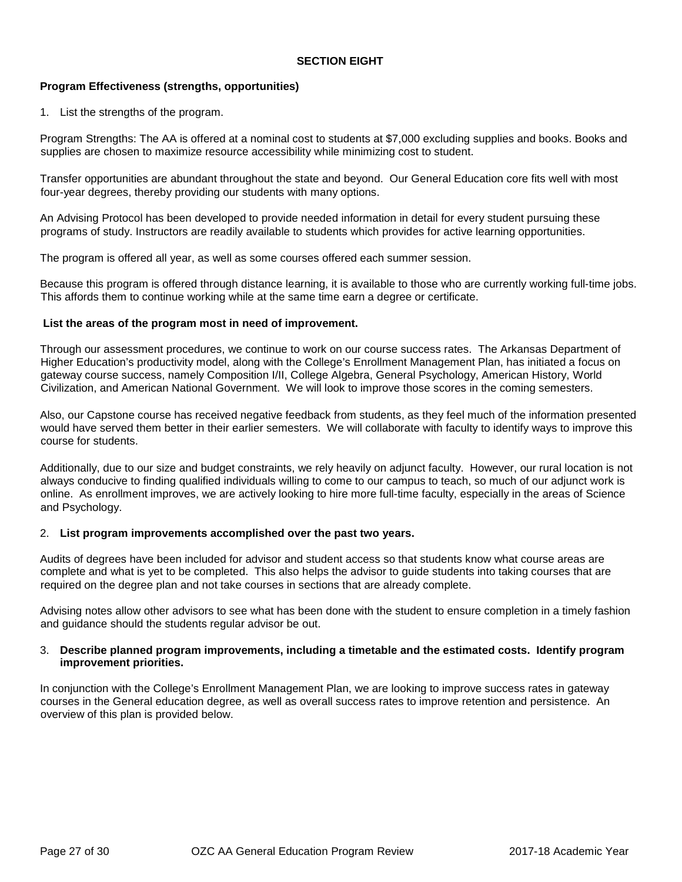#### **SECTION EIGHT**

#### **Program Effectiveness (strengths, opportunities)**

1. List the strengths of the program.

Program Strengths: The AA is offered at a nominal cost to students at \$7,000 excluding supplies and books. Books and supplies are chosen to maximize resource accessibility while minimizing cost to student.

Transfer opportunities are abundant throughout the state and beyond. Our General Education core fits well with most four-year degrees, thereby providing our students with many options.

An Advising Protocol has been developed to provide needed information in detail for every student pursuing these programs of study. Instructors are readily available to students which provides for active learning opportunities.

The program is offered all year, as well as some courses offered each summer session.

Because this program is offered through distance learning, it is available to those who are currently working full-time jobs. This affords them to continue working while at the same time earn a degree or certificate.

#### **List the areas of the program most in need of improvement.**

Through our assessment procedures, we continue to work on our course success rates. The Arkansas Department of Higher Education's productivity model, along with the College's Enrollment Management Plan, has initiated a focus on gateway course success, namely Composition I/II, College Algebra, General Psychology, American History, World Civilization, and American National Government. We will look to improve those scores in the coming semesters.

Also, our Capstone course has received negative feedback from students, as they feel much of the information presented would have served them better in their earlier semesters. We will collaborate with faculty to identify ways to improve this course for students.

Additionally, due to our size and budget constraints, we rely heavily on adjunct faculty. However, our rural location is not always conducive to finding qualified individuals willing to come to our campus to teach, so much of our adjunct work is online. As enrollment improves, we are actively looking to hire more full-time faculty, especially in the areas of Science and Psychology.

#### 2. **List program improvements accomplished over the past two years.**

Audits of degrees have been included for advisor and student access so that students know what course areas are complete and what is yet to be completed. This also helps the advisor to guide students into taking courses that are required on the degree plan and not take courses in sections that are already complete.

Advising notes allow other advisors to see what has been done with the student to ensure completion in a timely fashion and guidance should the students regular advisor be out.

#### 3. **Describe planned program improvements, including a timetable and the estimated costs. Identify program improvement priorities.**

In conjunction with the College's Enrollment Management Plan, we are looking to improve success rates in gateway courses in the General education degree, as well as overall success rates to improve retention and persistence. An overview of this plan is provided below.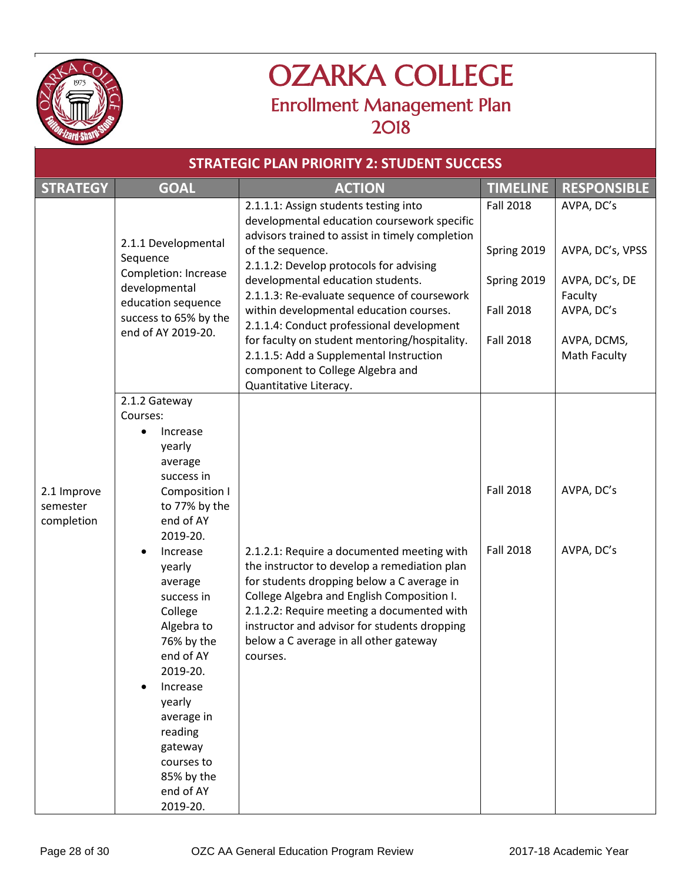

## OZARKA COLLEGE Enrollment Management Plan 2018

| <b>STRATEGIC PLAN PRIORITY 2: STUDENT SUCCESS</b> |                                                                                                                                                                                                                            |                                                                                                                                                                                                                                                                                                                                            |                  |                             |  |
|---------------------------------------------------|----------------------------------------------------------------------------------------------------------------------------------------------------------------------------------------------------------------------------|--------------------------------------------------------------------------------------------------------------------------------------------------------------------------------------------------------------------------------------------------------------------------------------------------------------------------------------------|------------------|-----------------------------|--|
| <b>STRATEGY</b>                                   | <b>GOAL</b>                                                                                                                                                                                                                | <b>ACTION</b>                                                                                                                                                                                                                                                                                                                              | <b>TIMELINE</b>  | <b>RESPONSIBLE</b>          |  |
|                                                   | 2.1.1 Developmental                                                                                                                                                                                                        | 2.1.1.1: Assign students testing into<br>developmental education coursework specific<br>advisors trained to assist in timely completion                                                                                                                                                                                                    | <b>Fall 2018</b> | AVPA, DC's                  |  |
|                                                   | Sequence<br><b>Completion: Increase</b>                                                                                                                                                                                    | of the sequence.<br>2.1.1.2: Develop protocols for advising                                                                                                                                                                                                                                                                                | Spring 2019      | AVPA, DC's, VPSS            |  |
|                                                   | developmental                                                                                                                                                                                                              | developmental education students.<br>2.1.1.3: Re-evaluate sequence of coursework                                                                                                                                                                                                                                                           | Spring 2019      | AVPA, DC's, DE<br>Faculty   |  |
|                                                   | education sequence<br>success to 65% by the                                                                                                                                                                                | within developmental education courses.<br>2.1.1.4: Conduct professional development                                                                                                                                                                                                                                                       | <b>Fall 2018</b> | AVPA, DC's                  |  |
|                                                   | end of AY 2019-20.                                                                                                                                                                                                         | for faculty on student mentoring/hospitality.<br>2.1.1.5: Add a Supplemental Instruction<br>component to College Algebra and<br>Quantitative Literacy.                                                                                                                                                                                     | <b>Fall 2018</b> | AVPA, DCMS,<br>Math Faculty |  |
|                                                   | 2.1.2 Gateway                                                                                                                                                                                                              |                                                                                                                                                                                                                                                                                                                                            |                  |                             |  |
|                                                   | Courses:<br>Increase<br>yearly<br>average<br>success in                                                                                                                                                                    |                                                                                                                                                                                                                                                                                                                                            |                  |                             |  |
| 2.1 Improve<br>semester<br>completion             | Composition I<br>to 77% by the<br>end of AY<br>2019-20.                                                                                                                                                                    |                                                                                                                                                                                                                                                                                                                                            | <b>Fall 2018</b> | AVPA, DC's                  |  |
|                                                   | Increase<br>yearly<br>average<br>success in<br>College<br>Algebra to<br>76% by the<br>end of AY<br>2019-20.<br>Increase<br>yearly<br>average in<br>reading<br>gateway<br>courses to<br>85% by the<br>end of AY<br>2019-20. | 2.1.2.1: Require a documented meeting with<br>the instructor to develop a remediation plan<br>for students dropping below a C average in<br>College Algebra and English Composition I.<br>2.1.2.2: Require meeting a documented with<br>instructor and advisor for students dropping<br>below a C average in all other gateway<br>courses. | <b>Fall 2018</b> | AVPA, DC's                  |  |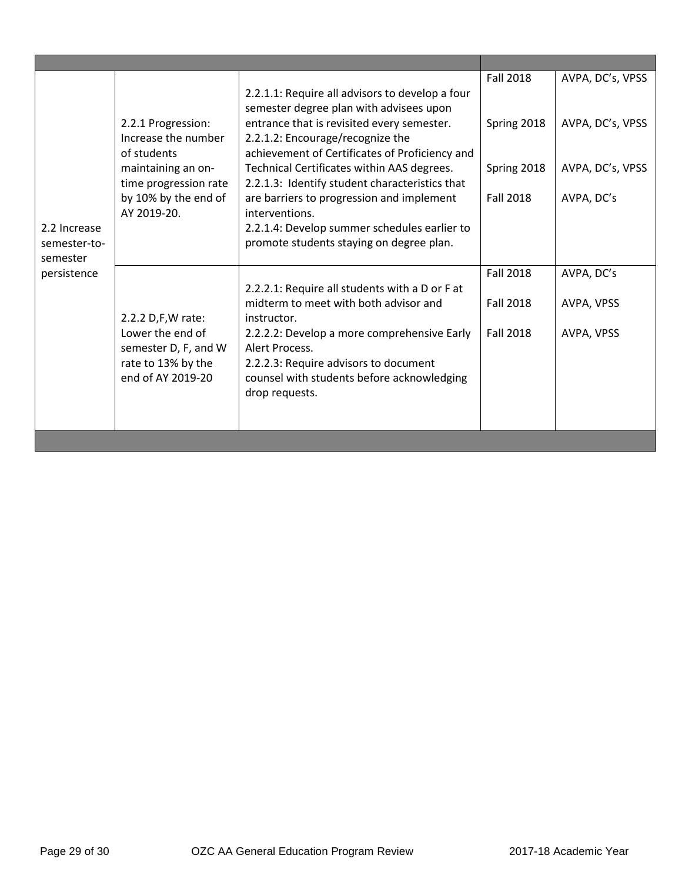|                                                         |                                                                                    |                                                                                                                                                             | <b>Fall 2018</b> | AVPA, DC's, VPSS |
|---------------------------------------------------------|------------------------------------------------------------------------------------|-------------------------------------------------------------------------------------------------------------------------------------------------------------|------------------|------------------|
| 2.2 Increase<br>semester-to-<br>semester<br>persistence | 2.2.1 Progression:<br>Increase the number                                          | 2.2.1.1: Require all advisors to develop a four<br>semester degree plan with advisees upon                                                                  |                  |                  |
|                                                         |                                                                                    | entrance that is revisited every semester.<br>2.2.1.2: Encourage/recognize the                                                                              | Spring 2018      | AVPA, DC's, VPSS |
|                                                         | of students                                                                        | achievement of Certificates of Proficiency and                                                                                                              |                  |                  |
|                                                         | maintaining an on-<br>time progression rate<br>by 10% by the end of<br>AY 2019-20. | Technical Certificates within AAS degrees.<br>2.2.1.3: Identify student characteristics that<br>are barriers to progression and implement<br>interventions. | Spring 2018      | AVPA, DC's, VPSS |
|                                                         |                                                                                    |                                                                                                                                                             | <b>Fall 2018</b> | AVPA, DC's       |
|                                                         |                                                                                    | 2.2.1.4: Develop summer schedules earlier to                                                                                                                |                  |                  |
|                                                         |                                                                                    | promote students staying on degree plan.                                                                                                                    |                  |                  |
|                                                         |                                                                                    |                                                                                                                                                             | <b>Fall 2018</b> | AVPA, DC's       |
|                                                         |                                                                                    | 2.2.2.1: Require all students with a D or F at<br>midterm to meet with both advisor and                                                                     | <b>Fall 2018</b> |                  |
|                                                         | 2.2.2 D,F,W rate:                                                                  | instructor.                                                                                                                                                 |                  | AVPA, VPSS       |
|                                                         | Lower the end of<br>semester D, F, and W                                           | 2.2.2.2: Develop a more comprehensive Early<br>Alert Process.                                                                                               | <b>Fall 2018</b> | AVPA, VPSS       |
|                                                         | rate to 13% by the                                                                 | 2.2.2.3: Require advisors to document                                                                                                                       |                  |                  |
|                                                         | end of AY 2019-20                                                                  | counsel with students before acknowledging                                                                                                                  |                  |                  |
|                                                         |                                                                                    | drop requests.                                                                                                                                              |                  |                  |
|                                                         |                                                                                    |                                                                                                                                                             |                  |                  |
|                                                         |                                                                                    |                                                                                                                                                             |                  |                  |